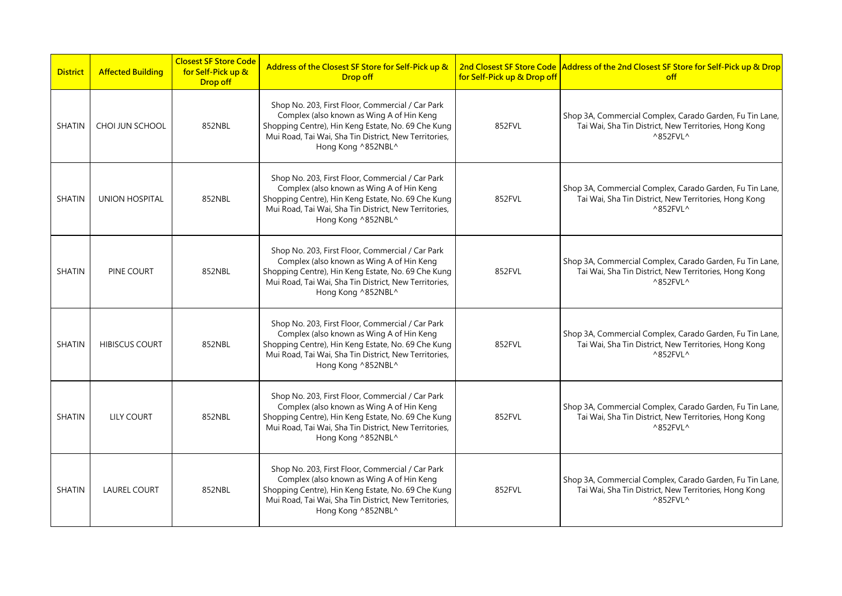| <b>District</b> | <b>Affected Building</b> | <b>Closest SF Store Code</b><br>for Self-Pick up &<br><b>Drop off</b> | Address of the Closest SF Store for Self-Pick up &<br><b>Drop off</b>                                                                                                                                                              | for Self-Pick up & Drop off | 2nd Closest SF Store Code Address of the 2nd Closest SF Store for Self-Pick up & Drop<br>off                                                        |
|-----------------|--------------------------|-----------------------------------------------------------------------|------------------------------------------------------------------------------------------------------------------------------------------------------------------------------------------------------------------------------------|-----------------------------|-----------------------------------------------------------------------------------------------------------------------------------------------------|
| <b>SHATIN</b>   | CHOI JUN SCHOOL          | 852NBL                                                                | Shop No. 203, First Floor, Commercial / Car Park<br>Complex (also known as Wing A of Hin Keng<br>Shopping Centre), Hin Keng Estate, No. 69 Che Kung<br>Mui Road, Tai Wai, Sha Tin District, New Territories,<br>Hong Kong ^852NBL^ | 852FVL                      | Shop 3A, Commercial Complex, Carado Garden, Fu Tin Lane,<br>Tai Wai, Sha Tin District, New Territories, Hong Kong<br>^852FVL^                       |
| <b>SHATIN</b>   | <b>UNION HOSPITAL</b>    | 852NBL                                                                | Shop No. 203, First Floor, Commercial / Car Park<br>Complex (also known as Wing A of Hin Keng<br>Shopping Centre), Hin Keng Estate, No. 69 Che Kung<br>Mui Road, Tai Wai, Sha Tin District, New Territories,<br>Hong Kong ^852NBL^ | 852FVL                      | Shop 3A, Commercial Complex, Carado Garden, Fu Tin Lane,<br>Tai Wai, Sha Tin District, New Territories, Hong Kong<br>$^{\wedge}852$ FVL $^{\wedge}$ |
| <b>SHATIN</b>   | PINE COURT               | 852NBL                                                                | Shop No. 203, First Floor, Commercial / Car Park<br>Complex (also known as Wing A of Hin Keng<br>Shopping Centre), Hin Keng Estate, No. 69 Che Kung<br>Mui Road, Tai Wai, Sha Tin District, New Territories,<br>Hong Kong ^852NBL^ | 852FVL                      | Shop 3A, Commercial Complex, Carado Garden, Fu Tin Lane,<br>Tai Wai, Sha Tin District, New Territories, Hong Kong<br>$^{\wedge}852$ FVL $^{\wedge}$ |
| <b>SHATIN</b>   | <b>HIBISCUS COURT</b>    | 852NBL                                                                | Shop No. 203, First Floor, Commercial / Car Park<br>Complex (also known as Wing A of Hin Keng<br>Shopping Centre), Hin Keng Estate, No. 69 Che Kung<br>Mui Road, Tai Wai, Sha Tin District, New Territories,<br>Hong Kong ^852NBL^ | 852FVL                      | Shop 3A, Commercial Complex, Carado Garden, Fu Tin Lane,<br>Tai Wai, Sha Tin District, New Territories, Hong Kong<br>$^{\wedge}852$ FVL ^           |
| <b>SHATIN</b>   | <b>LILY COURT</b>        | 852NBL                                                                | Shop No. 203, First Floor, Commercial / Car Park<br>Complex (also known as Wing A of Hin Keng<br>Shopping Centre), Hin Keng Estate, No. 69 Che Kung<br>Mui Road, Tai Wai, Sha Tin District, New Territories,<br>Hong Kong ^852NBL^ | 852FVL                      | Shop 3A, Commercial Complex, Carado Garden, Fu Tin Lane,<br>Tai Wai, Sha Tin District, New Territories, Hong Kong<br>$^{\wedge}852$ FVL $^{\wedge}$ |
| <b>SHATIN</b>   | <b>LAUREL COURT</b>      | 852NBL                                                                | Shop No. 203, First Floor, Commercial / Car Park<br>Complex (also known as Wing A of Hin Keng<br>Shopping Centre), Hin Keng Estate, No. 69 Che Kung<br>Mui Road, Tai Wai, Sha Tin District, New Territories,<br>Hong Kong ^852NBL^ | 852FVL                      | Shop 3A, Commercial Complex, Carado Garden, Fu Tin Lane,<br>Tai Wai, Sha Tin District, New Territories, Hong Kong<br>^852FVL^                       |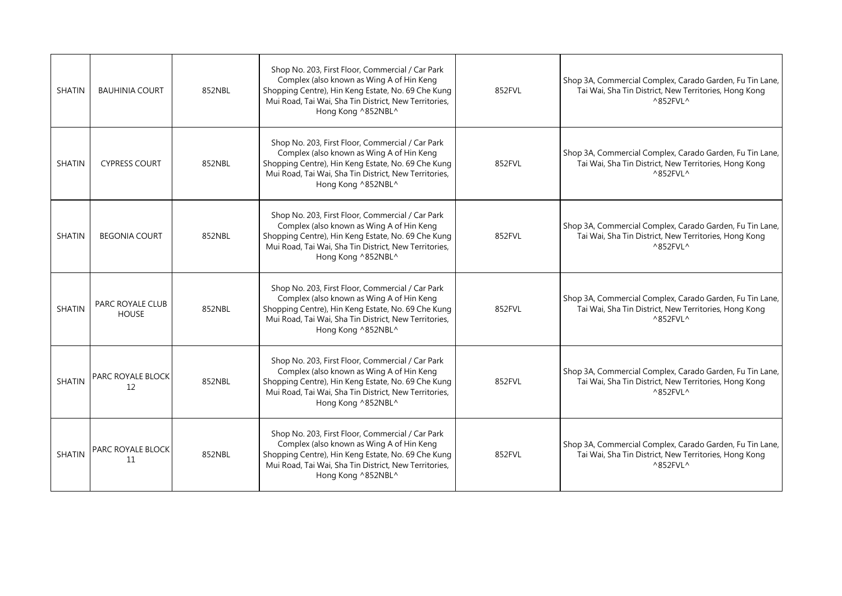| <b>SHATIN</b> | <b>BAUHINIA COURT</b>                   | 852NBL | Shop No. 203, First Floor, Commercial / Car Park<br>Complex (also known as Wing A of Hin Keng<br>Shopping Centre), Hin Keng Estate, No. 69 Che Kung<br>Mui Road, Tai Wai, Sha Tin District, New Territories,<br>Hong Kong ^852NBL^ | 852FVL | Shop 3A, Commercial Complex, Carado Garden, Fu Tin Lane,<br>Tai Wai, Sha Tin District, New Territories, Hong Kong<br>$^{\wedge}852$ FVL $^{\wedge}$ |
|---------------|-----------------------------------------|--------|------------------------------------------------------------------------------------------------------------------------------------------------------------------------------------------------------------------------------------|--------|-----------------------------------------------------------------------------------------------------------------------------------------------------|
| <b>SHATIN</b> | <b>CYPRESS COURT</b>                    | 852NBL | Shop No. 203, First Floor, Commercial / Car Park<br>Complex (also known as Wing A of Hin Keng<br>Shopping Centre), Hin Keng Estate, No. 69 Che Kung<br>Mui Road, Tai Wai, Sha Tin District, New Territories,<br>Hong Kong ^852NBL^ | 852FVL | Shop 3A, Commercial Complex, Carado Garden, Fu Tin Lane,<br>Tai Wai, Sha Tin District, New Territories, Hong Kong<br>$^{\wedge}852$ FVL $^{\wedge}$ |
| <b>SHATIN</b> | <b>BEGONIA COURT</b>                    | 852NBL | Shop No. 203, First Floor, Commercial / Car Park<br>Complex (also known as Wing A of Hin Keng<br>Shopping Centre), Hin Keng Estate, No. 69 Che Kung<br>Mui Road, Tai Wai, Sha Tin District, New Territories,<br>Hong Kong ^852NBL^ | 852FVL | Shop 3A, Commercial Complex, Carado Garden, Fu Tin Lane,<br>Tai Wai, Sha Tin District, New Territories, Hong Kong<br>$^{\wedge}852$ FVL $^{\wedge}$ |
| <b>SHATIN</b> | <b>PARC ROYALE CLUB</b><br><b>HOUSE</b> | 852NBL | Shop No. 203, First Floor, Commercial / Car Park<br>Complex (also known as Wing A of Hin Keng<br>Shopping Centre), Hin Keng Estate, No. 69 Che Kung<br>Mui Road, Tai Wai, Sha Tin District, New Territories,<br>Hong Kong ^852NBL^ | 852FVL | Shop 3A, Commercial Complex, Carado Garden, Fu Tin Lane,<br>Tai Wai, Sha Tin District, New Territories, Hong Kong<br>$^{\wedge}852$ FVL $^{\wedge}$ |
| <b>SHATIN</b> | PARC ROYALE BLOCK<br>12                 | 852NBL | Shop No. 203, First Floor, Commercial / Car Park<br>Complex (also known as Wing A of Hin Keng<br>Shopping Centre), Hin Keng Estate, No. 69 Che Kung<br>Mui Road, Tai Wai, Sha Tin District, New Territories,<br>Hong Kong ^852NBL^ | 852FVL | Shop 3A, Commercial Complex, Carado Garden, Fu Tin Lane,<br>Tai Wai, Sha Tin District, New Territories, Hong Kong<br>$^{\wedge}852$ FVL $^{\wedge}$ |
| <b>SHATIN</b> | PARC ROYALE BLOCK<br>11                 | 852NBL | Shop No. 203, First Floor, Commercial / Car Park<br>Complex (also known as Wing A of Hin Keng<br>Shopping Centre), Hin Keng Estate, No. 69 Che Kung<br>Mui Road, Tai Wai, Sha Tin District, New Territories,<br>Hong Kong ^852NBL^ | 852FVL | Shop 3A, Commercial Complex, Carado Garden, Fu Tin Lane,<br>Tai Wai, Sha Tin District, New Territories, Hong Kong<br>^852FVL^                       |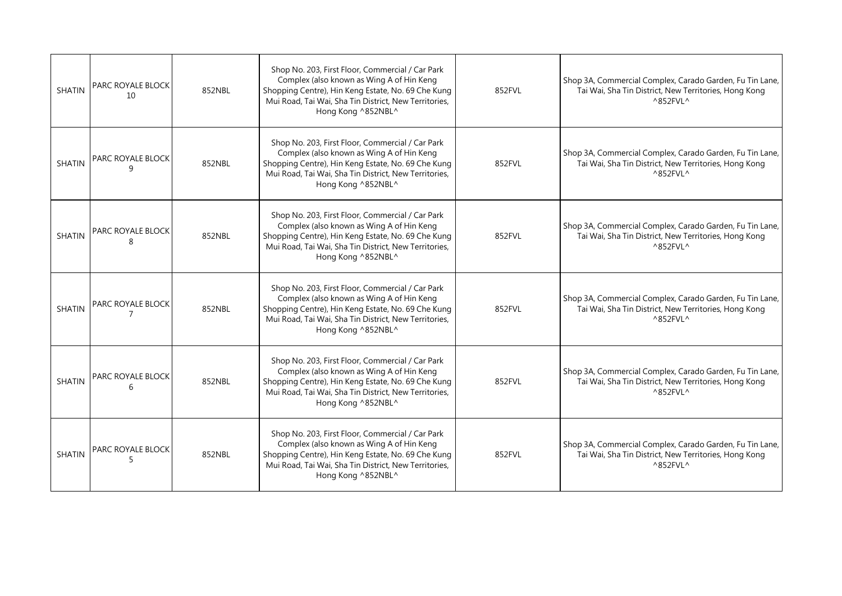| <b>SHATIN</b> | <b>PARC ROYALE BLOCK</b><br>10 | 852NBL | Shop No. 203, First Floor, Commercial / Car Park<br>Complex (also known as Wing A of Hin Keng<br>Shopping Centre), Hin Keng Estate, No. 69 Che Kung<br>Mui Road, Tai Wai, Sha Tin District, New Territories,<br>Hong Kong ^852NBL^ | 852FVL | Shop 3A, Commercial Complex, Carado Garden, Fu Tin Lane,<br>Tai Wai, Sha Tin District, New Territories, Hong Kong<br>^852FVL^                       |
|---------------|--------------------------------|--------|------------------------------------------------------------------------------------------------------------------------------------------------------------------------------------------------------------------------------------|--------|-----------------------------------------------------------------------------------------------------------------------------------------------------|
| <b>SHATIN</b> | PARC ROYALE BLOCK<br>q         | 852NBL | Shop No. 203, First Floor, Commercial / Car Park<br>Complex (also known as Wing A of Hin Keng<br>Shopping Centre), Hin Keng Estate, No. 69 Che Kung<br>Mui Road, Tai Wai, Sha Tin District, New Territories,<br>Hong Kong ^852NBL^ | 852FVL | Shop 3A, Commercial Complex, Carado Garden, Fu Tin Lane,<br>Tai Wai, Sha Tin District, New Territories, Hong Kong<br>^852FVL^                       |
| <b>SHATIN</b> | PARC ROYALE BLOCK              | 852NBL | Shop No. 203, First Floor, Commercial / Car Park<br>Complex (also known as Wing A of Hin Keng<br>Shopping Centre), Hin Keng Estate, No. 69 Che Kung<br>Mui Road, Tai Wai, Sha Tin District, New Territories,<br>Hong Kong ^852NBL^ | 852FVL | Shop 3A, Commercial Complex, Carado Garden, Fu Tin Lane,<br>Tai Wai, Sha Tin District, New Territories, Hong Kong<br>^852FVL^                       |
| <b>SHATIN</b> | PARC ROYALE BLOCK<br>7         | 852NBL | Shop No. 203, First Floor, Commercial / Car Park<br>Complex (also known as Wing A of Hin Keng<br>Shopping Centre), Hin Keng Estate, No. 69 Che Kung<br>Mui Road, Tai Wai, Sha Tin District, New Territories,<br>Hong Kong ^852NBL^ | 852FVL | Shop 3A, Commercial Complex, Carado Garden, Fu Tin Lane,<br>Tai Wai, Sha Tin District, New Territories, Hong Kong<br>$^{\wedge}852$ FVL ^           |
| <b>SHATIN</b> | <b>PARC ROYALE BLOCK</b><br>6  | 852NBL | Shop No. 203, First Floor, Commercial / Car Park<br>Complex (also known as Wing A of Hin Keng<br>Shopping Centre), Hin Keng Estate, No. 69 Che Kung<br>Mui Road, Tai Wai, Sha Tin District, New Territories,<br>Hong Kong ^852NBL^ | 852FVL | Shop 3A, Commercial Complex, Carado Garden, Fu Tin Lane,<br>Tai Wai, Sha Tin District, New Territories, Hong Kong<br>$^{\wedge}852$ FVL $^{\wedge}$ |
| <b>SHATIN</b> | PARC ROYALE BLOCK<br>5         | 852NBL | Shop No. 203, First Floor, Commercial / Car Park<br>Complex (also known as Wing A of Hin Keng<br>Shopping Centre), Hin Keng Estate, No. 69 Che Kung<br>Mui Road, Tai Wai, Sha Tin District, New Territories,<br>Hong Kong ^852NBL^ | 852FVL | Shop 3A, Commercial Complex, Carado Garden, Fu Tin Lane,<br>Tai Wai, Sha Tin District, New Territories, Hong Kong<br>$^{\wedge}852$ FVL $^{\wedge}$ |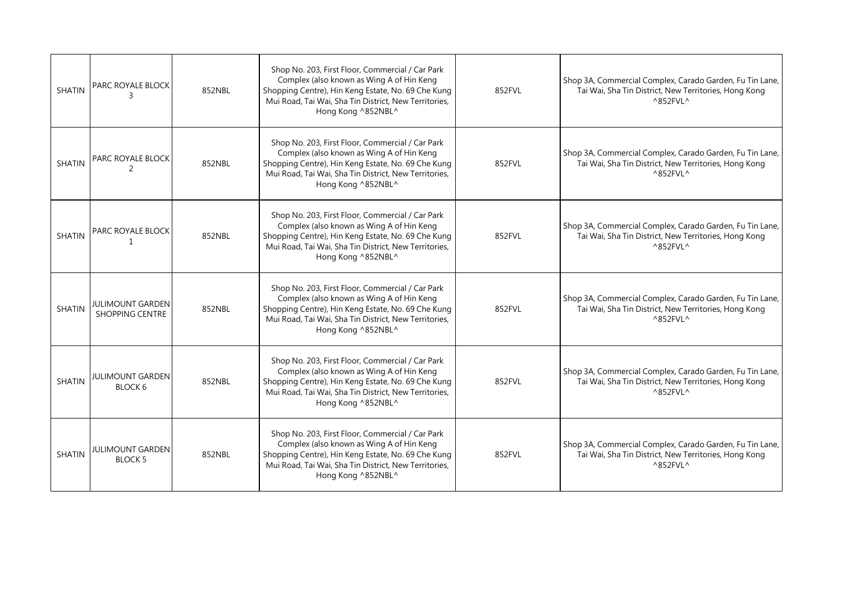| <b>SHATIN</b> | <b>PARC ROYALE BLOCK</b>                          | 852NBL | Shop No. 203, First Floor, Commercial / Car Park<br>Complex (also known as Wing A of Hin Keng<br>Shopping Centre), Hin Keng Estate, No. 69 Che Kung<br>Mui Road, Tai Wai, Sha Tin District, New Territories,<br>Hong Kong ^852NBL^ | 852FVL | Shop 3A, Commercial Complex, Carado Garden, Fu Tin Lane,<br>Tai Wai, Sha Tin District, New Territories, Hong Kong<br>$^{\wedge}852$ FVL ^           |
|---------------|---------------------------------------------------|--------|------------------------------------------------------------------------------------------------------------------------------------------------------------------------------------------------------------------------------------|--------|-----------------------------------------------------------------------------------------------------------------------------------------------------|
| <b>SHATIN</b> | <b>PARC ROYALE BLOCK</b><br>2                     | 852NBL | Shop No. 203, First Floor, Commercial / Car Park<br>Complex (also known as Wing A of Hin Keng<br>Shopping Centre), Hin Keng Estate, No. 69 Che Kung<br>Mui Road, Tai Wai, Sha Tin District, New Territories,<br>Hong Kong ^852NBL^ | 852FVL | Shop 3A, Commercial Complex, Carado Garden, Fu Tin Lane,<br>Tai Wai, Sha Tin District, New Territories, Hong Kong<br>$^{\wedge}852$ FVL ^           |
| <b>SHATIN</b> | <b>PARC ROYALE BLOCK</b><br>1                     | 852NBL | Shop No. 203, First Floor, Commercial / Car Park<br>Complex (also known as Wing A of Hin Keng<br>Shopping Centre), Hin Keng Estate, No. 69 Che Kung<br>Mui Road, Tai Wai, Sha Tin District, New Territories,<br>Hong Kong ^852NBL^ | 852FVL | Shop 3A, Commercial Complex, Carado Garden, Fu Tin Lane,<br>Tai Wai, Sha Tin District, New Territories, Hong Kong<br>$^{\wedge}852$ FVL $^{\wedge}$ |
| <b>SHATIN</b> | <b>JULIMOUNT GARDEN</b><br><b>SHOPPING CENTRE</b> | 852NBL | Shop No. 203, First Floor, Commercial / Car Park<br>Complex (also known as Wing A of Hin Keng<br>Shopping Centre), Hin Keng Estate, No. 69 Che Kung<br>Mui Road, Tai Wai, Sha Tin District, New Territories,<br>Hong Kong ^852NBL^ | 852FVL | Shop 3A, Commercial Complex, Carado Garden, Fu Tin Lane,<br>Tai Wai, Sha Tin District, New Territories, Hong Kong<br>^852FVL^                       |
| <b>SHATIN</b> | JULIMOUNT GARDEN<br>BLOCK 6                       | 852NBL | Shop No. 203, First Floor, Commercial / Car Park<br>Complex (also known as Wing A of Hin Keng<br>Shopping Centre), Hin Keng Estate, No. 69 Che Kung<br>Mui Road, Tai Wai, Sha Tin District, New Territories,<br>Hong Kong ^852NBL^ | 852FVL | Shop 3A, Commercial Complex, Carado Garden, Fu Tin Lane,<br>Tai Wai, Sha Tin District, New Territories, Hong Kong<br>$^{\wedge}852$ FVL $^{\wedge}$ |
| <b>SHATIN</b> | <b>JULIMOUNT GARDEN</b><br><b>BLOCK 5</b>         | 852NBL | Shop No. 203, First Floor, Commercial / Car Park<br>Complex (also known as Wing A of Hin Keng<br>Shopping Centre), Hin Keng Estate, No. 69 Che Kung<br>Mui Road, Tai Wai, Sha Tin District, New Territories,<br>Hong Kong ^852NBL^ | 852FVL | Shop 3A, Commercial Complex, Carado Garden, Fu Tin Lane,<br>Tai Wai, Sha Tin District, New Territories, Hong Kong<br>^852FVL^                       |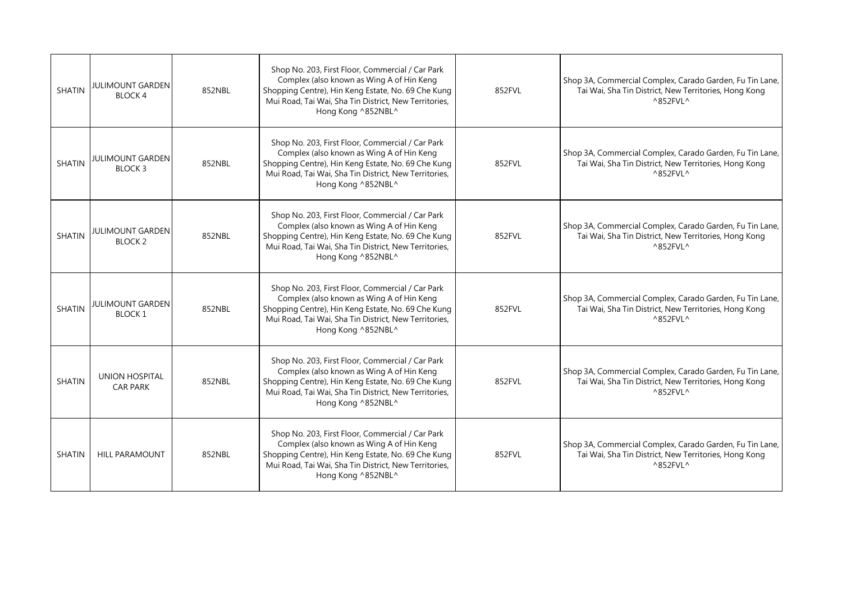| <b>SHATIN</b> | <b>JULIMOUNT GARDEN</b><br><b>BLOCK4</b> | 852NBL | Shop No. 203, First Floor, Commercial / Car Park<br>Complex (also known as Wing A of Hin Keng<br>Shopping Centre), Hin Keng Estate, No. 69 Che Kung<br>Mui Road, Tai Wai, Sha Tin District, New Territories,<br>Hong Kong ^852NBL^ | 852FVL | Shop 3A, Commercial Complex, Carado Garden, Fu Tin Lane,<br>Tai Wai, Sha Tin District, New Territories, Hong Kong<br>^852FVL^                       |
|---------------|------------------------------------------|--------|------------------------------------------------------------------------------------------------------------------------------------------------------------------------------------------------------------------------------------|--------|-----------------------------------------------------------------------------------------------------------------------------------------------------|
| <b>SHATIN</b> | <b>JULIMOUNT GARDEN</b><br><b>BLOCK3</b> | 852NBL | Shop No. 203, First Floor, Commercial / Car Park<br>Complex (also known as Wing A of Hin Keng<br>Shopping Centre), Hin Keng Estate, No. 69 Che Kung<br>Mui Road, Tai Wai, Sha Tin District, New Territories,<br>Hong Kong ^852NBL^ | 852FVL | Shop 3A, Commercial Complex, Carado Garden, Fu Tin Lane,<br>Tai Wai, Sha Tin District, New Territories, Hong Kong<br>$^{\wedge}852$ FVL $^{\wedge}$ |
| <b>SHATIN</b> | <b>JULIMOUNT GARDEN</b><br><b>BLOCK2</b> | 852NBL | Shop No. 203, First Floor, Commercial / Car Park<br>Complex (also known as Wing A of Hin Keng<br>Shopping Centre), Hin Keng Estate, No. 69 Che Kung<br>Mui Road, Tai Wai, Sha Tin District, New Territories,<br>Hong Kong ^852NBL^ | 852FVL | Shop 3A, Commercial Complex, Carado Garden, Fu Tin Lane,<br>Tai Wai, Sha Tin District, New Territories, Hong Kong<br>$^{\wedge}852$ FVL $^{\wedge}$ |
| <b>SHATIN</b> | <b>JULIMOUNT GARDEN</b><br><b>BLOCK1</b> | 852NBL | Shop No. 203, First Floor, Commercial / Car Park<br>Complex (also known as Wing A of Hin Keng<br>Shopping Centre), Hin Keng Estate, No. 69 Che Kung<br>Mui Road, Tai Wai, Sha Tin District, New Territories,<br>Hong Kong ^852NBL^ | 852FVL | Shop 3A, Commercial Complex, Carado Garden, Fu Tin Lane,<br>Tai Wai, Sha Tin District, New Territories, Hong Kong<br>$^{\wedge}852$ FVL $^{\wedge}$ |
| <b>SHATIN</b> | <b>UNION HOSPITAL</b><br><b>CAR PARK</b> | 852NBL | Shop No. 203, First Floor, Commercial / Car Park<br>Complex (also known as Wing A of Hin Keng<br>Shopping Centre), Hin Keng Estate, No. 69 Che Kung<br>Mui Road, Tai Wai, Sha Tin District, New Territories,<br>Hong Kong ^852NBL^ | 852FVL | Shop 3A, Commercial Complex, Carado Garden, Fu Tin Lane,<br>Tai Wai, Sha Tin District, New Territories, Hong Kong<br>$^{\wedge}852$ FVL $^{\wedge}$ |
| <b>SHATIN</b> | <b>HILL PARAMOUNT</b>                    | 852NBL | Shop No. 203, First Floor, Commercial / Car Park<br>Complex (also known as Wing A of Hin Keng<br>Shopping Centre), Hin Keng Estate, No. 69 Che Kung<br>Mui Road, Tai Wai, Sha Tin District, New Territories,<br>Hong Kong ^852NBL^ | 852FVL | Shop 3A, Commercial Complex, Carado Garden, Fu Tin Lane,<br>Tai Wai, Sha Tin District, New Territories, Hong Kong<br>^852FVL^                       |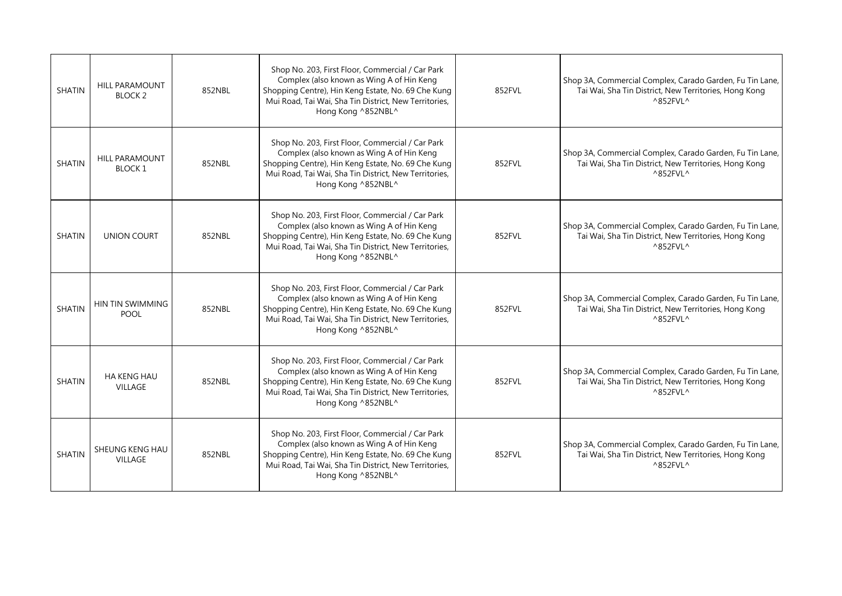| <b>SHATIN</b> | <b>HILL PARAMOUNT</b><br><b>BLOCK2</b> | 852NBL | Shop No. 203, First Floor, Commercial / Car Park<br>Complex (also known as Wing A of Hin Keng<br>Shopping Centre), Hin Keng Estate, No. 69 Che Kung<br>Mui Road, Tai Wai, Sha Tin District, New Territories,<br>Hong Kong ^852NBL^ | 852FVL | Shop 3A, Commercial Complex, Carado Garden, Fu Tin Lane,<br>Tai Wai, Sha Tin District, New Territories, Hong Kong<br>$^{\wedge}852$ FVL $^{\wedge}$ |
|---------------|----------------------------------------|--------|------------------------------------------------------------------------------------------------------------------------------------------------------------------------------------------------------------------------------------|--------|-----------------------------------------------------------------------------------------------------------------------------------------------------|
| <b>SHATIN</b> | <b>HILL PARAMOUNT</b><br>BLOCK 1       | 852NBL | Shop No. 203, First Floor, Commercial / Car Park<br>Complex (also known as Wing A of Hin Keng<br>Shopping Centre), Hin Keng Estate, No. 69 Che Kung<br>Mui Road, Tai Wai, Sha Tin District, New Territories,<br>Hong Kong ^852NBL^ | 852FVL | Shop 3A, Commercial Complex, Carado Garden, Fu Tin Lane,<br>Tai Wai, Sha Tin District, New Territories, Hong Kong<br>$^{\wedge}852$ FVL $^{\wedge}$ |
| <b>SHATIN</b> | <b>UNION COURT</b>                     | 852NBL | Shop No. 203, First Floor, Commercial / Car Park<br>Complex (also known as Wing A of Hin Keng<br>Shopping Centre), Hin Keng Estate, No. 69 Che Kung<br>Mui Road, Tai Wai, Sha Tin District, New Territories,<br>Hong Kong ^852NBL^ | 852FVL | Shop 3A, Commercial Complex, Carado Garden, Fu Tin Lane,<br>Tai Wai, Sha Tin District, New Territories, Hong Kong<br>$^{\wedge}852$ FVL $^{\wedge}$ |
| SHATIN        | HIN TIN SWIMMING<br><b>POOL</b>        | 852NBL | Shop No. 203, First Floor, Commercial / Car Park<br>Complex (also known as Wing A of Hin Keng<br>Shopping Centre), Hin Keng Estate, No. 69 Che Kung<br>Mui Road, Tai Wai, Sha Tin District, New Territories,<br>Hong Kong ^852NBL^ | 852FVL | Shop 3A, Commercial Complex, Carado Garden, Fu Tin Lane,<br>Tai Wai, Sha Tin District, New Territories, Hong Kong<br>$^{\wedge}852$ FVL $^{\wedge}$ |
| <b>SHATIN</b> | <b>HA KENG HAU</b><br><b>VILLAGE</b>   | 852NBL | Shop No. 203, First Floor, Commercial / Car Park<br>Complex (also known as Wing A of Hin Keng<br>Shopping Centre), Hin Keng Estate, No. 69 Che Kung<br>Mui Road, Tai Wai, Sha Tin District, New Territories,<br>Hong Kong ^852NBL^ | 852FVL | Shop 3A, Commercial Complex, Carado Garden, Fu Tin Lane,<br>Tai Wai, Sha Tin District, New Territories, Hong Kong<br>^852FVL^                       |
| <b>SHATIN</b> | SHEUNG KENG HAU<br><b>VILLAGE</b>      | 852NBL | Shop No. 203, First Floor, Commercial / Car Park<br>Complex (also known as Wing A of Hin Keng<br>Shopping Centre), Hin Keng Estate, No. 69 Che Kung<br>Mui Road, Tai Wai, Sha Tin District, New Territories,<br>Hong Kong ^852NBL^ | 852FVL | Shop 3A, Commercial Complex, Carado Garden, Fu Tin Lane,<br>Tai Wai, Sha Tin District, New Territories, Hong Kong<br>^852FVL^                       |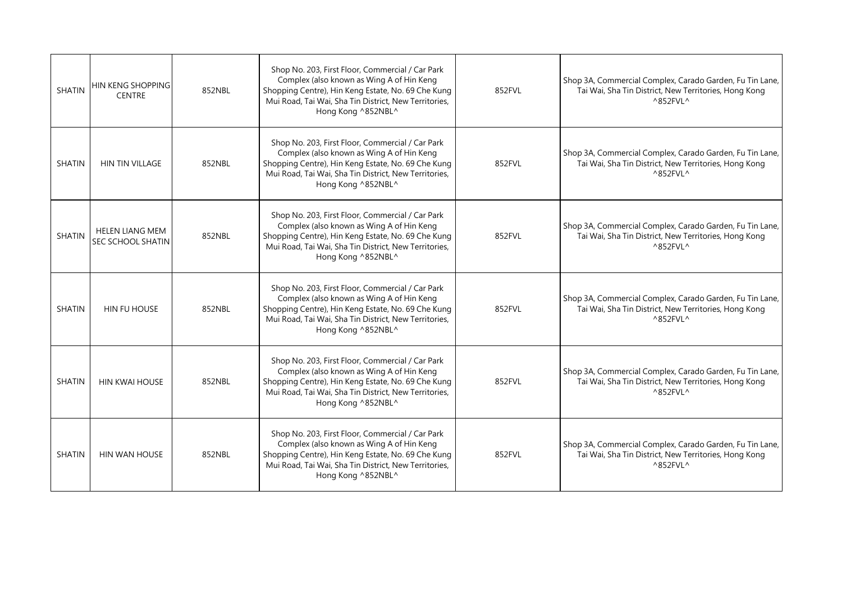| <b>SHATIN</b> | HIN KENG SHOPPING<br><b>CENTRE</b>                 | 852NBL | Shop No. 203, First Floor, Commercial / Car Park<br>Complex (also known as Wing A of Hin Keng<br>Shopping Centre), Hin Keng Estate, No. 69 Che Kung<br>Mui Road, Tai Wai, Sha Tin District, New Territories,<br>Hong Kong ^852NBL^ | 852FVL | Shop 3A, Commercial Complex, Carado Garden, Fu Tin Lane,<br>Tai Wai, Sha Tin District, New Territories, Hong Kong<br>$^{\wedge}852$ FVL $^{\wedge}$ |
|---------------|----------------------------------------------------|--------|------------------------------------------------------------------------------------------------------------------------------------------------------------------------------------------------------------------------------------|--------|-----------------------------------------------------------------------------------------------------------------------------------------------------|
| <b>SHATIN</b> | <b>HIN TIN VILLAGE</b>                             | 852NBL | Shop No. 203, First Floor, Commercial / Car Park<br>Complex (also known as Wing A of Hin Keng<br>Shopping Centre), Hin Keng Estate, No. 69 Che Kung<br>Mui Road, Tai Wai, Sha Tin District, New Territories,<br>Hong Kong ^852NBL^ | 852FVL | Shop 3A, Commercial Complex, Carado Garden, Fu Tin Lane,<br>Tai Wai, Sha Tin District, New Territories, Hong Kong<br>$^{\wedge}852$ FVL $^{\wedge}$ |
| <b>SHATIN</b> | <b>HELEN LIANG MEM</b><br><b>SEC SCHOOL SHATIN</b> | 852NBL | Shop No. 203, First Floor, Commercial / Car Park<br>Complex (also known as Wing A of Hin Keng<br>Shopping Centre), Hin Keng Estate, No. 69 Che Kung<br>Mui Road, Tai Wai, Sha Tin District, New Territories,<br>Hong Kong ^852NBL^ | 852FVL | Shop 3A, Commercial Complex, Carado Garden, Fu Tin Lane,<br>Tai Wai, Sha Tin District, New Territories, Hong Kong<br>$^{\wedge}852$ FVL $^{\wedge}$ |
| <b>SHATIN</b> | HIN FU HOUSE                                       | 852NBL | Shop No. 203, First Floor, Commercial / Car Park<br>Complex (also known as Wing A of Hin Keng<br>Shopping Centre), Hin Keng Estate, No. 69 Che Kung<br>Mui Road, Tai Wai, Sha Tin District, New Territories,<br>Hong Kong ^852NBL^ | 852FVL | Shop 3A, Commercial Complex, Carado Garden, Fu Tin Lane,<br>Tai Wai, Sha Tin District, New Territories, Hong Kong<br>$^{\wedge}852$ FVL $^{\wedge}$ |
| <b>SHATIN</b> | <b>HIN KWAI HOUSE</b>                              | 852NBL | Shop No. 203, First Floor, Commercial / Car Park<br>Complex (also known as Wing A of Hin Keng<br>Shopping Centre), Hin Keng Estate, No. 69 Che Kung<br>Mui Road, Tai Wai, Sha Tin District, New Territories,<br>Hong Kong ^852NBL^ | 852FVL | Shop 3A, Commercial Complex, Carado Garden, Fu Tin Lane,<br>Tai Wai, Sha Tin District, New Territories, Hong Kong<br>^852FVL^                       |
| <b>SHATIN</b> | HIN WAN HOUSE                                      | 852NBL | Shop No. 203, First Floor, Commercial / Car Park<br>Complex (also known as Wing A of Hin Keng<br>Shopping Centre), Hin Keng Estate, No. 69 Che Kung<br>Mui Road, Tai Wai, Sha Tin District, New Territories,<br>Hong Kong ^852NBL^ | 852FVL | Shop 3A, Commercial Complex, Carado Garden, Fu Tin Lane,<br>Tai Wai, Sha Tin District, New Territories, Hong Kong<br>^852FVL^                       |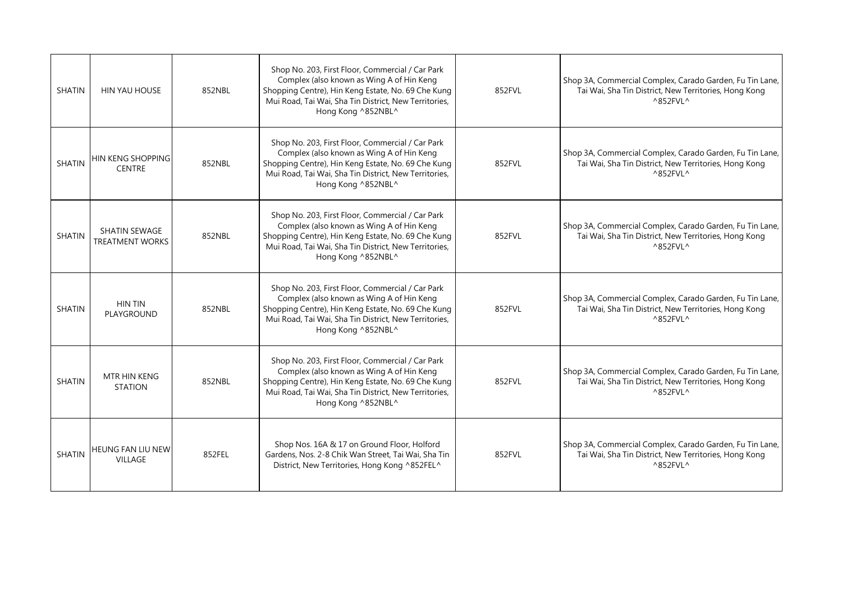| <b>SHATIN</b> | HIN YAU HOUSE                                  | 852NBL | Shop No. 203, First Floor, Commercial / Car Park<br>Complex (also known as Wing A of Hin Keng<br>Shopping Centre), Hin Keng Estate, No. 69 Che Kung<br>Mui Road, Tai Wai, Sha Tin District, New Territories,<br>Hong Kong ^852NBL^ | 852FVL | Shop 3A, Commercial Complex, Carado Garden, Fu Tin Lane,<br>Tai Wai, Sha Tin District, New Territories, Hong Kong<br>$^{\wedge}852$ FVL $^{\wedge}$ |
|---------------|------------------------------------------------|--------|------------------------------------------------------------------------------------------------------------------------------------------------------------------------------------------------------------------------------------|--------|-----------------------------------------------------------------------------------------------------------------------------------------------------|
| <b>SHATIN</b> | HIN KENG SHOPPING<br><b>CENTRE</b>             | 852NBL | Shop No. 203, First Floor, Commercial / Car Park<br>Complex (also known as Wing A of Hin Keng<br>Shopping Centre), Hin Keng Estate, No. 69 Che Kung<br>Mui Road, Tai Wai, Sha Tin District, New Territories,<br>Hong Kong ^852NBL^ | 852FVL | Shop 3A, Commercial Complex, Carado Garden, Fu Tin Lane,<br>Tai Wai, Sha Tin District, New Territories, Hong Kong<br>$^{\wedge}852$ FVL $^{\wedge}$ |
| <b>SHATIN</b> | <b>SHATIN SEWAGE</b><br><b>TREATMENT WORKS</b> | 852NBL | Shop No. 203, First Floor, Commercial / Car Park<br>Complex (also known as Wing A of Hin Keng<br>Shopping Centre), Hin Keng Estate, No. 69 Che Kung<br>Mui Road, Tai Wai, Sha Tin District, New Territories,<br>Hong Kong ^852NBL^ | 852FVL | Shop 3A, Commercial Complex, Carado Garden, Fu Tin Lane,<br>Tai Wai, Sha Tin District, New Territories, Hong Kong<br>^852FVL^                       |
| <b>SHATIN</b> | <b>HIN TIN</b><br>PLAYGROUND                   | 852NBL | Shop No. 203, First Floor, Commercial / Car Park<br>Complex (also known as Wing A of Hin Keng<br>Shopping Centre), Hin Keng Estate, No. 69 Che Kung<br>Mui Road, Tai Wai, Sha Tin District, New Territories,<br>Hong Kong ^852NBL^ | 852FVL | Shop 3A, Commercial Complex, Carado Garden, Fu Tin Lane,<br>Tai Wai, Sha Tin District, New Territories, Hong Kong<br>^852FVL^                       |
| <b>SHATIN</b> | MTR HIN KENG<br><b>STATION</b>                 | 852NBL | Shop No. 203, First Floor, Commercial / Car Park<br>Complex (also known as Wing A of Hin Keng<br>Shopping Centre), Hin Keng Estate, No. 69 Che Kung<br>Mui Road, Tai Wai, Sha Tin District, New Territories,<br>Hong Kong ^852NBL^ | 852FVL | Shop 3A, Commercial Complex, Carado Garden, Fu Tin Lane,<br>Tai Wai, Sha Tin District, New Territories, Hong Kong<br>$^{\wedge}852$ FVL ^           |
| <b>SHATIN</b> | <b>HEUNG FAN LIU NEW</b><br><b>VILLAGE</b>     | 852FEL | Shop Nos. 16A & 17 on Ground Floor, Holford<br>Gardens, Nos. 2-8 Chik Wan Street, Tai Wai, Sha Tin<br>District, New Territories, Hong Kong ^852FEL^                                                                                | 852FVL | Shop 3A, Commercial Complex, Carado Garden, Fu Tin Lane,<br>Tai Wai, Sha Tin District, New Territories, Hong Kong<br>^852FVL^                       |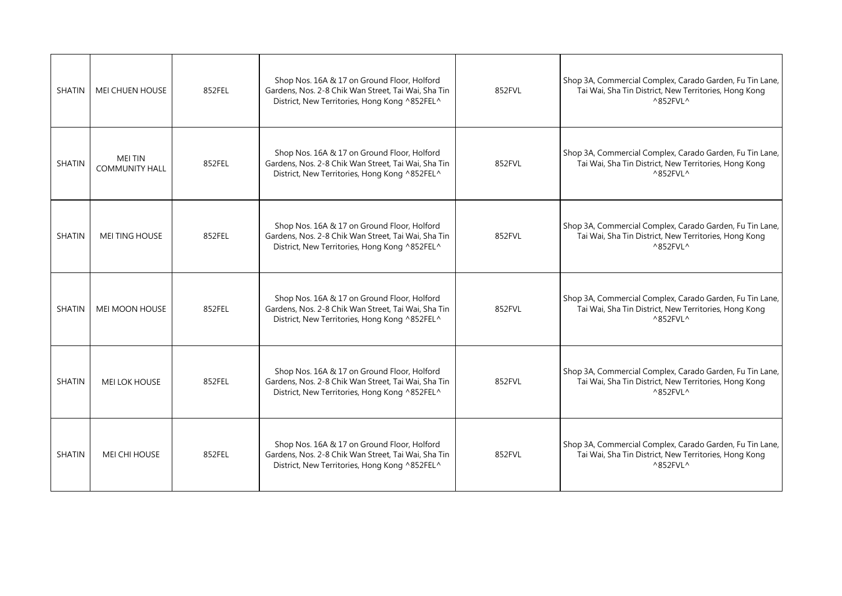| <b>SHATIN</b> | <b>MEI CHUEN HOUSE</b>                  | 852FEL | Shop Nos. 16A & 17 on Ground Floor, Holford<br>Gardens, Nos. 2-8 Chik Wan Street, Tai Wai, Sha Tin<br>District, New Territories, Hong Kong ^852FEL^ | 852FVL | Shop 3A, Commercial Complex, Carado Garden, Fu Tin Lane,<br>Tai Wai, Sha Tin District, New Territories, Hong Kong<br>$^{\wedge}852$ FVL $^{\wedge}$ |
|---------------|-----------------------------------------|--------|-----------------------------------------------------------------------------------------------------------------------------------------------------|--------|-----------------------------------------------------------------------------------------------------------------------------------------------------|
| <b>SHATIN</b> | <b>MEI TIN</b><br><b>COMMUNITY HALL</b> | 852FEL | Shop Nos. 16A & 17 on Ground Floor, Holford<br>Gardens, Nos. 2-8 Chik Wan Street, Tai Wai, Sha Tin<br>District, New Territories, Hong Kong ^852FEL^ | 852FVL | Shop 3A, Commercial Complex, Carado Garden, Fu Tin Lane,<br>Tai Wai, Sha Tin District, New Territories, Hong Kong<br>$^{\wedge}852$ FVL ^           |
| <b>SHATIN</b> | <b>MEI TING HOUSE</b>                   | 852FEL | Shop Nos. 16A & 17 on Ground Floor, Holford<br>Gardens, Nos. 2-8 Chik Wan Street, Tai Wai, Sha Tin<br>District, New Territories, Hong Kong ^852FEL^ | 852FVL | Shop 3A, Commercial Complex, Carado Garden, Fu Tin Lane,<br>Tai Wai, Sha Tin District, New Territories, Hong Kong<br>$^{\wedge}852$ FVL ^           |
| <b>SHATIN</b> | <b>MEI MOON HOUSE</b>                   | 852FEL | Shop Nos. 16A & 17 on Ground Floor, Holford<br>Gardens, Nos. 2-8 Chik Wan Street, Tai Wai, Sha Tin<br>District, New Territories, Hong Kong ^852FEL^ | 852FVL | Shop 3A, Commercial Complex, Carado Garden, Fu Tin Lane,<br>Tai Wai, Sha Tin District, New Territories, Hong Kong<br>$^{\wedge}852$ FVL ^           |
| <b>SHATIN</b> | <b>MEI LOK HOUSE</b>                    | 852FEL | Shop Nos. 16A & 17 on Ground Floor, Holford<br>Gardens, Nos. 2-8 Chik Wan Street, Tai Wai, Sha Tin<br>District, New Territories, Hong Kong ^852FEL^ | 852FVL | Shop 3A, Commercial Complex, Carado Garden, Fu Tin Lane,<br>Tai Wai, Sha Tin District, New Territories, Hong Kong<br>$^{\wedge}852$ FVL ^           |
| <b>SHATIN</b> | <b>MEI CHI HOUSE</b>                    | 852FEL | Shop Nos. 16A & 17 on Ground Floor, Holford<br>Gardens, Nos. 2-8 Chik Wan Street, Tai Wai, Sha Tin<br>District, New Territories, Hong Kong ^852FEL^ | 852FVL | Shop 3A, Commercial Complex, Carado Garden, Fu Tin Lane,<br>Tai Wai, Sha Tin District, New Territories, Hong Kong<br>$^{\wedge}852$ FVL ^           |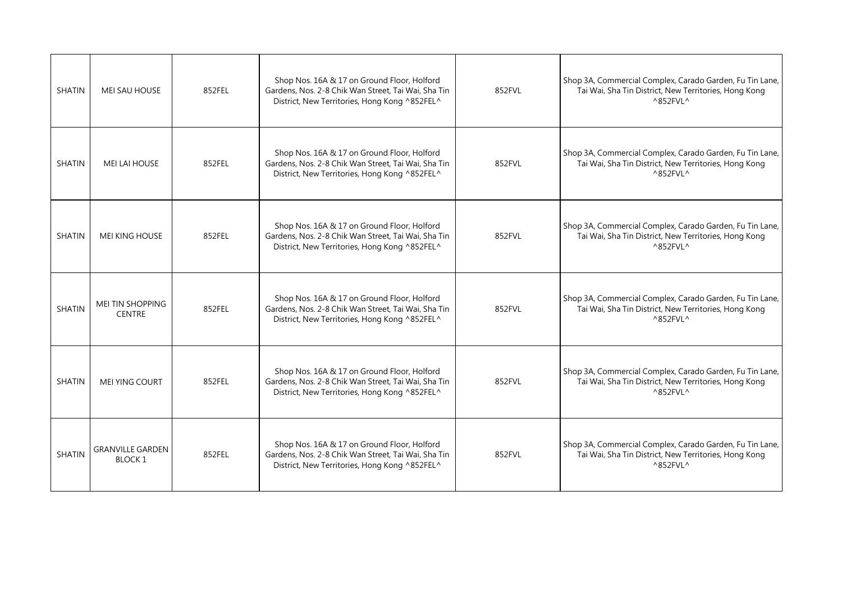| <b>SHATIN</b> | MEI SAU HOUSE                            | 852FEL | Shop Nos. 16A & 17 on Ground Floor, Holford<br>Gardens, Nos. 2-8 Chik Wan Street, Tai Wai, Sha Tin<br>District, New Territories, Hong Kong ^852FEL^ | 852FVL | Shop 3A, Commercial Complex, Carado Garden, Fu Tin Lane,<br>Tai Wai, Sha Tin District, New Territories, Hong Kong<br>$^{\wedge}852$ FVL $^{\wedge}$ |
|---------------|------------------------------------------|--------|-----------------------------------------------------------------------------------------------------------------------------------------------------|--------|-----------------------------------------------------------------------------------------------------------------------------------------------------|
| <b>SHATIN</b> | MEI LAI HOUSE                            | 852FEL | Shop Nos. 16A & 17 on Ground Floor, Holford<br>Gardens, Nos. 2-8 Chik Wan Street, Tai Wai, Sha Tin<br>District, New Territories, Hong Kong ^852FEL^ | 852FVL | Shop 3A, Commercial Complex, Carado Garden, Fu Tin Lane,<br>Tai Wai, Sha Tin District, New Territories, Hong Kong<br>$^{\wedge}852$ FVL $^{\wedge}$ |
| <b>SHATIN</b> | <b>MEI KING HOUSE</b>                    | 852FEL | Shop Nos. 16A & 17 on Ground Floor, Holford<br>Gardens, Nos. 2-8 Chik Wan Street, Tai Wai, Sha Tin<br>District, New Territories, Hong Kong ^852FEL^ | 852FVL | Shop 3A, Commercial Complex, Carado Garden, Fu Tin Lane,<br>Tai Wai, Sha Tin District, New Territories, Hong Kong<br>$^{\wedge}852$ FVL $^{\wedge}$ |
| <b>SHATIN</b> | MEI TIN SHOPPING<br><b>CENTRE</b>        | 852FEL | Shop Nos. 16A & 17 on Ground Floor, Holford<br>Gardens, Nos. 2-8 Chik Wan Street, Tai Wai, Sha Tin<br>District, New Territories, Hong Kong ^852FEL^ | 852FVL | Shop 3A, Commercial Complex, Carado Garden, Fu Tin Lane,<br>Tai Wai, Sha Tin District, New Territories, Hong Kong<br>$^{\wedge}852$ FVL $^{\wedge}$ |
| <b>SHATIN</b> | <b>MEI YING COURT</b>                    | 852FEL | Shop Nos. 16A & 17 on Ground Floor, Holford<br>Gardens, Nos. 2-8 Chik Wan Street, Tai Wai, Sha Tin<br>District, New Territories, Hong Kong ^852FEL^ | 852FVL | Shop 3A, Commercial Complex, Carado Garden, Fu Tin Lane,<br>Tai Wai, Sha Tin District, New Territories, Hong Kong<br>$^{\wedge}852$ FVL $^{\wedge}$ |
| <b>SHATIN</b> | <b>GRANVILLE GARDEN</b><br><b>BLOCK1</b> | 852FEL | Shop Nos. 16A & 17 on Ground Floor, Holford<br>Gardens, Nos. 2-8 Chik Wan Street, Tai Wai, Sha Tin<br>District, New Territories, Hong Kong ^852FEL^ | 852FVL | Shop 3A, Commercial Complex, Carado Garden, Fu Tin Lane,<br>Tai Wai, Sha Tin District, New Territories, Hong Kong<br>^852FVL^                       |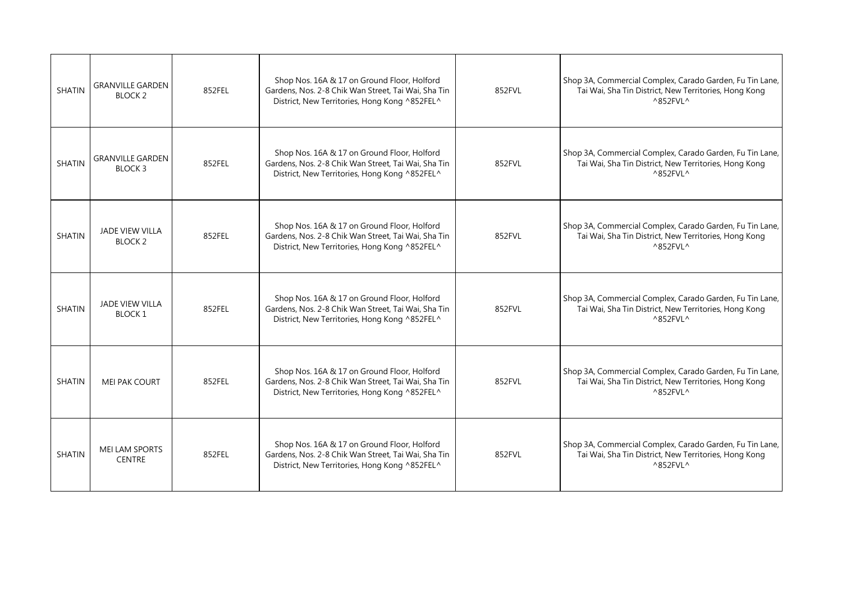| <b>SHATIN</b> | <b>GRANVILLE GARDEN</b><br><b>BLOCK 2</b> | 852FEL | Shop Nos. 16A & 17 on Ground Floor, Holford<br>Gardens, Nos. 2-8 Chik Wan Street, Tai Wai, Sha Tin<br>District, New Territories, Hong Kong ^852FEL^ | 852FVL | Shop 3A, Commercial Complex, Carado Garden, Fu Tin Lane,<br>Tai Wai, Sha Tin District, New Territories, Hong Kong<br>$^{\wedge}852$ FVL $^{\wedge}$ |
|---------------|-------------------------------------------|--------|-----------------------------------------------------------------------------------------------------------------------------------------------------|--------|-----------------------------------------------------------------------------------------------------------------------------------------------------|
| <b>SHATIN</b> | GRANVILLE GARDEN<br>BLOCK 3               | 852FEL | Shop Nos. 16A & 17 on Ground Floor, Holford<br>Gardens, Nos. 2-8 Chik Wan Street, Tai Wai, Sha Tin<br>District, New Territories, Hong Kong ^852FEL^ | 852FVL | Shop 3A, Commercial Complex, Carado Garden, Fu Tin Lane,<br>Tai Wai, Sha Tin District, New Territories, Hong Kong<br>^852FVL^                       |
| <b>SHATIN</b> | <b>JADE VIEW VILLA</b><br><b>BLOCK 2</b>  | 852FEL | Shop Nos. 16A & 17 on Ground Floor, Holford<br>Gardens, Nos. 2-8 Chik Wan Street, Tai Wai, Sha Tin<br>District, New Territories, Hong Kong ^852FEL^ | 852FVL | Shop 3A, Commercial Complex, Carado Garden, Fu Tin Lane,<br>Tai Wai, Sha Tin District, New Territories, Hong Kong<br>$^{\wedge}852$ FVL $^{\wedge}$ |
| <b>SHATIN</b> | JADE VIEW VILLA<br><b>BLOCK1</b>          | 852FEL | Shop Nos. 16A & 17 on Ground Floor, Holford<br>Gardens, Nos. 2-8 Chik Wan Street, Tai Wai, Sha Tin<br>District, New Territories, Hong Kong ^852FEL^ | 852FVL | Shop 3A, Commercial Complex, Carado Garden, Fu Tin Lane,<br>Tai Wai, Sha Tin District, New Territories, Hong Kong<br>^852FVL^                       |
| <b>SHATIN</b> | <b>MEI PAK COURT</b>                      | 852FEL | Shop Nos. 16A & 17 on Ground Floor, Holford<br>Gardens, Nos. 2-8 Chik Wan Street, Tai Wai, Sha Tin<br>District, New Territories, Hong Kong ^852FEL^ | 852FVL | Shop 3A, Commercial Complex, Carado Garden, Fu Tin Lane,<br>Tai Wai, Sha Tin District, New Territories, Hong Kong<br>$^{\wedge}852$ FVL $^{\wedge}$ |
| <b>SHATIN</b> | MEI LAM SPORTS<br><b>CENTRE</b>           | 852FEL | Shop Nos. 16A & 17 on Ground Floor, Holford<br>Gardens, Nos. 2-8 Chik Wan Street, Tai Wai, Sha Tin<br>District, New Territories, Hong Kong ^852FEL^ | 852FVL | Shop 3A, Commercial Complex, Carado Garden, Fu Tin Lane,<br>Tai Wai, Sha Tin District, New Territories, Hong Kong<br>^852FVL^                       |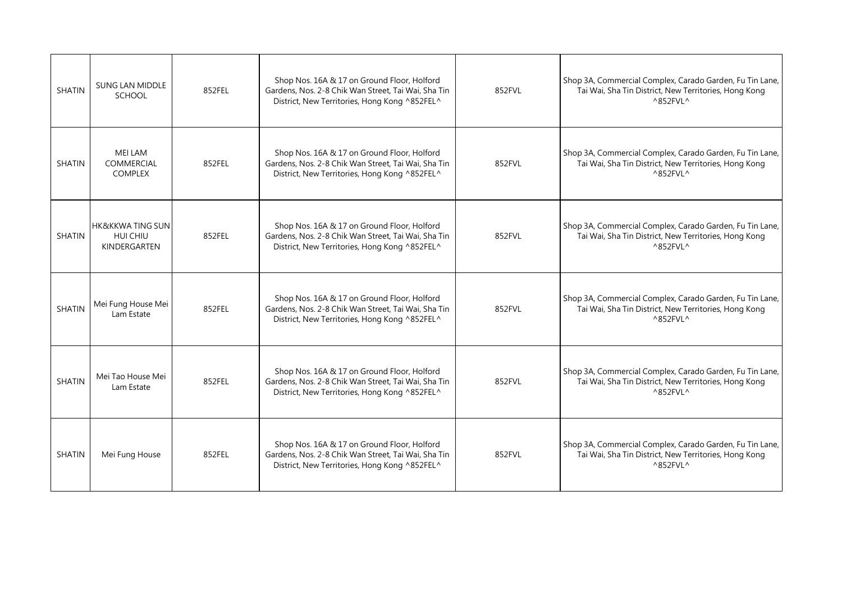| <b>SHATIN</b> | <b>SUNG LAN MIDDLE</b><br>SCHOOL                        | 852FEL | Shop Nos. 16A & 17 on Ground Floor, Holford<br>Gardens, Nos. 2-8 Chik Wan Street, Tai Wai, Sha Tin<br>District, New Territories, Hong Kong ^852FEL^ | 852FVL | Shop 3A, Commercial Complex, Carado Garden, Fu Tin Lane,<br>Tai Wai, Sha Tin District, New Territories, Hong Kong<br>$^{\wedge}852$ FVL $^{\wedge}$ |
|---------------|---------------------------------------------------------|--------|-----------------------------------------------------------------------------------------------------------------------------------------------------|--------|-----------------------------------------------------------------------------------------------------------------------------------------------------|
| <b>SHATIN</b> | <b>MEI LAM</b><br><b>COMMERCIAL</b><br><b>COMPLEX</b>   | 852FEL | Shop Nos. 16A & 17 on Ground Floor, Holford<br>Gardens, Nos. 2-8 Chik Wan Street, Tai Wai, Sha Tin<br>District, New Territories, Hong Kong ^852FEL^ | 852FVL | Shop 3A, Commercial Complex, Carado Garden, Fu Tin Lane,<br>Tai Wai, Sha Tin District, New Territories, Hong Kong<br>$^{\wedge}852$ FVL $^{\wedge}$ |
| <b>SHATIN</b> | <b>HK&amp;KKWA TING SUN</b><br>HUI CHIU<br>KINDERGARTEN | 852FEL | Shop Nos. 16A & 17 on Ground Floor, Holford<br>Gardens, Nos. 2-8 Chik Wan Street, Tai Wai, Sha Tin<br>District, New Territories, Hong Kong ^852FEL^ | 852FVL | Shop 3A, Commercial Complex, Carado Garden, Fu Tin Lane,<br>Tai Wai, Sha Tin District, New Territories, Hong Kong<br>$^{\wedge}852$ FVL ^           |
| <b>SHATIN</b> | Mei Fung House Mei<br>Lam Estate                        | 852FEL | Shop Nos. 16A & 17 on Ground Floor, Holford<br>Gardens, Nos. 2-8 Chik Wan Street, Tai Wai, Sha Tin<br>District, New Territories, Hong Kong ^852FEL^ | 852FVL | Shop 3A, Commercial Complex, Carado Garden, Fu Tin Lane,<br>Tai Wai, Sha Tin District, New Territories, Hong Kong<br>$^{\wedge}852$ FVL ^           |
| <b>SHATIN</b> | Mei Tao House Mei<br>Lam Estate                         | 852FEL | Shop Nos. 16A & 17 on Ground Floor, Holford<br>Gardens, Nos. 2-8 Chik Wan Street, Tai Wai, Sha Tin<br>District, New Territories, Hong Kong ^852FEL^ | 852FVL | Shop 3A, Commercial Complex, Carado Garden, Fu Tin Lane,<br>Tai Wai, Sha Tin District, New Territories, Hong Kong<br>$^{\wedge}852$ FVL ^           |
| SHATIN        | Mei Fung House                                          | 852FEL | Shop Nos. 16A & 17 on Ground Floor, Holford<br>Gardens, Nos. 2-8 Chik Wan Street, Tai Wai, Sha Tin<br>District, New Territories, Hong Kong ^852FEL^ | 852FVL | Shop 3A, Commercial Complex, Carado Garden, Fu Tin Lane,<br>Tai Wai, Sha Tin District, New Territories, Hong Kong<br>$^{\wedge}852$ FVL ^           |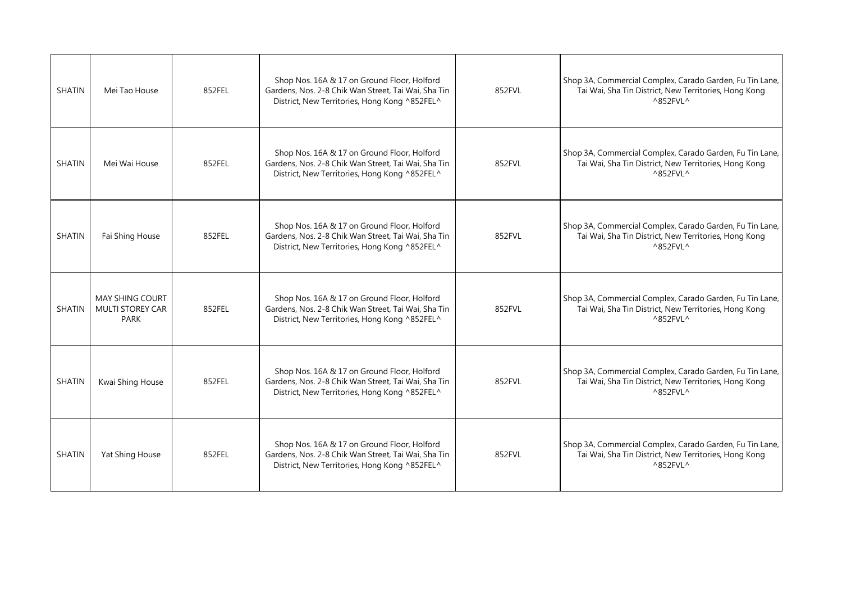| <b>SHATIN</b> | Mei Tao House                                             | 852FEL | Shop Nos. 16A & 17 on Ground Floor, Holford<br>Gardens, Nos. 2-8 Chik Wan Street, Tai Wai, Sha Tin<br>District, New Territories, Hong Kong ^852FEL^ | 852FVL | Shop 3A, Commercial Complex, Carado Garden, Fu Tin Lane,<br>Tai Wai, Sha Tin District, New Territories, Hong Kong<br>$^{\wedge}852$ FVL $^{\wedge}$ |
|---------------|-----------------------------------------------------------|--------|-----------------------------------------------------------------------------------------------------------------------------------------------------|--------|-----------------------------------------------------------------------------------------------------------------------------------------------------|
| <b>SHATIN</b> | Mei Wai House                                             | 852FEL | Shop Nos. 16A & 17 on Ground Floor, Holford<br>Gardens, Nos. 2-8 Chik Wan Street, Tai Wai, Sha Tin<br>District, New Territories, Hong Kong ^852FEL^ | 852FVL | Shop 3A, Commercial Complex, Carado Garden, Fu Tin Lane,<br>Tai Wai, Sha Tin District, New Territories, Hong Kong<br>$^{\wedge}852$ FVL ^           |
| <b>SHATIN</b> | Fai Shing House                                           | 852FEL | Shop Nos. 16A & 17 on Ground Floor, Holford<br>Gardens, Nos. 2-8 Chik Wan Street, Tai Wai, Sha Tin<br>District, New Territories, Hong Kong ^852FEL^ | 852FVL | Shop 3A, Commercial Complex, Carado Garden, Fu Tin Lane,<br>Tai Wai, Sha Tin District, New Territories, Hong Kong<br>$^{\wedge}852$ FVL $^{\wedge}$ |
| <b>SHATIN</b> | <b>MAY SHING COURT</b><br><b>MULTI STOREY CAR</b><br>PARK | 852FEL | Shop Nos. 16A & 17 on Ground Floor, Holford<br>Gardens, Nos. 2-8 Chik Wan Street, Tai Wai, Sha Tin<br>District, New Territories, Hong Kong ^852FEL^ | 852FVL | Shop 3A, Commercial Complex, Carado Garden, Fu Tin Lane,<br>Tai Wai, Sha Tin District, New Territories, Hong Kong<br>$^{\wedge}852$ FVL ^           |
| <b>SHATIN</b> | Kwai Shing House                                          | 852FEL | Shop Nos. 16A & 17 on Ground Floor, Holford<br>Gardens, Nos. 2-8 Chik Wan Street, Tai Wai, Sha Tin<br>District, New Territories, Hong Kong ^852FEL^ | 852FVL | Shop 3A, Commercial Complex, Carado Garden, Fu Tin Lane,<br>Tai Wai, Sha Tin District, New Territories, Hong Kong<br>$^{\wedge}852$ FVL $^{\wedge}$ |
| SHATIN        | Yat Shing House                                           | 852FEL | Shop Nos. 16A & 17 on Ground Floor, Holford<br>Gardens, Nos. 2-8 Chik Wan Street, Tai Wai, Sha Tin<br>District, New Territories, Hong Kong ^852FEL^ | 852FVL | Shop 3A, Commercial Complex, Carado Garden, Fu Tin Lane,<br>Tai Wai, Sha Tin District, New Territories, Hong Kong<br>$^{\wedge}852$ FVL ^           |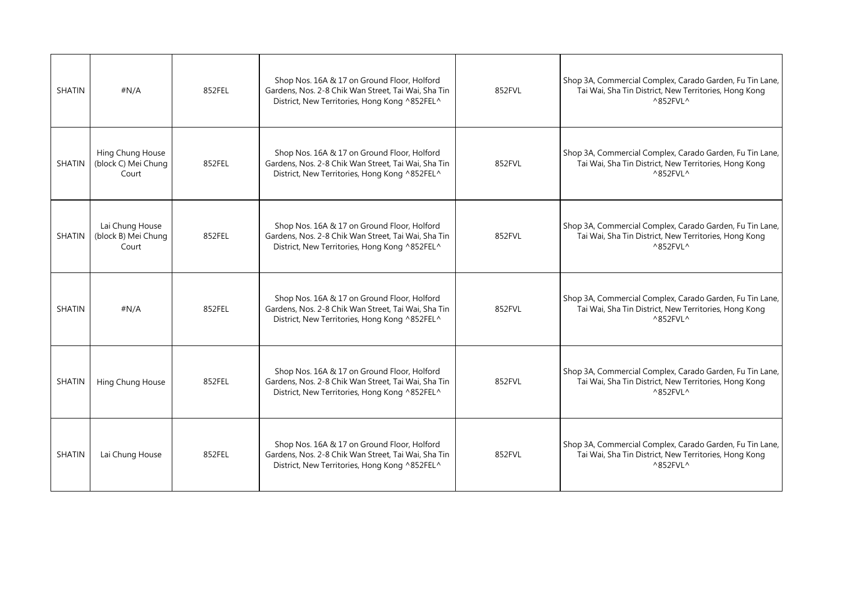| <b>SHATIN</b> | #N/A                                             | 852FEL | Shop Nos. 16A & 17 on Ground Floor, Holford<br>Gardens, Nos. 2-8 Chik Wan Street, Tai Wai, Sha Tin<br>District, New Territories, Hong Kong ^852FEL^ | 852FVL | Shop 3A, Commercial Complex, Carado Garden, Fu Tin Lane,<br>Tai Wai, Sha Tin District, New Territories, Hong Kong<br>$^{\wedge}852$ FVL $^{\wedge}$ |
|---------------|--------------------------------------------------|--------|-----------------------------------------------------------------------------------------------------------------------------------------------------|--------|-----------------------------------------------------------------------------------------------------------------------------------------------------|
| <b>SHATIN</b> | Hing Chung House<br>(block C) Mei Chung<br>Court | 852FEL | Shop Nos. 16A & 17 on Ground Floor, Holford<br>Gardens, Nos. 2-8 Chik Wan Street, Tai Wai, Sha Tin<br>District, New Territories, Hong Kong ^852FEL^ | 852FVL | Shop 3A, Commercial Complex, Carado Garden, Fu Tin Lane,<br>Tai Wai, Sha Tin District, New Territories, Hong Kong<br>$^{\wedge}852$ FVL $^{\wedge}$ |
| <b>SHATIN</b> | Lai Chung House<br>(block B) Mei Chung<br>Court  | 852FEL | Shop Nos. 16A & 17 on Ground Floor, Holford<br>Gardens, Nos. 2-8 Chik Wan Street, Tai Wai, Sha Tin<br>District, New Territories, Hong Kong ^852FEL^ | 852FVL | Shop 3A, Commercial Complex, Carado Garden, Fu Tin Lane,<br>Tai Wai, Sha Tin District, New Territories, Hong Kong<br>$^{\wedge}852$ FVL $^{\wedge}$ |
| <b>SHATIN</b> | #N/A                                             | 852FEL | Shop Nos. 16A & 17 on Ground Floor, Holford<br>Gardens, Nos. 2-8 Chik Wan Street, Tai Wai, Sha Tin<br>District, New Territories, Hong Kong ^852FEL^ | 852FVL | Shop 3A, Commercial Complex, Carado Garden, Fu Tin Lane,<br>Tai Wai, Sha Tin District, New Territories, Hong Kong<br>$^{\wedge}852$ FVL $^{\wedge}$ |
| <b>SHATIN</b> | Hing Chung House                                 | 852FEL | Shop Nos. 16A & 17 on Ground Floor, Holford<br>Gardens, Nos. 2-8 Chik Wan Street, Tai Wai, Sha Tin<br>District, New Territories, Hong Kong ^852FEL^ | 852FVL | Shop 3A, Commercial Complex, Carado Garden, Fu Tin Lane,<br>Tai Wai, Sha Tin District, New Territories, Hong Kong<br>$^{\wedge}852$ FVL $^{\wedge}$ |
| <b>SHATIN</b> | Lai Chung House                                  | 852FEL | Shop Nos. 16A & 17 on Ground Floor, Holford<br>Gardens, Nos. 2-8 Chik Wan Street, Tai Wai, Sha Tin<br>District, New Territories, Hong Kong ^852FEL^ | 852FVL | Shop 3A, Commercial Complex, Carado Garden, Fu Tin Lane,<br>Tai Wai, Sha Tin District, New Territories, Hong Kong<br>^852FVL^                       |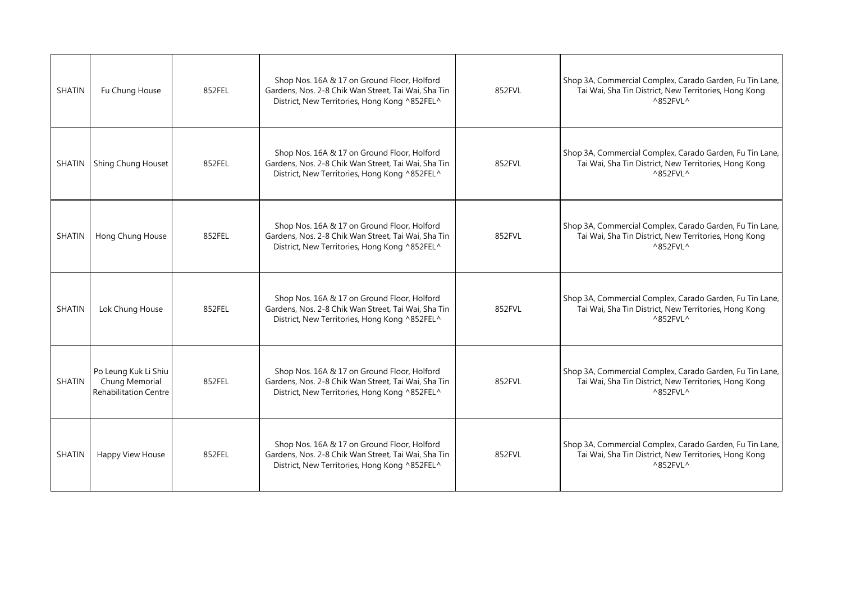| <b>SHATIN</b> | Fu Chung House                                                         | 852FEL | Shop Nos. 16A & 17 on Ground Floor, Holford<br>Gardens, Nos. 2-8 Chik Wan Street, Tai Wai, Sha Tin<br>District, New Territories, Hong Kong ^852FEL^ | 852FVL | Shop 3A, Commercial Complex, Carado Garden, Fu Tin Lane,<br>Tai Wai, Sha Tin District, New Territories, Hong Kong<br>$^{\wedge}852$ FVL $^{\wedge}$ |
|---------------|------------------------------------------------------------------------|--------|-----------------------------------------------------------------------------------------------------------------------------------------------------|--------|-----------------------------------------------------------------------------------------------------------------------------------------------------|
| SHATIN        | Shing Chung Houset                                                     | 852FEL | Shop Nos. 16A & 17 on Ground Floor, Holford<br>Gardens, Nos. 2-8 Chik Wan Street, Tai Wai, Sha Tin<br>District, New Territories, Hong Kong ^852FEL^ | 852FVL | Shop 3A, Commercial Complex, Carado Garden, Fu Tin Lane,<br>Tai Wai, Sha Tin District, New Territories, Hong Kong<br>$^{\wedge}852$ FVL ^           |
| SHATIN        | Hong Chung House                                                       | 852FEL | Shop Nos. 16A & 17 on Ground Floor, Holford<br>Gardens, Nos. 2-8 Chik Wan Street, Tai Wai, Sha Tin<br>District, New Territories, Hong Kong ^852FEL^ | 852FVL | Shop 3A, Commercial Complex, Carado Garden, Fu Tin Lane,<br>Tai Wai, Sha Tin District, New Territories, Hong Kong<br>$^{\wedge}852$ FVL $^{\wedge}$ |
| <b>SHATIN</b> | Lok Chung House                                                        | 852FEL | Shop Nos. 16A & 17 on Ground Floor, Holford<br>Gardens, Nos. 2-8 Chik Wan Street, Tai Wai, Sha Tin<br>District, New Territories, Hong Kong ^852FEL^ | 852FVL | Shop 3A, Commercial Complex, Carado Garden, Fu Tin Lane,<br>Tai Wai, Sha Tin District, New Territories, Hong Kong<br>$^{\wedge}852$ FVL $^{\wedge}$ |
| SHATIN        | Po Leung Kuk Li Shiu<br>Chung Memorial<br><b>Rehabilitation Centre</b> | 852FEL | Shop Nos. 16A & 17 on Ground Floor, Holford<br>Gardens, Nos. 2-8 Chik Wan Street, Tai Wai, Sha Tin<br>District, New Territories, Hong Kong ^852FEL^ | 852FVL | Shop 3A, Commercial Complex, Carado Garden, Fu Tin Lane,<br>Tai Wai, Sha Tin District, New Territories, Hong Kong<br>$^{\wedge}852$ FVL $^{\wedge}$ |
| SHATIN        | Happy View House                                                       | 852FEL | Shop Nos. 16A & 17 on Ground Floor, Holford<br>Gardens, Nos. 2-8 Chik Wan Street, Tai Wai, Sha Tin<br>District, New Territories, Hong Kong ^852FEL^ | 852FVL | Shop 3A, Commercial Complex, Carado Garden, Fu Tin Lane,<br>Tai Wai, Sha Tin District, New Territories, Hong Kong<br>$^{\wedge}852$ FVL ^           |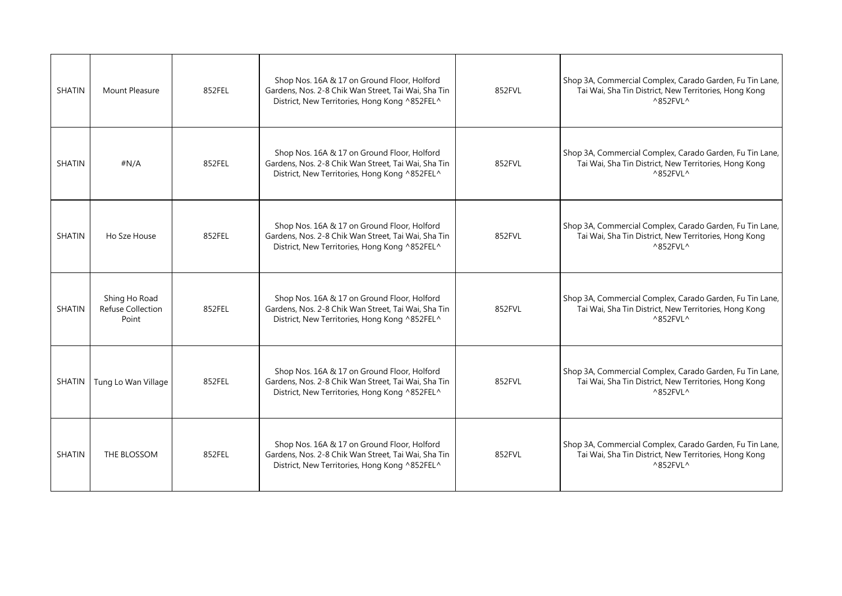| <b>SHATIN</b> | Mount Pleasure                              | 852FEL | Shop Nos. 16A & 17 on Ground Floor, Holford<br>Gardens, Nos. 2-8 Chik Wan Street, Tai Wai, Sha Tin<br>District, New Territories, Hong Kong ^852FEL^ | 852FVL | Shop 3A, Commercial Complex, Carado Garden, Fu Tin Lane,<br>Tai Wai, Sha Tin District, New Territories, Hong Kong<br>$^{\wedge}852$ FVL $^{\wedge}$ |
|---------------|---------------------------------------------|--------|-----------------------------------------------------------------------------------------------------------------------------------------------------|--------|-----------------------------------------------------------------------------------------------------------------------------------------------------|
| <b>SHATIN</b> | #N/A                                        | 852FEL | Shop Nos. 16A & 17 on Ground Floor, Holford<br>Gardens, Nos. 2-8 Chik Wan Street, Tai Wai, Sha Tin<br>District, New Territories, Hong Kong ^852FEL^ | 852FVL | Shop 3A, Commercial Complex, Carado Garden, Fu Tin Lane,<br>Tai Wai, Sha Tin District, New Territories, Hong Kong<br>$^{\wedge}852$ FVL ^           |
| <b>SHATIN</b> | Ho Sze House                                | 852FEL | Shop Nos. 16A & 17 on Ground Floor, Holford<br>Gardens, Nos. 2-8 Chik Wan Street, Tai Wai, Sha Tin<br>District, New Territories, Hong Kong ^852FEL^ | 852FVL | Shop 3A, Commercial Complex, Carado Garden, Fu Tin Lane,<br>Tai Wai, Sha Tin District, New Territories, Hong Kong<br>$^{\wedge}852$ FVL $^{\wedge}$ |
| <b>SHATIN</b> | Shing Ho Road<br>Refuse Collection<br>Point | 852FEL | Shop Nos. 16A & 17 on Ground Floor, Holford<br>Gardens, Nos. 2-8 Chik Wan Street, Tai Wai, Sha Tin<br>District, New Territories, Hong Kong ^852FEL^ | 852FVL | Shop 3A, Commercial Complex, Carado Garden, Fu Tin Lane,<br>Tai Wai, Sha Tin District, New Territories, Hong Kong<br>$^{\wedge}852$ FVL ^           |
| SHATIN        | Tung Lo Wan Village                         | 852FEL | Shop Nos. 16A & 17 on Ground Floor, Holford<br>Gardens, Nos. 2-8 Chik Wan Street, Tai Wai, Sha Tin<br>District, New Territories, Hong Kong ^852FEL^ | 852FVL | Shop 3A, Commercial Complex, Carado Garden, Fu Tin Lane,<br>Tai Wai, Sha Tin District, New Territories, Hong Kong<br>$^{\wedge}852$ FVL $^{\wedge}$ |
| <b>SHATIN</b> | THE BLOSSOM                                 | 852FEL | Shop Nos. 16A & 17 on Ground Floor, Holford<br>Gardens, Nos. 2-8 Chik Wan Street, Tai Wai, Sha Tin<br>District, New Territories, Hong Kong ^852FEL^ | 852FVL | Shop 3A, Commercial Complex, Carado Garden, Fu Tin Lane,<br>Tai Wai, Sha Tin District, New Territories, Hong Kong<br>$^{\wedge}852$ FVL ^           |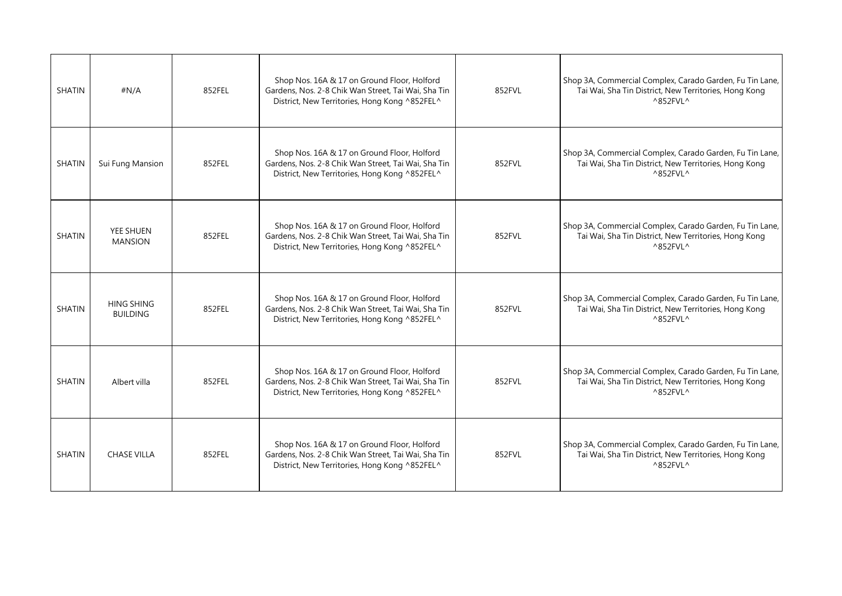| <b>SHATIN</b> | #N/A                                 | 852FEL | Shop Nos. 16A & 17 on Ground Floor, Holford<br>Gardens, Nos. 2-8 Chik Wan Street, Tai Wai, Sha Tin<br>District, New Territories, Hong Kong ^852FEL^ | 852FVL | Shop 3A, Commercial Complex, Carado Garden, Fu Tin Lane,<br>Tai Wai, Sha Tin District, New Territories, Hong Kong<br>$^{\wedge}852$ FVL $^{\wedge}$ |
|---------------|--------------------------------------|--------|-----------------------------------------------------------------------------------------------------------------------------------------------------|--------|-----------------------------------------------------------------------------------------------------------------------------------------------------|
| SHATIN        | Sui Fung Mansion                     | 852FEL | Shop Nos. 16A & 17 on Ground Floor, Holford<br>Gardens, Nos. 2-8 Chik Wan Street, Tai Wai, Sha Tin<br>District, New Territories, Hong Kong ^852FEL^ | 852FVL | Shop 3A, Commercial Complex, Carado Garden, Fu Tin Lane,<br>Tai Wai, Sha Tin District, New Territories, Hong Kong<br>$^{\wedge}852$ FVL $^{\wedge}$ |
| <b>SHATIN</b> | YEE SHUEN<br><b>MANSION</b>          | 852FEL | Shop Nos. 16A & 17 on Ground Floor, Holford<br>Gardens, Nos. 2-8 Chik Wan Street, Tai Wai, Sha Tin<br>District, New Territories, Hong Kong ^852FEL^ | 852FVL | Shop 3A, Commercial Complex, Carado Garden, Fu Tin Lane,<br>Tai Wai, Sha Tin District, New Territories, Hong Kong<br>$^{\wedge}852$ FVL ^           |
| <b>SHATIN</b> | <b>HING SHING</b><br><b>BUILDING</b> | 852FEL | Shop Nos. 16A & 17 on Ground Floor, Holford<br>Gardens, Nos. 2-8 Chik Wan Street, Tai Wai, Sha Tin<br>District, New Territories, Hong Kong ^852FEL^ | 852FVL | Shop 3A, Commercial Complex, Carado Garden, Fu Tin Lane,<br>Tai Wai, Sha Tin District, New Territories, Hong Kong<br>$^{\wedge}852$ FVL ^           |
| <b>SHATIN</b> | Albert villa                         | 852FEL | Shop Nos. 16A & 17 on Ground Floor, Holford<br>Gardens, Nos. 2-8 Chik Wan Street, Tai Wai, Sha Tin<br>District, New Territories, Hong Kong ^852FEL^ | 852FVL | Shop 3A, Commercial Complex, Carado Garden, Fu Tin Lane,<br>Tai Wai, Sha Tin District, New Territories, Hong Kong<br>$^{\wedge}852$ FVL $^{\wedge}$ |
| SHATIN        | <b>CHASE VILLA</b>                   | 852FEL | Shop Nos. 16A & 17 on Ground Floor, Holford<br>Gardens, Nos. 2-8 Chik Wan Street, Tai Wai, Sha Tin<br>District, New Territories, Hong Kong ^852FEL^ | 852FVL | Shop 3A, Commercial Complex, Carado Garden, Fu Tin Lane,<br>Tai Wai, Sha Tin District, New Territories, Hong Kong<br>$^{\wedge}852$ FVL ^           |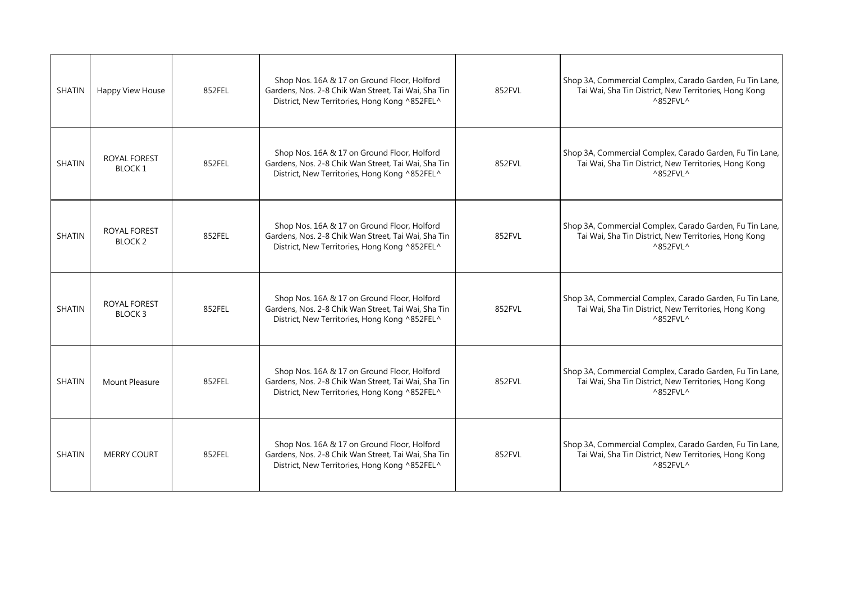| <b>SHATIN</b> | Happy View House                     | 852FEL | Shop Nos. 16A & 17 on Ground Floor, Holford<br>Gardens, Nos. 2-8 Chik Wan Street, Tai Wai, Sha Tin<br>District, New Territories, Hong Kong ^852FEL^ | 852FVL | Shop 3A, Commercial Complex, Carado Garden, Fu Tin Lane,<br>Tai Wai, Sha Tin District, New Territories, Hong Kong<br>$^{\wedge}852$ FVL $^{\wedge}$ |
|---------------|--------------------------------------|--------|-----------------------------------------------------------------------------------------------------------------------------------------------------|--------|-----------------------------------------------------------------------------------------------------------------------------------------------------|
| <b>SHATIN</b> | <b>ROYAL FOREST</b><br><b>BLOCK1</b> | 852FEL | Shop Nos. 16A & 17 on Ground Floor, Holford<br>Gardens, Nos. 2-8 Chik Wan Street, Tai Wai, Sha Tin<br>District, New Territories, Hong Kong ^852FEL^ | 852FVL | Shop 3A, Commercial Complex, Carado Garden, Fu Tin Lane,<br>Tai Wai, Sha Tin District, New Territories, Hong Kong<br>$^{\wedge}852$ FVL ^           |
| <b>SHATIN</b> | <b>ROYAL FOREST</b><br><b>BLOCK2</b> | 852FEL | Shop Nos. 16A & 17 on Ground Floor, Holford<br>Gardens, Nos. 2-8 Chik Wan Street, Tai Wai, Sha Tin<br>District, New Territories, Hong Kong ^852FEL^ | 852FVL | Shop 3A, Commercial Complex, Carado Garden, Fu Tin Lane,<br>Tai Wai, Sha Tin District, New Territories, Hong Kong<br>$^{\wedge}852$ FVL ^           |
| <b>SHATIN</b> | <b>ROYAL FOREST</b><br>BLOCK 3       | 852FEL | Shop Nos. 16A & 17 on Ground Floor, Holford<br>Gardens, Nos. 2-8 Chik Wan Street, Tai Wai, Sha Tin<br>District, New Territories, Hong Kong ^852FEL^ | 852FVL | Shop 3A, Commercial Complex, Carado Garden, Fu Tin Lane,<br>Tai Wai, Sha Tin District, New Territories, Hong Kong<br>$^{\wedge}852$ FVL ^           |
| <b>SHATIN</b> | Mount Pleasure                       | 852FEL | Shop Nos. 16A & 17 on Ground Floor, Holford<br>Gardens, Nos. 2-8 Chik Wan Street, Tai Wai, Sha Tin<br>District, New Territories, Hong Kong ^852FEL^ | 852FVL | Shop 3A, Commercial Complex, Carado Garden, Fu Tin Lane,<br>Tai Wai, Sha Tin District, New Territories, Hong Kong<br>$^{\wedge}852$ FVL ^           |
| <b>SHATIN</b> | <b>MERRY COURT</b>                   | 852FEL | Shop Nos. 16A & 17 on Ground Floor, Holford<br>Gardens, Nos. 2-8 Chik Wan Street, Tai Wai, Sha Tin<br>District, New Territories, Hong Kong ^852FEL^ | 852FVL | Shop 3A, Commercial Complex, Carado Garden, Fu Tin Lane,<br>Tai Wai, Sha Tin District, New Territories, Hong Kong<br>$^{\wedge}852$ FVL ^           |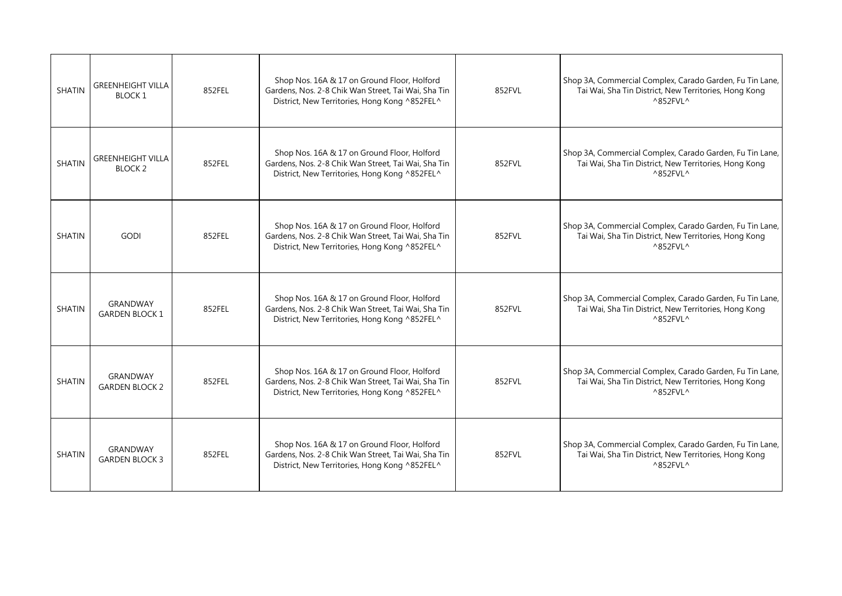| <b>SHATIN</b> | <b>GREENHEIGHT VILLA</b><br><b>BLOCK1</b>  | 852FEL | Shop Nos. 16A & 17 on Ground Floor, Holford<br>Gardens, Nos. 2-8 Chik Wan Street, Tai Wai, Sha Tin<br>District, New Territories, Hong Kong ^852FEL^ | 852FVL | Shop 3A, Commercial Complex, Carado Garden, Fu Tin Lane,<br>Tai Wai, Sha Tin District, New Territories, Hong Kong<br>$^{\wedge}852$ FVL $^{\wedge}$ |
|---------------|--------------------------------------------|--------|-----------------------------------------------------------------------------------------------------------------------------------------------------|--------|-----------------------------------------------------------------------------------------------------------------------------------------------------|
| <b>SHATIN</b> | <b>GREENHEIGHT VILLA</b><br><b>BLOCK 2</b> | 852FEL | Shop Nos. 16A & 17 on Ground Floor, Holford<br>Gardens, Nos. 2-8 Chik Wan Street, Tai Wai, Sha Tin<br>District, New Territories, Hong Kong ^852FEL^ | 852FVL | Shop 3A, Commercial Complex, Carado Garden, Fu Tin Lane,<br>Tai Wai, Sha Tin District, New Territories, Hong Kong<br>^852FVL^                       |
| <b>SHATIN</b> | <b>GODI</b>                                | 852FEL | Shop Nos. 16A & 17 on Ground Floor, Holford<br>Gardens, Nos. 2-8 Chik Wan Street, Tai Wai, Sha Tin<br>District, New Territories, Hong Kong ^852FEL^ | 852FVL | Shop 3A, Commercial Complex, Carado Garden, Fu Tin Lane,<br>Tai Wai, Sha Tin District, New Territories, Hong Kong<br>^852FVL^                       |
| <b>SHATIN</b> | <b>GRANDWAY</b><br><b>GARDEN BLOCK 1</b>   | 852FEL | Shop Nos. 16A & 17 on Ground Floor, Holford<br>Gardens, Nos. 2-8 Chik Wan Street, Tai Wai, Sha Tin<br>District, New Territories, Hong Kong ^852FEL^ | 852FVL | Shop 3A, Commercial Complex, Carado Garden, Fu Tin Lane,<br>Tai Wai, Sha Tin District, New Territories, Hong Kong<br>$^{\wedge}852$ FVL $^{\wedge}$ |
| <b>SHATIN</b> | GRANDWAY<br><b>GARDEN BLOCK 2</b>          | 852FEL | Shop Nos. 16A & 17 on Ground Floor, Holford<br>Gardens, Nos. 2-8 Chik Wan Street, Tai Wai, Sha Tin<br>District, New Territories, Hong Kong ^852FEL^ | 852FVL | Shop 3A, Commercial Complex, Carado Garden, Fu Tin Lane,<br>Tai Wai, Sha Tin District, New Territories, Hong Kong<br>$^{\wedge}852$ FVL $^{\wedge}$ |
| <b>SHATIN</b> | GRANDWAY<br><b>GARDEN BLOCK 3</b>          | 852FEL | Shop Nos. 16A & 17 on Ground Floor, Holford<br>Gardens, Nos. 2-8 Chik Wan Street, Tai Wai, Sha Tin<br>District, New Territories, Hong Kong ^852FEL^ | 852FVL | Shop 3A, Commercial Complex, Carado Garden, Fu Tin Lane,<br>Tai Wai, Sha Tin District, New Territories, Hong Kong<br>^852FVL^                       |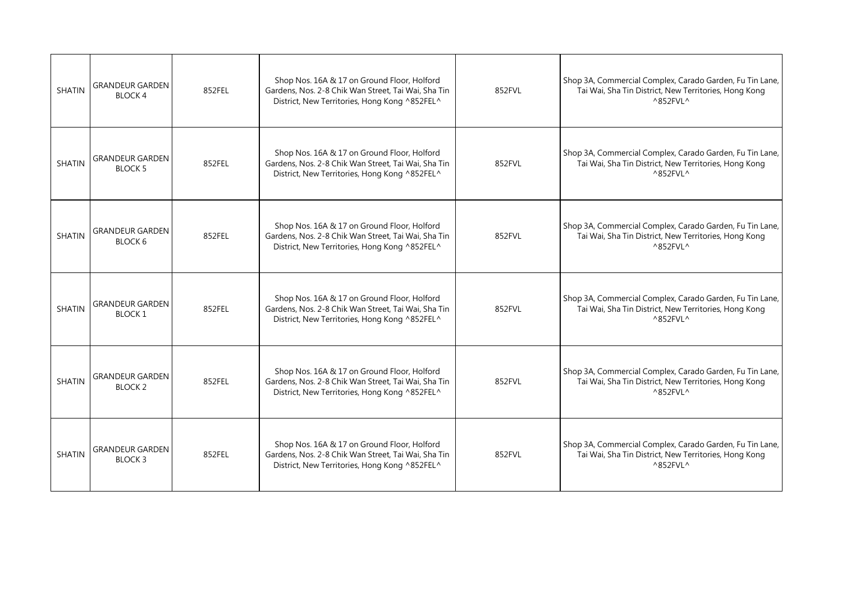| <b>SHATIN</b> | <b>GRANDEUR GARDEN</b><br>BLOCK <sub>4</sub> | 852FEL | Shop Nos. 16A & 17 on Ground Floor, Holford<br>Gardens, Nos. 2-8 Chik Wan Street, Tai Wai, Sha Tin<br>District, New Territories, Hong Kong ^852FEL^ | 852FVL | Shop 3A, Commercial Complex, Carado Garden, Fu Tin Lane,<br>Tai Wai, Sha Tin District, New Territories, Hong Kong<br>$^{\wedge}852$ FVL $^{\wedge}$ |
|---------------|----------------------------------------------|--------|-----------------------------------------------------------------------------------------------------------------------------------------------------|--------|-----------------------------------------------------------------------------------------------------------------------------------------------------|
| <b>SHATIN</b> | GRANDEUR GARDEN<br><b>BLOCK 5</b>            | 852FEL | Shop Nos. 16A & 17 on Ground Floor, Holford<br>Gardens, Nos. 2-8 Chik Wan Street, Tai Wai, Sha Tin<br>District, New Territories, Hong Kong ^852FEL^ | 852FVL | Shop 3A, Commercial Complex, Carado Garden, Fu Tin Lane,<br>Tai Wai, Sha Tin District, New Territories, Hong Kong<br>^852FVL^                       |
| <b>SHATIN</b> | <b>GRANDEUR GARDEN</b><br>BLOCK 6            | 852FEL | Shop Nos. 16A & 17 on Ground Floor, Holford<br>Gardens, Nos. 2-8 Chik Wan Street, Tai Wai, Sha Tin<br>District, New Territories, Hong Kong ^852FEL^ | 852FVL | Shop 3A, Commercial Complex, Carado Garden, Fu Tin Lane,<br>Tai Wai, Sha Tin District, New Territories, Hong Kong<br>$^{\wedge}852$ FVL $^{\wedge}$ |
| <b>SHATIN</b> | <b>GRANDEUR GARDEN</b><br><b>BLOCK1</b>      | 852FEL | Shop Nos. 16A & 17 on Ground Floor, Holford<br>Gardens, Nos. 2-8 Chik Wan Street, Tai Wai, Sha Tin<br>District, New Territories, Hong Kong ^852FEL^ | 852FVL | Shop 3A, Commercial Complex, Carado Garden, Fu Tin Lane,<br>Tai Wai, Sha Tin District, New Territories, Hong Kong<br>^852FVL^                       |
| <b>SHATIN</b> | <b>GRANDEUR GARDEN</b><br>BLOCK 2            | 852FEL | Shop Nos. 16A & 17 on Ground Floor, Holford<br>Gardens, Nos. 2-8 Chik Wan Street, Tai Wai, Sha Tin<br>District, New Territories, Hong Kong ^852FEL^ | 852FVL | Shop 3A, Commercial Complex, Carado Garden, Fu Tin Lane,<br>Tai Wai, Sha Tin District, New Territories, Hong Kong<br>^852FVL^                       |
| <b>SHATIN</b> | <b>GRANDEUR GARDEN</b><br><b>BLOCK3</b>      | 852FEL | Shop Nos. 16A & 17 on Ground Floor, Holford<br>Gardens, Nos. 2-8 Chik Wan Street, Tai Wai, Sha Tin<br>District, New Territories, Hong Kong ^852FEL^ | 852FVL | Shop 3A, Commercial Complex, Carado Garden, Fu Tin Lane,<br>Tai Wai, Sha Tin District, New Territories, Hong Kong<br>^852FVL^                       |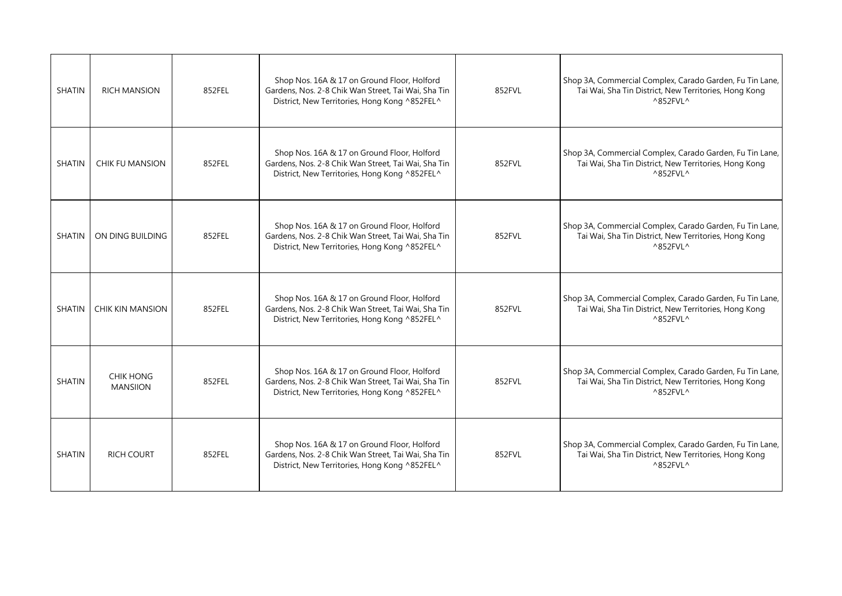| <b>SHATIN</b> | <b>RICH MANSION</b>                 | 852FEL | Shop Nos. 16A & 17 on Ground Floor, Holford<br>Gardens, Nos. 2-8 Chik Wan Street, Tai Wai, Sha Tin<br>District, New Territories, Hong Kong ^852FEL^ | 852FVL | Shop 3A, Commercial Complex, Carado Garden, Fu Tin Lane,<br>Tai Wai, Sha Tin District, New Territories, Hong Kong<br>$^{\wedge}852$ FVL $^{\wedge}$ |
|---------------|-------------------------------------|--------|-----------------------------------------------------------------------------------------------------------------------------------------------------|--------|-----------------------------------------------------------------------------------------------------------------------------------------------------|
| <b>SHATIN</b> | CHIK FU MANSION                     | 852FEL | Shop Nos. 16A & 17 on Ground Floor, Holford<br>Gardens, Nos. 2-8 Chik Wan Street, Tai Wai, Sha Tin<br>District, New Territories, Hong Kong ^852FEL^ | 852FVL | Shop 3A, Commercial Complex, Carado Garden, Fu Tin Lane,<br>Tai Wai, Sha Tin District, New Territories, Hong Kong<br>$^{\wedge}852$ FVL ^           |
| <b>SHATIN</b> | ON DING BUILDING                    | 852FEL | Shop Nos. 16A & 17 on Ground Floor, Holford<br>Gardens, Nos. 2-8 Chik Wan Street, Tai Wai, Sha Tin<br>District, New Territories, Hong Kong ^852FEL^ | 852FVL | Shop 3A, Commercial Complex, Carado Garden, Fu Tin Lane,<br>Tai Wai, Sha Tin District, New Territories, Hong Kong<br>$^{\wedge}852$ FVL ^           |
| <b>SHATIN</b> | <b>CHIK KIN MANSION</b>             | 852FEL | Shop Nos. 16A & 17 on Ground Floor, Holford<br>Gardens, Nos. 2-8 Chik Wan Street, Tai Wai, Sha Tin<br>District, New Territories, Hong Kong ^852FEL^ | 852FVL | Shop 3A, Commercial Complex, Carado Garden, Fu Tin Lane,<br>Tai Wai, Sha Tin District, New Territories, Hong Kong<br>$^{\wedge}852$ FVL ^           |
| <b>SHATIN</b> | <b>CHIK HONG</b><br><b>MANSIION</b> | 852FEL | Shop Nos. 16A & 17 on Ground Floor, Holford<br>Gardens, Nos. 2-8 Chik Wan Street, Tai Wai, Sha Tin<br>District, New Territories, Hong Kong ^852FEL^ | 852FVL | Shop 3A, Commercial Complex, Carado Garden, Fu Tin Lane,<br>Tai Wai, Sha Tin District, New Territories, Hong Kong<br>$^{\wedge}852$ FVL ^           |
| <b>SHATIN</b> | <b>RICH COURT</b>                   | 852FEL | Shop Nos. 16A & 17 on Ground Floor, Holford<br>Gardens, Nos. 2-8 Chik Wan Street, Tai Wai, Sha Tin<br>District, New Territories, Hong Kong ^852FEL^ | 852FVL | Shop 3A, Commercial Complex, Carado Garden, Fu Tin Lane,<br>Tai Wai, Sha Tin District, New Territories, Hong Kong<br>$^{\wedge}852$ FVL ^           |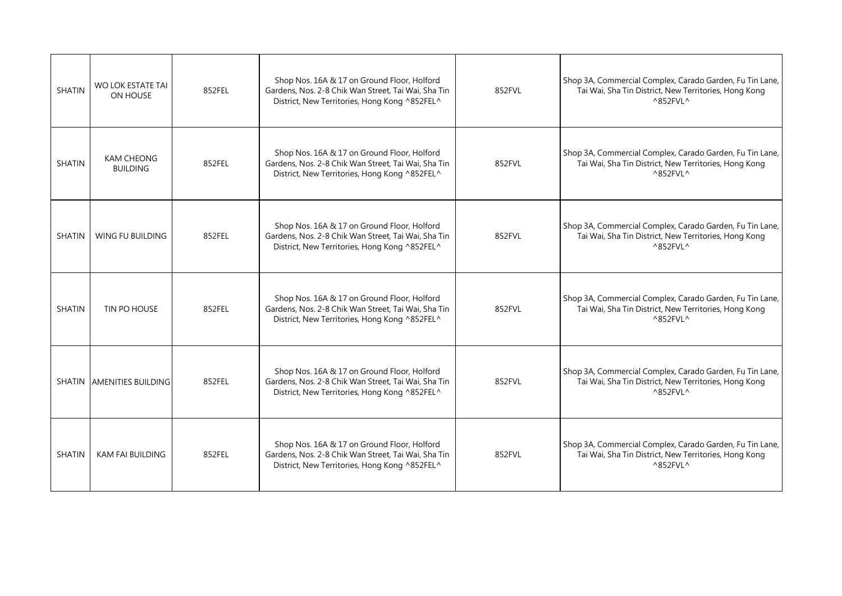| <b>SHATIN</b> | WO LOK ESTATE TAI<br>ON HOUSE        | 852FEL | Shop Nos. 16A & 17 on Ground Floor, Holford<br>Gardens, Nos. 2-8 Chik Wan Street, Tai Wai, Sha Tin<br>District, New Territories, Hong Kong ^852FEL^ | 852FVL | Shop 3A, Commercial Complex, Carado Garden, Fu Tin Lane,<br>Tai Wai, Sha Tin District, New Territories, Hong Kong<br>$^{\wedge}852$ FVL $^{\wedge}$ |
|---------------|--------------------------------------|--------|-----------------------------------------------------------------------------------------------------------------------------------------------------|--------|-----------------------------------------------------------------------------------------------------------------------------------------------------|
| <b>SHATIN</b> | <b>KAM CHEONG</b><br><b>BUILDING</b> | 852FEL | Shop Nos. 16A & 17 on Ground Floor, Holford<br>Gardens, Nos. 2-8 Chik Wan Street, Tai Wai, Sha Tin<br>District, New Territories, Hong Kong ^852FEL^ | 852FVL | Shop 3A, Commercial Complex, Carado Garden, Fu Tin Lane,<br>Tai Wai, Sha Tin District, New Territories, Hong Kong<br>$^{\wedge}852$ FVL $^{\wedge}$ |
| <b>SHATIN</b> | <b>WING FU BUILDING</b>              | 852FEL | Shop Nos. 16A & 17 on Ground Floor, Holford<br>Gardens, Nos. 2-8 Chik Wan Street, Tai Wai, Sha Tin<br>District, New Territories, Hong Kong ^852FEL^ | 852FVL | Shop 3A, Commercial Complex, Carado Garden, Fu Tin Lane,<br>Tai Wai, Sha Tin District, New Territories, Hong Kong<br>$^{\wedge}852$ FVL ^           |
| <b>SHATIN</b> | TIN PO HOUSE                         | 852FEL | Shop Nos. 16A & 17 on Ground Floor, Holford<br>Gardens, Nos. 2-8 Chik Wan Street, Tai Wai, Sha Tin<br>District, New Territories, Hong Kong ^852FEL^ | 852FVL | Shop 3A, Commercial Complex, Carado Garden, Fu Tin Lane,<br>Tai Wai, Sha Tin District, New Territories, Hong Kong<br>$^{\wedge}852$ FVL ^           |
|               | SHATIN AMENITIES BUILDING            | 852FEL | Shop Nos. 16A & 17 on Ground Floor, Holford<br>Gardens, Nos. 2-8 Chik Wan Street, Tai Wai, Sha Tin<br>District, New Territories, Hong Kong ^852FEL^ | 852FVL | Shop 3A, Commercial Complex, Carado Garden, Fu Tin Lane,<br>Tai Wai, Sha Tin District, New Territories, Hong Kong<br>$^{\wedge}852$ FVL $^{\wedge}$ |
| <b>SHATIN</b> | <b>KAM FAI BUILDING</b>              | 852FEL | Shop Nos. 16A & 17 on Ground Floor, Holford<br>Gardens, Nos. 2-8 Chik Wan Street, Tai Wai, Sha Tin<br>District, New Territories, Hong Kong ^852FEL^ | 852FVL | Shop 3A, Commercial Complex, Carado Garden, Fu Tin Lane,<br>Tai Wai, Sha Tin District, New Territories, Hong Kong<br>$^{\wedge}852$ FVL ^           |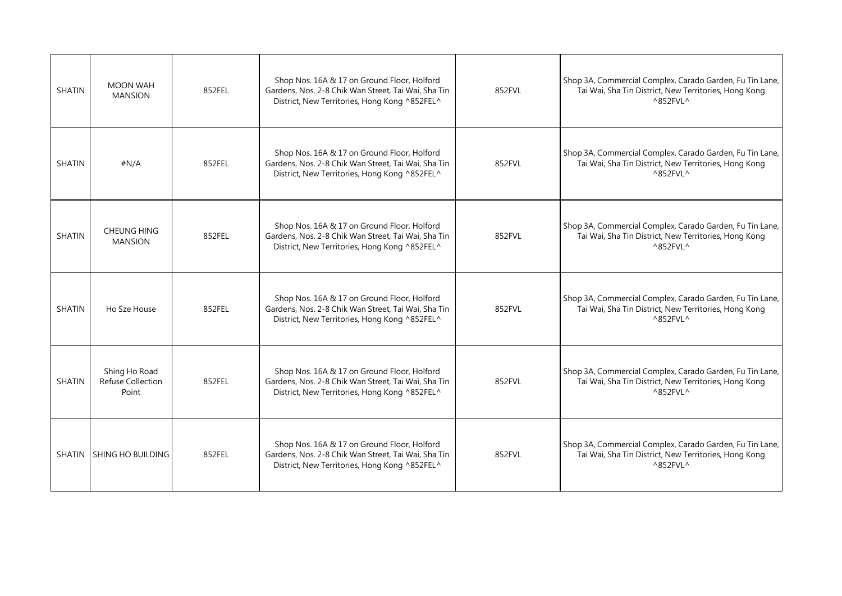| <b>SHATIN</b> | MOON WAH<br><b>MANSION</b>                  | 852FEL | Shop Nos. 16A & 17 on Ground Floor, Holford<br>Gardens, Nos. 2-8 Chik Wan Street, Tai Wai, Sha Tin<br>District, New Territories, Hong Kong ^852FEL^ | 852FVL | Shop 3A, Commercial Complex, Carado Garden, Fu Tin Lane,<br>Tai Wai, Sha Tin District, New Territories, Hong Kong<br>$^{\wedge}852$ FVL $^{\wedge}$ |
|---------------|---------------------------------------------|--------|-----------------------------------------------------------------------------------------------------------------------------------------------------|--------|-----------------------------------------------------------------------------------------------------------------------------------------------------|
| <b>SHATIN</b> | #N/A                                        | 852FEL | Shop Nos. 16A & 17 on Ground Floor, Holford<br>Gardens, Nos. 2-8 Chik Wan Street, Tai Wai, Sha Tin<br>District, New Territories, Hong Kong ^852FEL^ | 852FVL | Shop 3A, Commercial Complex, Carado Garden, Fu Tin Lane,<br>Tai Wai, Sha Tin District, New Territories, Hong Kong<br>$^{\wedge}852$ FVL $^{\wedge}$ |
| <b>SHATIN</b> | <b>CHEUNG HING</b><br><b>MANSION</b>        | 852FEL | Shop Nos. 16A & 17 on Ground Floor, Holford<br>Gardens, Nos. 2-8 Chik Wan Street, Tai Wai, Sha Tin<br>District, New Territories, Hong Kong ^852FEL^ | 852FVL | Shop 3A, Commercial Complex, Carado Garden, Fu Tin Lane,<br>Tai Wai, Sha Tin District, New Territories, Hong Kong<br>$^{\wedge}852$ FVL ^           |
| <b>SHATIN</b> | Ho Sze House                                | 852FEL | Shop Nos. 16A & 17 on Ground Floor, Holford<br>Gardens, Nos. 2-8 Chik Wan Street, Tai Wai, Sha Tin<br>District, New Territories, Hong Kong ^852FEL^ | 852FVL | Shop 3A, Commercial Complex, Carado Garden, Fu Tin Lane,<br>Tai Wai, Sha Tin District, New Territories, Hong Kong<br>$^{\wedge}852$ FVL ^           |
| SHATIN        | Shing Ho Road<br>Refuse Collection<br>Point | 852FEL | Shop Nos. 16A & 17 on Ground Floor, Holford<br>Gardens, Nos. 2-8 Chik Wan Street, Tai Wai, Sha Tin<br>District, New Territories, Hong Kong ^852FEL^ | 852FVL | Shop 3A, Commercial Complex, Carado Garden, Fu Tin Lane,<br>Tai Wai, Sha Tin District, New Territories, Hong Kong<br>$^{\wedge}852$ FVL ^           |
|               | SHATIN SHING HO BUILDING                    | 852FEL | Shop Nos. 16A & 17 on Ground Floor, Holford<br>Gardens, Nos. 2-8 Chik Wan Street, Tai Wai, Sha Tin<br>District, New Territories, Hong Kong ^852FEL^ | 852FVL | Shop 3A, Commercial Complex, Carado Garden, Fu Tin Lane,<br>Tai Wai, Sha Tin District, New Territories, Hong Kong<br>$^{\wedge}852$ FVL ^           |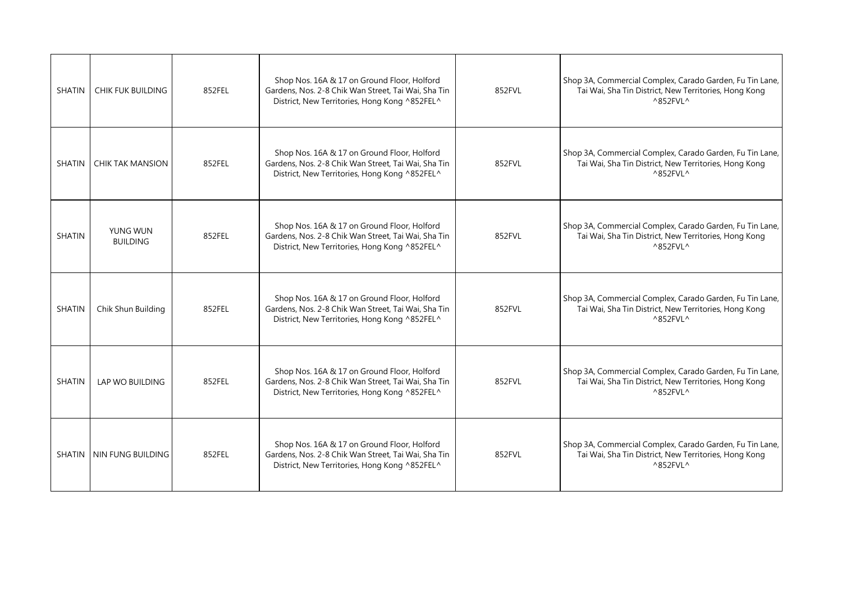| SHATIN        | <b>CHIK FUK BUILDING</b>    | 852FEL | Shop Nos. 16A & 17 on Ground Floor, Holford<br>Gardens, Nos. 2-8 Chik Wan Street, Tai Wai, Sha Tin<br>District, New Territories, Hong Kong ^852FEL^ | 852FVL | Shop 3A, Commercial Complex, Carado Garden, Fu Tin Lane,<br>Tai Wai, Sha Tin District, New Territories, Hong Kong<br>$^{\wedge}852$ FVL $^{\wedge}$ |
|---------------|-----------------------------|--------|-----------------------------------------------------------------------------------------------------------------------------------------------------|--------|-----------------------------------------------------------------------------------------------------------------------------------------------------|
| SHATIN        | <b>CHIK TAK MANSION</b>     | 852FEL | Shop Nos. 16A & 17 on Ground Floor, Holford<br>Gardens, Nos. 2-8 Chik Wan Street, Tai Wai, Sha Tin<br>District, New Territories, Hong Kong ^852FEL^ | 852FVL | Shop 3A, Commercial Complex, Carado Garden, Fu Tin Lane,<br>Tai Wai, Sha Tin District, New Territories, Hong Kong<br>$^{\wedge}852$ FVL $^{\wedge}$ |
| <b>SHATIN</b> | YUNG WUN<br><b>BUILDING</b> | 852FEL | Shop Nos. 16A & 17 on Ground Floor, Holford<br>Gardens, Nos. 2-8 Chik Wan Street, Tai Wai, Sha Tin<br>District, New Territories, Hong Kong ^852FEL^ | 852FVL | Shop 3A, Commercial Complex, Carado Garden, Fu Tin Lane,<br>Tai Wai, Sha Tin District, New Territories, Hong Kong<br>$^{\wedge}852$ FVL $^{\wedge}$ |
| <b>SHATIN</b> | Chik Shun Building          | 852FEL | Shop Nos. 16A & 17 on Ground Floor, Holford<br>Gardens, Nos. 2-8 Chik Wan Street, Tai Wai, Sha Tin<br>District, New Territories, Hong Kong ^852FEL^ | 852FVL | Shop 3A, Commercial Complex, Carado Garden, Fu Tin Lane,<br>Tai Wai, Sha Tin District, New Territories, Hong Kong<br>$^{\wedge}852$ FVL ^           |
| SHATIN        | LAP WO BUILDING             | 852FEL | Shop Nos. 16A & 17 on Ground Floor, Holford<br>Gardens, Nos. 2-8 Chik Wan Street, Tai Wai, Sha Tin<br>District, New Territories, Hong Kong ^852FEL^ | 852FVL | Shop 3A, Commercial Complex, Carado Garden, Fu Tin Lane,<br>Tai Wai, Sha Tin District, New Territories, Hong Kong<br>$^{\wedge}852$ FVL $^{\wedge}$ |
|               | SHATIN ININ FUNG BUILDING   | 852FEL | Shop Nos. 16A & 17 on Ground Floor, Holford<br>Gardens, Nos. 2-8 Chik Wan Street, Tai Wai, Sha Tin<br>District, New Territories, Hong Kong ^852FEL^ | 852FVL | Shop 3A, Commercial Complex, Carado Garden, Fu Tin Lane,<br>Tai Wai, Sha Tin District, New Territories, Hong Kong<br>$^{\wedge}852$ FVL ^           |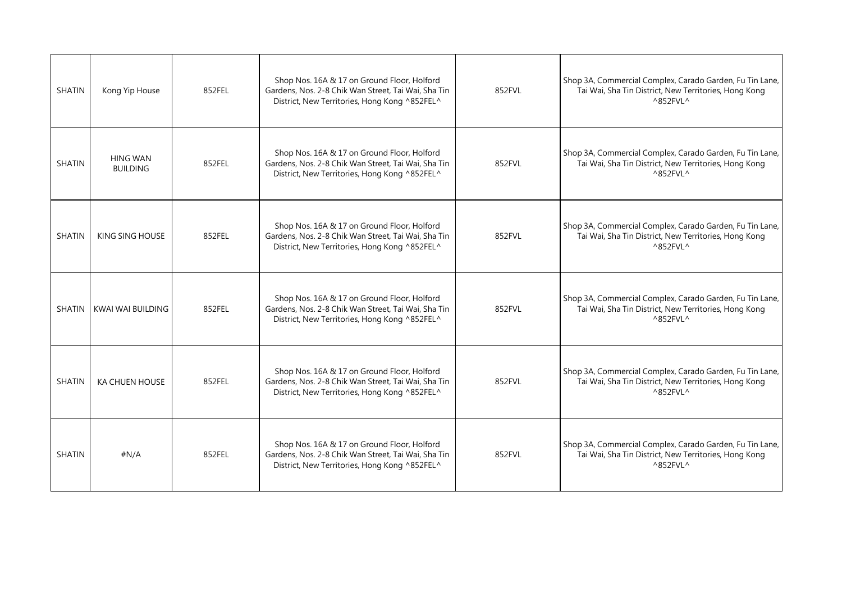| <b>SHATIN</b> | Kong Yip House                     | 852FEL | Shop Nos. 16A & 17 on Ground Floor, Holford<br>Gardens, Nos. 2-8 Chik Wan Street, Tai Wai, Sha Tin<br>District, New Territories, Hong Kong ^852FEL^ | 852FVL | Shop 3A, Commercial Complex, Carado Garden, Fu Tin Lane,<br>Tai Wai, Sha Tin District, New Territories, Hong Kong<br>$^{\wedge}852$ FVL $^{\wedge}$ |
|---------------|------------------------------------|--------|-----------------------------------------------------------------------------------------------------------------------------------------------------|--------|-----------------------------------------------------------------------------------------------------------------------------------------------------|
| <b>SHATIN</b> | <b>HING WAN</b><br><b>BUILDING</b> | 852FEL | Shop Nos. 16A & 17 on Ground Floor, Holford<br>Gardens, Nos. 2-8 Chik Wan Street, Tai Wai, Sha Tin<br>District, New Territories, Hong Kong ^852FEL^ | 852FVL | Shop 3A, Commercial Complex, Carado Garden, Fu Tin Lane,<br>Tai Wai, Sha Tin District, New Territories, Hong Kong<br>$^{\wedge}852$ FVL ^           |
| <b>SHATIN</b> | <b>KING SING HOUSE</b>             | 852FEL | Shop Nos. 16A & 17 on Ground Floor, Holford<br>Gardens, Nos. 2-8 Chik Wan Street, Tai Wai, Sha Tin<br>District, New Territories, Hong Kong ^852FEL^ | 852FVL | Shop 3A, Commercial Complex, Carado Garden, Fu Tin Lane,<br>Tai Wai, Sha Tin District, New Territories, Hong Kong<br>$^{\wedge}852$ FVL $^{\wedge}$ |
| <b>SHATIN</b> | KWAI WAI BUILDING                  | 852FEL | Shop Nos. 16A & 17 on Ground Floor, Holford<br>Gardens, Nos. 2-8 Chik Wan Street, Tai Wai, Sha Tin<br>District, New Territories, Hong Kong ^852FEL^ | 852FVL | Shop 3A, Commercial Complex, Carado Garden, Fu Tin Lane,<br>Tai Wai, Sha Tin District, New Territories, Hong Kong<br>$^{\wedge}852$ FVL ^           |
| <b>SHATIN</b> | KA CHUEN HOUSE                     | 852FEL | Shop Nos. 16A & 17 on Ground Floor, Holford<br>Gardens, Nos. 2-8 Chik Wan Street, Tai Wai, Sha Tin<br>District, New Territories, Hong Kong ^852FEL^ | 852FVL | Shop 3A, Commercial Complex, Carado Garden, Fu Tin Lane,<br>Tai Wai, Sha Tin District, New Territories, Hong Kong<br>$^{\wedge}852$ FVL $^{\wedge}$ |
| <b>SHATIN</b> | #N/A                               | 852FEL | Shop Nos. 16A & 17 on Ground Floor, Holford<br>Gardens, Nos. 2-8 Chik Wan Street, Tai Wai, Sha Tin<br>District, New Territories, Hong Kong ^852FEL^ | 852FVL | Shop 3A, Commercial Complex, Carado Garden, Fu Tin Lane,<br>Tai Wai, Sha Tin District, New Territories, Hong Kong<br>$^{\wedge}852$ FVL ^           |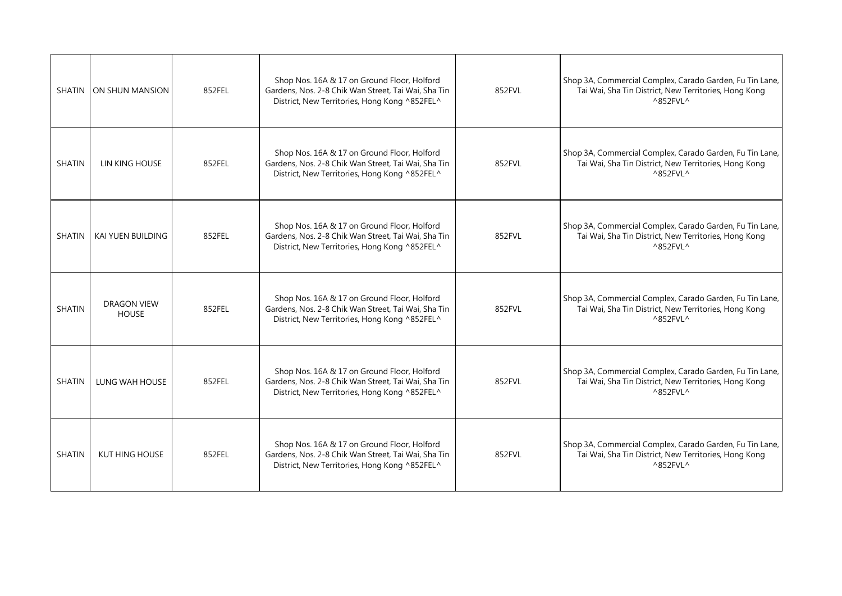|               | SHATIN ON SHUN MANSION             | 852FEL | Shop Nos. 16A & 17 on Ground Floor, Holford<br>Gardens, Nos. 2-8 Chik Wan Street, Tai Wai, Sha Tin<br>District, New Territories, Hong Kong ^852FEL^ | 852FVL | Shop 3A, Commercial Complex, Carado Garden, Fu Tin Lane,<br>Tai Wai, Sha Tin District, New Territories, Hong Kong<br>$^{\wedge}852$ FVL $^{\wedge}$ |
|---------------|------------------------------------|--------|-----------------------------------------------------------------------------------------------------------------------------------------------------|--------|-----------------------------------------------------------------------------------------------------------------------------------------------------|
| <b>SHATIN</b> | LIN KING HOUSE                     | 852FEL | Shop Nos. 16A & 17 on Ground Floor, Holford<br>Gardens, Nos. 2-8 Chik Wan Street, Tai Wai, Sha Tin<br>District, New Territories, Hong Kong ^852FEL^ | 852FVL | Shop 3A, Commercial Complex, Carado Garden, Fu Tin Lane,<br>Tai Wai, Sha Tin District, New Territories, Hong Kong<br>$^{\wedge}852$ FVL ^           |
| <b>SHATIN</b> | KAI YUEN BUILDING                  | 852FEL | Shop Nos. 16A & 17 on Ground Floor, Holford<br>Gardens, Nos. 2-8 Chik Wan Street, Tai Wai, Sha Tin<br>District, New Territories, Hong Kong ^852FEL^ | 852FVL | Shop 3A, Commercial Complex, Carado Garden, Fu Tin Lane,<br>Tai Wai, Sha Tin District, New Territories, Hong Kong<br>$^{\wedge}852$ FVL $^{\wedge}$ |
| <b>SHATIN</b> | <b>DRAGON VIEW</b><br><b>HOUSE</b> | 852FEL | Shop Nos. 16A & 17 on Ground Floor, Holford<br>Gardens, Nos. 2-8 Chik Wan Street, Tai Wai, Sha Tin<br>District, New Territories, Hong Kong ^852FEL^ | 852FVL | Shop 3A, Commercial Complex, Carado Garden, Fu Tin Lane,<br>Tai Wai, Sha Tin District, New Territories, Hong Kong<br>$^{\wedge}852$ FVL ^           |
| <b>SHATIN</b> | LUNG WAH HOUSE                     | 852FEL | Shop Nos. 16A & 17 on Ground Floor, Holford<br>Gardens, Nos. 2-8 Chik Wan Street, Tai Wai, Sha Tin<br>District, New Territories, Hong Kong ^852FEL^ | 852FVL | Shop 3A, Commercial Complex, Carado Garden, Fu Tin Lane,<br>Tai Wai, Sha Tin District, New Territories, Hong Kong<br>$^{\wedge}852$ FVL $^{\wedge}$ |
| <b>SHATIN</b> | KUT HING HOUSE                     | 852FEL | Shop Nos. 16A & 17 on Ground Floor, Holford<br>Gardens, Nos. 2-8 Chik Wan Street, Tai Wai, Sha Tin<br>District, New Territories, Hong Kong ^852FEL^ | 852FVL | Shop 3A, Commercial Complex, Carado Garden, Fu Tin Lane,<br>Tai Wai, Sha Tin District, New Territories, Hong Kong<br>$^{\wedge}852$ FVL ^           |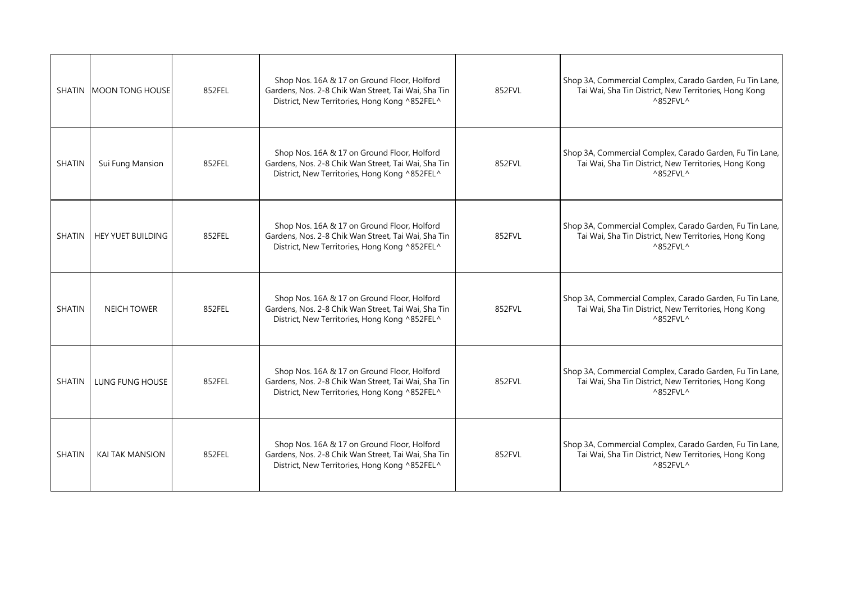|               | <b>SHATIN MOON TONG HOUSE</b> | 852FEL | Shop Nos. 16A & 17 on Ground Floor, Holford<br>Gardens, Nos. 2-8 Chik Wan Street, Tai Wai, Sha Tin<br>District, New Territories, Hong Kong ^852FEL^ | 852FVL | Shop 3A, Commercial Complex, Carado Garden, Fu Tin Lane,<br>Tai Wai, Sha Tin District, New Territories, Hong Kong<br>$^{\wedge}852$ FVL $^{\wedge}$ |
|---------------|-------------------------------|--------|-----------------------------------------------------------------------------------------------------------------------------------------------------|--------|-----------------------------------------------------------------------------------------------------------------------------------------------------|
| <b>SHATIN</b> | Sui Fung Mansion              | 852FEL | Shop Nos. 16A & 17 on Ground Floor, Holford<br>Gardens, Nos. 2-8 Chik Wan Street, Tai Wai, Sha Tin<br>District, New Territories, Hong Kong ^852FEL^ | 852FVL | Shop 3A, Commercial Complex, Carado Garden, Fu Tin Lane,<br>Tai Wai, Sha Tin District, New Territories, Hong Kong<br>$^{\wedge}852$ FVL ^           |
| <b>SHATIN</b> | <b>HEY YUET BUILDING</b>      | 852FEL | Shop Nos. 16A & 17 on Ground Floor, Holford<br>Gardens, Nos. 2-8 Chik Wan Street, Tai Wai, Sha Tin<br>District, New Territories, Hong Kong ^852FEL^ | 852FVL | Shop 3A, Commercial Complex, Carado Garden, Fu Tin Lane,<br>Tai Wai, Sha Tin District, New Territories, Hong Kong<br>$^{\wedge}852$ FVL $^{\wedge}$ |
| <b>SHATIN</b> | <b>NEICH TOWER</b>            | 852FEL | Shop Nos. 16A & 17 on Ground Floor, Holford<br>Gardens, Nos. 2-8 Chik Wan Street, Tai Wai, Sha Tin<br>District, New Territories, Hong Kong ^852FEL^ | 852FVL | Shop 3A, Commercial Complex, Carado Garden, Fu Tin Lane,<br>Tai Wai, Sha Tin District, New Territories, Hong Kong<br>$^{\wedge}852$ FVL ^           |
| <b>SHATIN</b> | LUNG FUNG HOUSE               | 852FEL | Shop Nos. 16A & 17 on Ground Floor, Holford<br>Gardens, Nos. 2-8 Chik Wan Street, Tai Wai, Sha Tin<br>District, New Territories, Hong Kong ^852FEL^ | 852FVL | Shop 3A, Commercial Complex, Carado Garden, Fu Tin Lane,<br>Tai Wai, Sha Tin District, New Territories, Hong Kong<br>$^{\wedge}852$ FVL $^{\wedge}$ |
| <b>SHATIN</b> | <b>KAI TAK MANSION</b>        | 852FEL | Shop Nos. 16A & 17 on Ground Floor, Holford<br>Gardens, Nos. 2-8 Chik Wan Street, Tai Wai, Sha Tin<br>District, New Territories, Hong Kong ^852FEL^ | 852FVL | Shop 3A, Commercial Complex, Carado Garden, Fu Tin Lane,<br>Tai Wai, Sha Tin District, New Territories, Hong Kong<br>$^{\wedge}852$ FVL ^           |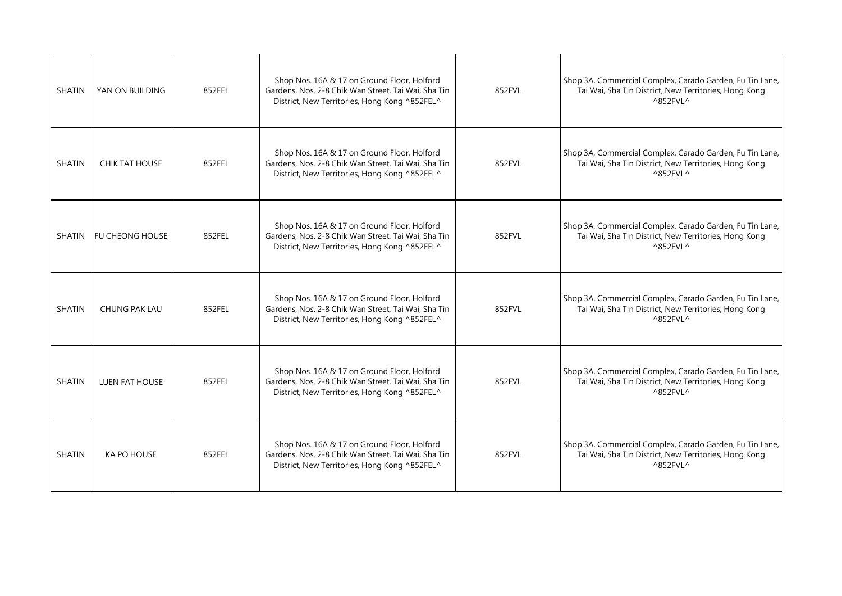| <b>SHATIN</b> | YAN ON BUILDING | 852FEL | Shop Nos. 16A & 17 on Ground Floor, Holford<br>Gardens, Nos. 2-8 Chik Wan Street, Tai Wai, Sha Tin<br>District, New Territories, Hong Kong ^852FEL^ | 852FVL | Shop 3A, Commercial Complex, Carado Garden, Fu Tin Lane,<br>Tai Wai, Sha Tin District, New Territories, Hong Kong<br>$^{\wedge}852$ FVL $^{\wedge}$ |
|---------------|-----------------|--------|-----------------------------------------------------------------------------------------------------------------------------------------------------|--------|-----------------------------------------------------------------------------------------------------------------------------------------------------|
| <b>SHATIN</b> | CHIK TAT HOUSE  | 852FEL | Shop Nos. 16A & 17 on Ground Floor, Holford<br>Gardens, Nos. 2-8 Chik Wan Street, Tai Wai, Sha Tin<br>District, New Territories, Hong Kong ^852FEL^ | 852FVL | Shop 3A, Commercial Complex, Carado Garden, Fu Tin Lane,<br>Tai Wai, Sha Tin District, New Territories, Hong Kong<br>$^{\wedge}852$ FVL ^           |
| SHATIN        | FU CHEONG HOUSE | 852FEL | Shop Nos. 16A & 17 on Ground Floor, Holford<br>Gardens, Nos. 2-8 Chik Wan Street, Tai Wai, Sha Tin<br>District, New Territories, Hong Kong ^852FEL^ | 852FVL | Shop 3A, Commercial Complex, Carado Garden, Fu Tin Lane,<br>Tai Wai, Sha Tin District, New Territories, Hong Kong<br>$^{\wedge}852$ FVL $^{\wedge}$ |
| <b>SHATIN</b> | CHUNG PAK LAU   | 852FEL | Shop Nos. 16A & 17 on Ground Floor, Holford<br>Gardens, Nos. 2-8 Chik Wan Street, Tai Wai, Sha Tin<br>District, New Territories, Hong Kong ^852FEL^ | 852FVL | Shop 3A, Commercial Complex, Carado Garden, Fu Tin Lane,<br>Tai Wai, Sha Tin District, New Territories, Hong Kong<br>$^{\wedge}852$ FVL ^           |
| <b>SHATIN</b> | LUEN FAT HOUSE  | 852FEL | Shop Nos. 16A & 17 on Ground Floor, Holford<br>Gardens, Nos. 2-8 Chik Wan Street, Tai Wai, Sha Tin<br>District, New Territories, Hong Kong ^852FEL^ | 852FVL | Shop 3A, Commercial Complex, Carado Garden, Fu Tin Lane,<br>Tai Wai, Sha Tin District, New Territories, Hong Kong<br>$^{\wedge}852$ FVL $^{\wedge}$ |
| <b>SHATIN</b> | KA PO HOUSE     | 852FEL | Shop Nos. 16A & 17 on Ground Floor, Holford<br>Gardens, Nos. 2-8 Chik Wan Street, Tai Wai, Sha Tin<br>District, New Territories, Hong Kong ^852FEL^ | 852FVL | Shop 3A, Commercial Complex, Carado Garden, Fu Tin Lane,<br>Tai Wai, Sha Tin District, New Territories, Hong Kong<br>$^{\wedge}852$ FVL ^           |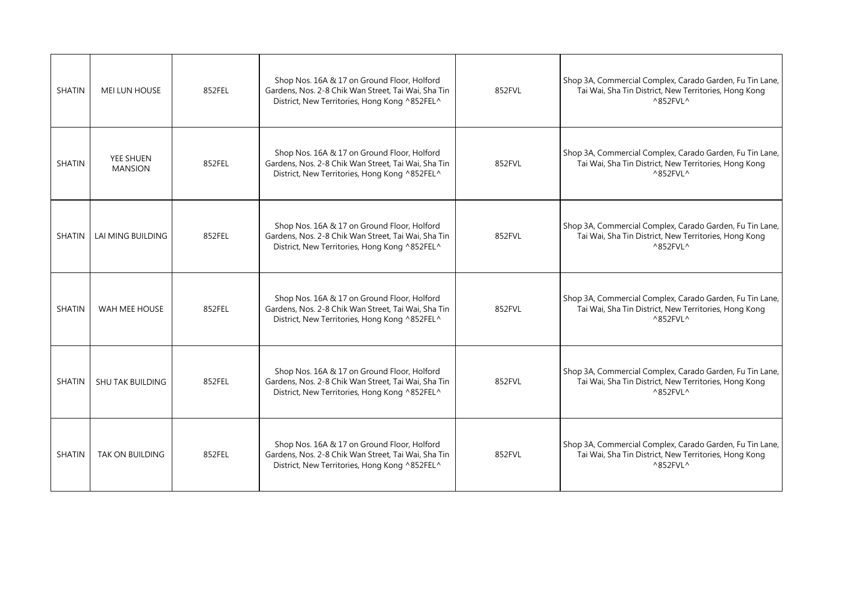| <b>SHATIN</b> | <b>MEI LUN HOUSE</b>        | 852FEL | Shop Nos. 16A & 17 on Ground Floor, Holford<br>Gardens, Nos. 2-8 Chik Wan Street, Tai Wai, Sha Tin<br>District, New Territories, Hong Kong ^852FEL^ | 852FVL | Shop 3A, Commercial Complex, Carado Garden, Fu Tin Lane,<br>Tai Wai, Sha Tin District, New Territories, Hong Kong<br>$^{\wedge}852$ FVL $^{\wedge}$ |
|---------------|-----------------------------|--------|-----------------------------------------------------------------------------------------------------------------------------------------------------|--------|-----------------------------------------------------------------------------------------------------------------------------------------------------|
| <b>SHATIN</b> | YEE SHUEN<br><b>MANSION</b> | 852FEL | Shop Nos. 16A & 17 on Ground Floor, Holford<br>Gardens, Nos. 2-8 Chik Wan Street, Tai Wai, Sha Tin<br>District, New Territories, Hong Kong ^852FEL^ | 852FVL | Shop 3A, Commercial Complex, Carado Garden, Fu Tin Lane,<br>Tai Wai, Sha Tin District, New Territories, Hong Kong<br>$^{\wedge}852$ FVL ^           |
| SHATIN        | LAI MING BUILDING           | 852FEL | Shop Nos. 16A & 17 on Ground Floor, Holford<br>Gardens, Nos. 2-8 Chik Wan Street, Tai Wai, Sha Tin<br>District, New Territories, Hong Kong ^852FEL^ | 852FVL | Shop 3A, Commercial Complex, Carado Garden, Fu Tin Lane,<br>Tai Wai, Sha Tin District, New Territories, Hong Kong<br>$^{\wedge}852$ FVL $^{\wedge}$ |
| <b>SHATIN</b> | WAH MEE HOUSE               | 852FEL | Shop Nos. 16A & 17 on Ground Floor, Holford<br>Gardens, Nos. 2-8 Chik Wan Street, Tai Wai, Sha Tin<br>District, New Territories, Hong Kong ^852FEL^ | 852FVL | Shop 3A, Commercial Complex, Carado Garden, Fu Tin Lane,<br>Tai Wai, Sha Tin District, New Territories, Hong Kong<br>$^{\wedge}852$ FVL ^           |
| <b>SHATIN</b> | <b>SHU TAK BUILDING</b>     | 852FEL | Shop Nos. 16A & 17 on Ground Floor, Holford<br>Gardens, Nos. 2-8 Chik Wan Street, Tai Wai, Sha Tin<br>District, New Territories, Hong Kong ^852FEL^ | 852FVL | Shop 3A, Commercial Complex, Carado Garden, Fu Tin Lane,<br>Tai Wai, Sha Tin District, New Territories, Hong Kong<br>$^{\wedge}852$ FVL $^{\wedge}$ |
| SHATIN        | <b>TAK ON BUILDING</b>      | 852FEL | Shop Nos. 16A & 17 on Ground Floor, Holford<br>Gardens, Nos. 2-8 Chik Wan Street, Tai Wai, Sha Tin<br>District, New Territories, Hong Kong ^852FEL^ | 852FVL | Shop 3A, Commercial Complex, Carado Garden, Fu Tin Lane,<br>Tai Wai, Sha Tin District, New Territories, Hong Kong<br>$^{\wedge}852$ FVL ^           |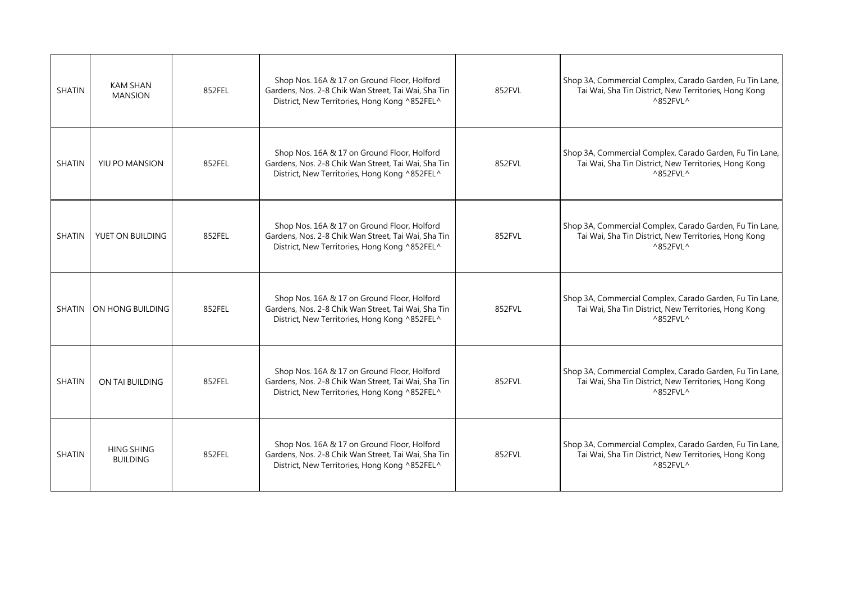| <b>SHATIN</b> | <b>KAM SHAN</b><br><b>MANSION</b>    | 852FEL | Shop Nos. 16A & 17 on Ground Floor, Holford<br>Gardens, Nos. 2-8 Chik Wan Street, Tai Wai, Sha Tin<br>District, New Territories, Hong Kong ^852FEL^ | 852FVL | Shop 3A, Commercial Complex, Carado Garden, Fu Tin Lane,<br>Tai Wai, Sha Tin District, New Territories, Hong Kong<br>$^{\wedge}852$ FVL $^{\wedge}$ |
|---------------|--------------------------------------|--------|-----------------------------------------------------------------------------------------------------------------------------------------------------|--------|-----------------------------------------------------------------------------------------------------------------------------------------------------|
| <b>SHATIN</b> | YIU PO MANSION                       | 852FEL | Shop Nos. 16A & 17 on Ground Floor, Holford<br>Gardens, Nos. 2-8 Chik Wan Street, Tai Wai, Sha Tin<br>District, New Territories, Hong Kong ^852FEL^ | 852FVL | Shop 3A, Commercial Complex, Carado Garden, Fu Tin Lane,<br>Tai Wai, Sha Tin District, New Territories, Hong Kong<br>$^{\wedge}852$ FVL $^{\wedge}$ |
| <b>SHATIN</b> | YUET ON BUILDING                     | 852FEL | Shop Nos. 16A & 17 on Ground Floor, Holford<br>Gardens, Nos. 2-8 Chik Wan Street, Tai Wai, Sha Tin<br>District, New Territories, Hong Kong ^852FEL^ | 852FVL | Shop 3A, Commercial Complex, Carado Garden, Fu Tin Lane,<br>Tai Wai, Sha Tin District, New Territories, Hong Kong<br>$^{\wedge}852$ FVL $^{\wedge}$ |
|               | SHATIN ON HONG BUILDING              | 852FEL | Shop Nos. 16A & 17 on Ground Floor, Holford<br>Gardens, Nos. 2-8 Chik Wan Street, Tai Wai, Sha Tin<br>District, New Territories, Hong Kong ^852FEL^ | 852FVL | Shop 3A, Commercial Complex, Carado Garden, Fu Tin Lane,<br>Tai Wai, Sha Tin District, New Territories, Hong Kong<br>$^{\wedge}852$ FVL ^           |
| <b>SHATIN</b> | ON TAI BUILDING                      | 852FEL | Shop Nos. 16A & 17 on Ground Floor, Holford<br>Gardens, Nos. 2-8 Chik Wan Street, Tai Wai, Sha Tin<br>District, New Territories, Hong Kong ^852FEL^ | 852FVL | Shop 3A, Commercial Complex, Carado Garden, Fu Tin Lane,<br>Tai Wai, Sha Tin District, New Territories, Hong Kong<br>$^{\wedge}852$ FVL $^{\wedge}$ |
| <b>SHATIN</b> | <b>HING SHING</b><br><b>BUILDING</b> | 852FEL | Shop Nos. 16A & 17 on Ground Floor, Holford<br>Gardens, Nos. 2-8 Chik Wan Street, Tai Wai, Sha Tin<br>District, New Territories, Hong Kong ^852FEL^ | 852FVL | Shop 3A, Commercial Complex, Carado Garden, Fu Tin Lane,<br>Tai Wai, Sha Tin District, New Territories, Hong Kong<br>$^{\wedge}852$ FVL ^           |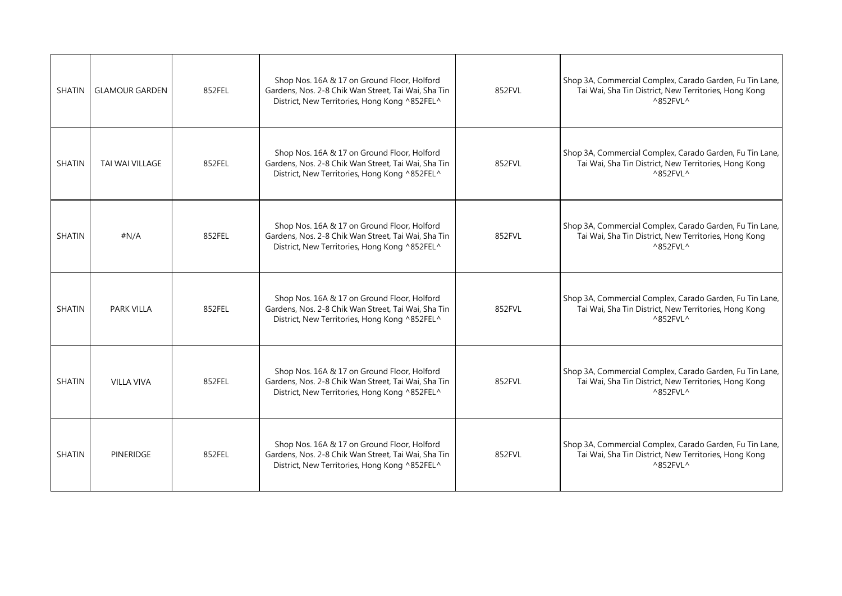| <b>SHATIN</b> | <b>GLAMOUR GARDEN</b> | 852FEL | Shop Nos. 16A & 17 on Ground Floor, Holford<br>Gardens, Nos. 2-8 Chik Wan Street, Tai Wai, Sha Tin<br>District, New Territories, Hong Kong ^852FEL^ | 852FVL | Shop 3A, Commercial Complex, Carado Garden, Fu Tin Lane,<br>Tai Wai, Sha Tin District, New Territories, Hong Kong<br>$^{\wedge}852$ FVL $^{\wedge}$ |
|---------------|-----------------------|--------|-----------------------------------------------------------------------------------------------------------------------------------------------------|--------|-----------------------------------------------------------------------------------------------------------------------------------------------------|
| <b>SHATIN</b> | TAI WAI VILLAGE       | 852FEL | Shop Nos. 16A & 17 on Ground Floor, Holford<br>Gardens, Nos. 2-8 Chik Wan Street, Tai Wai, Sha Tin<br>District, New Territories, Hong Kong ^852FEL^ | 852FVL | Shop 3A, Commercial Complex, Carado Garden, Fu Tin Lane,<br>Tai Wai, Sha Tin District, New Territories, Hong Kong<br>$^{\wedge}852$ FVL $^{\wedge}$ |
| <b>SHATIN</b> | #N/A                  | 852FEL | Shop Nos. 16A & 17 on Ground Floor, Holford<br>Gardens, Nos. 2-8 Chik Wan Street, Tai Wai, Sha Tin<br>District, New Territories, Hong Kong ^852FEL^ | 852FVL | Shop 3A, Commercial Complex, Carado Garden, Fu Tin Lane,<br>Tai Wai, Sha Tin District, New Territories, Hong Kong<br>$^{\wedge}852$ FVL $^{\wedge}$ |
| <b>SHATIN</b> | <b>PARK VILLA</b>     | 852FEL | Shop Nos. 16A & 17 on Ground Floor, Holford<br>Gardens, Nos. 2-8 Chik Wan Street, Tai Wai, Sha Tin<br>District, New Territories, Hong Kong ^852FEL^ | 852FVL | Shop 3A, Commercial Complex, Carado Garden, Fu Tin Lane,<br>Tai Wai, Sha Tin District, New Territories, Hong Kong<br>^852FVL^                       |
| <b>SHATIN</b> | <b>VILLA VIVA</b>     | 852FEL | Shop Nos. 16A & 17 on Ground Floor, Holford<br>Gardens, Nos. 2-8 Chik Wan Street, Tai Wai, Sha Tin<br>District, New Territories, Hong Kong ^852FEL^ | 852FVL | Shop 3A, Commercial Complex, Carado Garden, Fu Tin Lane,<br>Tai Wai, Sha Tin District, New Territories, Hong Kong<br>$^{\wedge}852$ FVL $^{\wedge}$ |
| <b>SHATIN</b> | <b>PINERIDGE</b>      | 852FEL | Shop Nos. 16A & 17 on Ground Floor, Holford<br>Gardens, Nos. 2-8 Chik Wan Street, Tai Wai, Sha Tin<br>District, New Territories, Hong Kong ^852FEL^ | 852FVL | Shop 3A, Commercial Complex, Carado Garden, Fu Tin Lane,<br>Tai Wai, Sha Tin District, New Territories, Hong Kong<br>^852FVL^                       |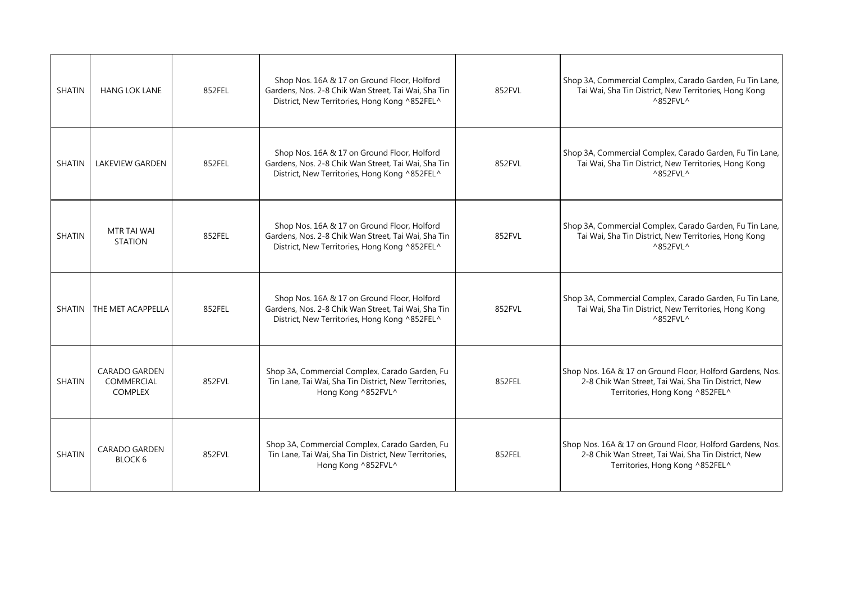| <b>SHATIN</b> | <b>HANG LOK LANE</b>                                        | 852FEL | Shop Nos. 16A & 17 on Ground Floor, Holford<br>Gardens, Nos. 2-8 Chik Wan Street, Tai Wai, Sha Tin<br>District, New Territories, Hong Kong ^852FEL^ | 852FVL | Shop 3A, Commercial Complex, Carado Garden, Fu Tin Lane,<br>Tai Wai, Sha Tin District, New Territories, Hong Kong<br>$^{\wedge}852$ FVL $^{\wedge}$ |
|---------------|-------------------------------------------------------------|--------|-----------------------------------------------------------------------------------------------------------------------------------------------------|--------|-----------------------------------------------------------------------------------------------------------------------------------------------------|
| <b>SHATIN</b> | <b>LAKEVIEW GARDEN</b>                                      | 852FEL | Shop Nos. 16A & 17 on Ground Floor, Holford<br>Gardens, Nos. 2-8 Chik Wan Street, Tai Wai, Sha Tin<br>District, New Territories, Hong Kong ^852FEL^ | 852FVL | Shop 3A, Commercial Complex, Carado Garden, Fu Tin Lane,<br>Tai Wai, Sha Tin District, New Territories, Hong Kong<br>$^{\wedge}852$ FVL $^{\wedge}$ |
| <b>SHATIN</b> | MTR TAI WAI<br><b>STATION</b>                               | 852FEL | Shop Nos. 16A & 17 on Ground Floor, Holford<br>Gardens, Nos. 2-8 Chik Wan Street, Tai Wai, Sha Tin<br>District, New Territories, Hong Kong ^852FEL^ | 852FVL | Shop 3A, Commercial Complex, Carado Garden, Fu Tin Lane,<br>Tai Wai, Sha Tin District, New Territories, Hong Kong<br>$^{\wedge}852$ FVL $^{\wedge}$ |
| SHATIN        | THE MET ACAPPELLA                                           | 852FEL | Shop Nos. 16A & 17 on Ground Floor, Holford<br>Gardens, Nos. 2-8 Chik Wan Street, Tai Wai, Sha Tin<br>District, New Territories, Hong Kong ^852FEL^ | 852FVL | Shop 3A, Commercial Complex, Carado Garden, Fu Tin Lane,<br>Tai Wai, Sha Tin District, New Territories, Hong Kong<br>$^{\wedge}852$ FVL $^{\wedge}$ |
| <b>SHATIN</b> | <b>CARADO GARDEN</b><br><b>COMMERCIAL</b><br><b>COMPLEX</b> | 852FVL | Shop 3A, Commercial Complex, Carado Garden, Fu<br>Tin Lane, Tai Wai, Sha Tin District, New Territories,<br>Hong Kong ^852FVL^                       | 852FEL | Shop Nos. 16A & 17 on Ground Floor, Holford Gardens, Nos.<br>2-8 Chik Wan Street, Tai Wai, Sha Tin District, New<br>Territories, Hong Kong ^852FEL^ |
| <b>SHATIN</b> | <b>CARADO GARDEN</b><br>BLOCK 6                             | 852FVL | Shop 3A, Commercial Complex, Carado Garden, Fu<br>Tin Lane, Tai Wai, Sha Tin District, New Territories,<br>Hong Kong ^852FVL^                       | 852FEL | Shop Nos. 16A & 17 on Ground Floor, Holford Gardens, Nos.<br>2-8 Chik Wan Street, Tai Wai, Sha Tin District, New<br>Territories, Hong Kong ^852FEL^ |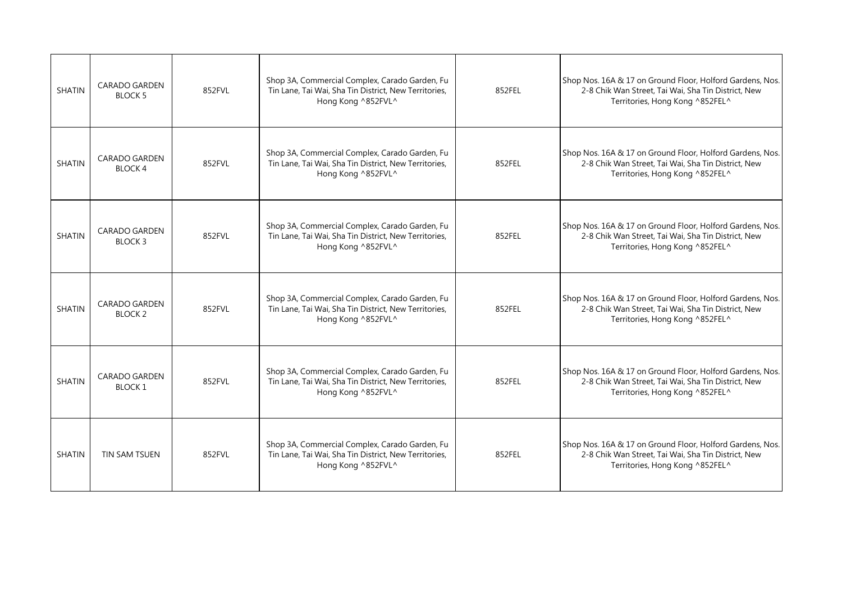| <b>SHATIN</b> | <b>CARADO GARDEN</b><br><b>BLOCK 5</b>     | 852FVL | Shop 3A, Commercial Complex, Carado Garden, Fu<br>Tin Lane, Tai Wai, Sha Tin District, New Territories,<br>Hong Kong ^852FVL^ | 852FEL | Shop Nos. 16A & 17 on Ground Floor, Holford Gardens, Nos.<br>2-8 Chik Wan Street, Tai Wai, Sha Tin District, New<br>Territories, Hong Kong ^852FEL^ |
|---------------|--------------------------------------------|--------|-------------------------------------------------------------------------------------------------------------------------------|--------|-----------------------------------------------------------------------------------------------------------------------------------------------------|
| <b>SHATIN</b> | CARADO GARDEN<br>BLOCK 4                   | 852FVL | Shop 3A, Commercial Complex, Carado Garden, Fu<br>Tin Lane, Tai Wai, Sha Tin District, New Territories,<br>Hong Kong ^852FVL^ | 852FEL | Shop Nos. 16A & 17 on Ground Floor, Holford Gardens, Nos.<br>2-8 Chik Wan Street, Tai Wai, Sha Tin District, New<br>Territories, Hong Kong ^852FEL^ |
| <b>SHATIN</b> | <b>CARADO GARDEN</b><br>BLOCK <sub>3</sub> | 852FVL | Shop 3A, Commercial Complex, Carado Garden, Fu<br>Tin Lane, Tai Wai, Sha Tin District, New Territories,<br>Hong Kong ^852FVL^ | 852FEL | Shop Nos. 16A & 17 on Ground Floor, Holford Gardens, Nos.<br>2-8 Chik Wan Street, Tai Wai, Sha Tin District, New<br>Territories, Hong Kong ^852FEL^ |
| <b>SHATIN</b> | <b>CARADO GARDEN</b><br>BLOCK <sub>2</sub> | 852FVL | Shop 3A, Commercial Complex, Carado Garden, Fu<br>Tin Lane, Tai Wai, Sha Tin District, New Territories,<br>Hong Kong ^852FVL^ | 852FEL | Shop Nos. 16A & 17 on Ground Floor, Holford Gardens, Nos.<br>2-8 Chik Wan Street, Tai Wai, Sha Tin District, New<br>Territories, Hong Kong ^852FEL^ |
| <b>SHATIN</b> | <b>CARADO GARDEN</b><br><b>BLOCK 1</b>     | 852FVL | Shop 3A, Commercial Complex, Carado Garden, Fu<br>Tin Lane, Tai Wai, Sha Tin District, New Territories,<br>Hong Kong ^852FVL^ | 852FEL | Shop Nos. 16A & 17 on Ground Floor, Holford Gardens, Nos.<br>2-8 Chik Wan Street, Tai Wai, Sha Tin District, New<br>Territories, Hong Kong ^852FEL^ |
| <b>SHATIN</b> | <b>TIN SAM TSUEN</b>                       | 852FVL | Shop 3A, Commercial Complex, Carado Garden, Fu<br>Tin Lane, Tai Wai, Sha Tin District, New Territories,<br>Hong Kong ^852FVL^ | 852FEL | Shop Nos. 16A & 17 on Ground Floor, Holford Gardens, Nos.<br>2-8 Chik Wan Street, Tai Wai, Sha Tin District, New<br>Territories, Hong Kong ^852FEL^ |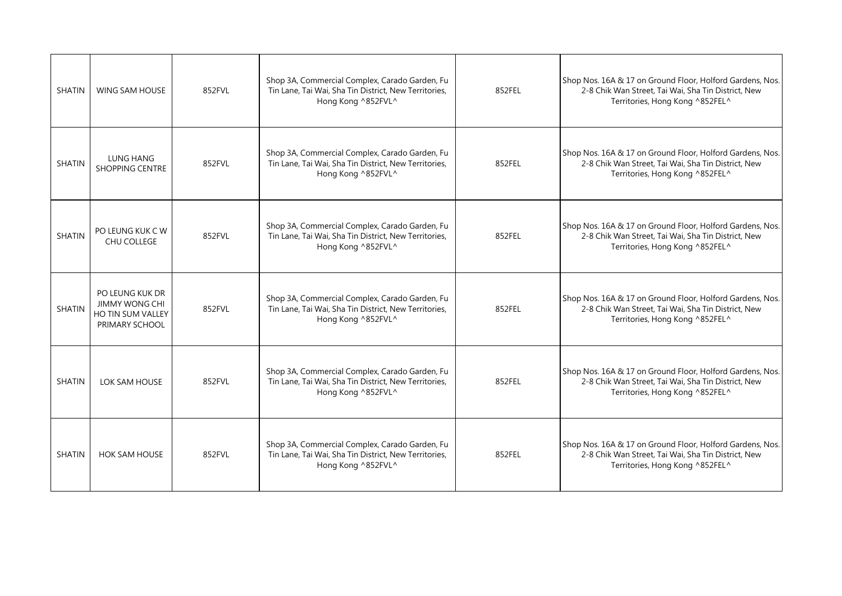| <b>SHATIN</b> | <b>WING SAM HOUSE</b>                                                           | 852FVL | Shop 3A, Commercial Complex, Carado Garden, Fu<br>Tin Lane, Tai Wai, Sha Tin District, New Territories,<br>Hong Kong ^852FVL^ | 852FEL | Shop Nos. 16A & 17 on Ground Floor, Holford Gardens, Nos.<br>2-8 Chik Wan Street, Tai Wai, Sha Tin District, New<br>Territories, Hong Kong ^852FEL^ |
|---------------|---------------------------------------------------------------------------------|--------|-------------------------------------------------------------------------------------------------------------------------------|--------|-----------------------------------------------------------------------------------------------------------------------------------------------------|
| <b>SHATIN</b> | LUNG HANG<br>SHOPPING CENTRE                                                    | 852FVL | Shop 3A, Commercial Complex, Carado Garden, Fu<br>Tin Lane, Tai Wai, Sha Tin District, New Territories,<br>Hong Kong ^852FVL^ | 852FEL | Shop Nos. 16A & 17 on Ground Floor, Holford Gardens, Nos.<br>2-8 Chik Wan Street, Tai Wai, Sha Tin District, New<br>Territories, Hong Kong ^852FEL^ |
| <b>SHATIN</b> | PO LEUNG KUK C W<br>CHU COLLEGE                                                 | 852FVL | Shop 3A, Commercial Complex, Carado Garden, Fu<br>Tin Lane, Tai Wai, Sha Tin District, New Territories,<br>Hong Kong ^852FVL^ | 852FEL | Shop Nos. 16A & 17 on Ground Floor, Holford Gardens, Nos.<br>2-8 Chik Wan Street, Tai Wai, Sha Tin District, New<br>Territories, Hong Kong ^852FEL^ |
| <b>SHATIN</b> | PO LEUNG KUK DR<br><b>JIMMY WONG CHI</b><br>HO TIN SUM VALLEY<br>PRIMARY SCHOOL | 852FVL | Shop 3A, Commercial Complex, Carado Garden, Fu<br>Tin Lane, Tai Wai, Sha Tin District, New Territories,<br>Hong Kong ^852FVL^ | 852FEL | Shop Nos. 16A & 17 on Ground Floor, Holford Gardens, Nos.<br>2-8 Chik Wan Street, Tai Wai, Sha Tin District, New<br>Territories, Hong Kong ^852FEL^ |
| <b>SHATIN</b> | LOK SAM HOUSE                                                                   | 852FVL | Shop 3A, Commercial Complex, Carado Garden, Fu<br>Tin Lane, Tai Wai, Sha Tin District, New Territories,<br>Hong Kong ^852FVL^ | 852FEL | Shop Nos. 16A & 17 on Ground Floor, Holford Gardens, Nos.<br>2-8 Chik Wan Street, Tai Wai, Sha Tin District, New<br>Territories, Hong Kong ^852FEL^ |
| SHATIN        | <b>HOK SAM HOUSE</b>                                                            | 852FVL | Shop 3A, Commercial Complex, Carado Garden, Fu<br>Tin Lane, Tai Wai, Sha Tin District, New Territories,<br>Hong Kong ^852FVL^ | 852FEL | Shop Nos. 16A & 17 on Ground Floor, Holford Gardens, Nos.<br>2-8 Chik Wan Street, Tai Wai, Sha Tin District, New<br>Territories, Hong Kong ^852FEL^ |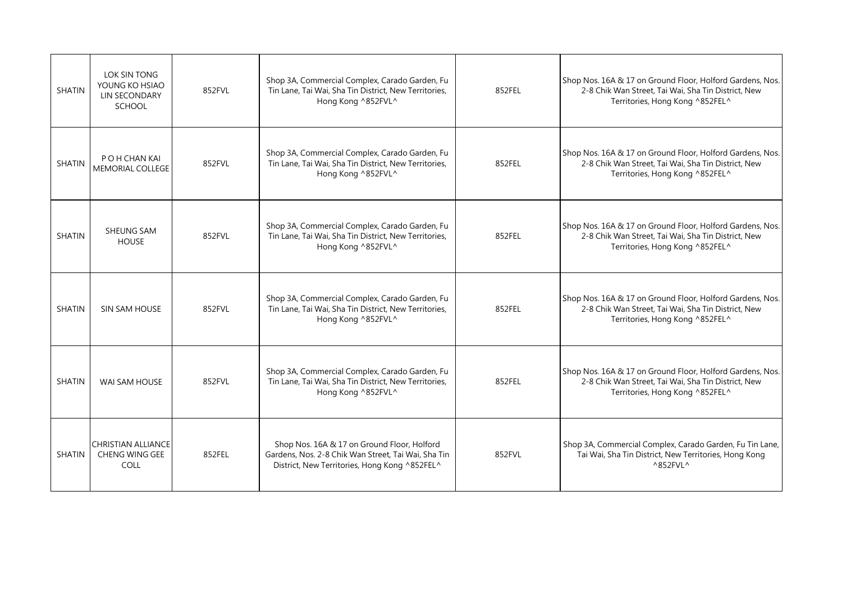| <b>SHATIN</b> | LOK SIN TONG<br>YOUNG KO HSIAO<br>LIN SECONDARY<br><b>SCHOOL</b>  | 852FVL | Shop 3A, Commercial Complex, Carado Garden, Fu<br>Tin Lane, Tai Wai, Sha Tin District, New Territories,<br>Hong Kong ^852FVL^                       | 852FEL | Shop Nos. 16A & 17 on Ground Floor, Holford Gardens, Nos.<br>2-8 Chik Wan Street, Tai Wai, Sha Tin District, New<br>Territories, Hong Kong ^852FEL^ |
|---------------|-------------------------------------------------------------------|--------|-----------------------------------------------------------------------------------------------------------------------------------------------------|--------|-----------------------------------------------------------------------------------------------------------------------------------------------------|
| <b>SHATIN</b> | P O H CHAN KAI<br>MEMORIAL COLLEGE                                | 852FVL | Shop 3A, Commercial Complex, Carado Garden, Fu<br>Tin Lane, Tai Wai, Sha Tin District, New Territories,<br>Hong Kong ^852FVL^                       | 852FEL | Shop Nos. 16A & 17 on Ground Floor, Holford Gardens, Nos.<br>2-8 Chik Wan Street, Tai Wai, Sha Tin District, New<br>Territories, Hong Kong ^852FEL^ |
| <b>SHATIN</b> | SHEUNG SAM<br><b>HOUSE</b>                                        | 852FVL | Shop 3A, Commercial Complex, Carado Garden, Fu<br>Tin Lane, Tai Wai, Sha Tin District, New Territories,<br>Hong Kong ^852FVL^                       | 852FEL | Shop Nos. 16A & 17 on Ground Floor, Holford Gardens, Nos.<br>2-8 Chik Wan Street, Tai Wai, Sha Tin District, New<br>Territories, Hong Kong ^852FEL^ |
| <b>SHATIN</b> | SIN SAM HOUSE                                                     | 852FVL | Shop 3A, Commercial Complex, Carado Garden, Fu<br>Tin Lane, Tai Wai, Sha Tin District, New Territories,<br>Hong Kong ^852FVL^                       | 852FEL | Shop Nos. 16A & 17 on Ground Floor, Holford Gardens, Nos.<br>2-8 Chik Wan Street, Tai Wai, Sha Tin District, New<br>Territories, Hong Kong ^852FEL^ |
| <b>SHATIN</b> | WAI SAM HOUSE                                                     | 852FVL | Shop 3A, Commercial Complex, Carado Garden, Fu<br>Tin Lane, Tai Wai, Sha Tin District, New Territories,<br>Hong Kong ^852FVL^                       | 852FEL | Shop Nos. 16A & 17 on Ground Floor, Holford Gardens, Nos.<br>2-8 Chik Wan Street, Tai Wai, Sha Tin District, New<br>Territories, Hong Kong ^852FEL^ |
| <b>SHATIN</b> | <b>CHRISTIAN ALLIANCE</b><br><b>CHENG WING GEE</b><br><b>COLL</b> | 852FEL | Shop Nos. 16A & 17 on Ground Floor, Holford<br>Gardens, Nos. 2-8 Chik Wan Street, Tai Wai, Sha Tin<br>District, New Territories, Hong Kong ^852FEL^ | 852FVL | Shop 3A, Commercial Complex, Carado Garden, Fu Tin Lane,<br>Tai Wai, Sha Tin District, New Territories, Hong Kong<br>^852FVL^                       |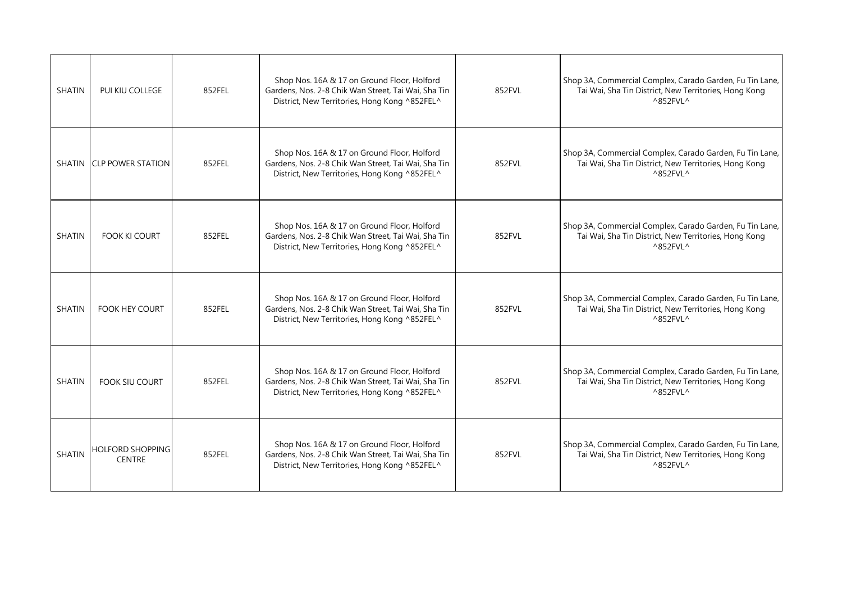| <b>SHATIN</b> | PUI KIU COLLEGE                          | 852FEL | Shop Nos. 16A & 17 on Ground Floor, Holford<br>Gardens, Nos. 2-8 Chik Wan Street, Tai Wai, Sha Tin<br>District, New Territories, Hong Kong ^852FEL^ | 852FVL | Shop 3A, Commercial Complex, Carado Garden, Fu Tin Lane,<br>Tai Wai, Sha Tin District, New Territories, Hong Kong<br>$^{\wedge}852$ FVL $^{\wedge}$ |
|---------------|------------------------------------------|--------|-----------------------------------------------------------------------------------------------------------------------------------------------------|--------|-----------------------------------------------------------------------------------------------------------------------------------------------------|
|               | SHATIN CLP POWER STATION                 | 852FEL | Shop Nos. 16A & 17 on Ground Floor, Holford<br>Gardens, Nos. 2-8 Chik Wan Street, Tai Wai, Sha Tin<br>District, New Territories, Hong Kong ^852FEL^ | 852FVL | Shop 3A, Commercial Complex, Carado Garden, Fu Tin Lane,<br>Tai Wai, Sha Tin District, New Territories, Hong Kong<br>$^{\wedge}852$ FVL $^{\wedge}$ |
| <b>SHATIN</b> | <b>FOOK KI COURT</b>                     | 852FEL | Shop Nos. 16A & 17 on Ground Floor, Holford<br>Gardens, Nos. 2-8 Chik Wan Street, Tai Wai, Sha Tin<br>District, New Territories, Hong Kong ^852FEL^ | 852FVL | Shop 3A, Commercial Complex, Carado Garden, Fu Tin Lane,<br>Tai Wai, Sha Tin District, New Territories, Hong Kong<br>$^{\wedge}852$ FVL $^{\wedge}$ |
| <b>SHATIN</b> | <b>FOOK HEY COURT</b>                    | 852FEL | Shop Nos. 16A & 17 on Ground Floor, Holford<br>Gardens, Nos. 2-8 Chik Wan Street, Tai Wai, Sha Tin<br>District, New Territories, Hong Kong ^852FEL^ | 852FVL | Shop 3A, Commercial Complex, Carado Garden, Fu Tin Lane,<br>Tai Wai, Sha Tin District, New Territories, Hong Kong<br>$^{\wedge}852$ FVL $^{\wedge}$ |
| <b>SHATIN</b> | <b>FOOK SIU COURT</b>                    | 852FEL | Shop Nos. 16A & 17 on Ground Floor, Holford<br>Gardens, Nos. 2-8 Chik Wan Street, Tai Wai, Sha Tin<br>District, New Territories, Hong Kong ^852FEL^ | 852FVL | Shop 3A, Commercial Complex, Carado Garden, Fu Tin Lane,<br>Tai Wai, Sha Tin District, New Territories, Hong Kong<br>$^{\wedge}852$ FVL $^{\wedge}$ |
| <b>SHATIN</b> | <b>HOLFORD SHOPPING</b><br><b>CENTRE</b> | 852FEL | Shop Nos. 16A & 17 on Ground Floor, Holford<br>Gardens, Nos. 2-8 Chik Wan Street, Tai Wai, Sha Tin<br>District, New Territories, Hong Kong ^852FEL^ | 852FVL | Shop 3A, Commercial Complex, Carado Garden, Fu Tin Lane,<br>Tai Wai, Sha Tin District, New Territories, Hong Kong<br>^852FVL^                       |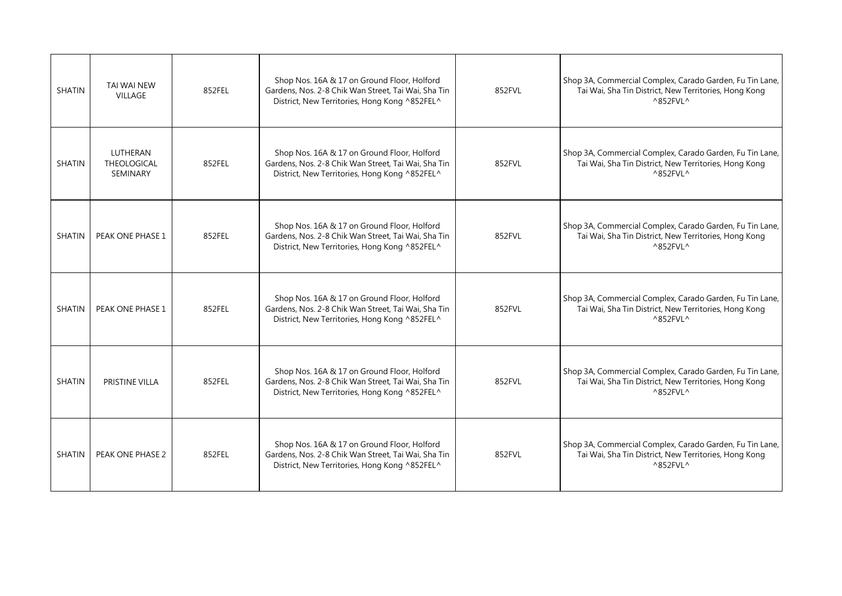| <b>SHATIN</b> | <b>TAI WAI NEW</b><br><b>VILLAGE</b>       | 852FEL | Shop Nos. 16A & 17 on Ground Floor, Holford<br>Gardens, Nos. 2-8 Chik Wan Street, Tai Wai, Sha Tin<br>District, New Territories, Hong Kong ^852FEL^ | 852FVL | Shop 3A, Commercial Complex, Carado Garden, Fu Tin Lane,<br>Tai Wai, Sha Tin District, New Territories, Hong Kong<br>$^{\wedge}852$ FVL $^{\wedge}$ |
|---------------|--------------------------------------------|--------|-----------------------------------------------------------------------------------------------------------------------------------------------------|--------|-----------------------------------------------------------------------------------------------------------------------------------------------------|
| <b>SHATIN</b> | LUTHERAN<br>THEOLOGICAL<br><b>SEMINARY</b> | 852FEL | Shop Nos. 16A & 17 on Ground Floor, Holford<br>Gardens, Nos. 2-8 Chik Wan Street, Tai Wai, Sha Tin<br>District, New Territories, Hong Kong ^852FEL^ | 852FVL | Shop 3A, Commercial Complex, Carado Garden, Fu Tin Lane,<br>Tai Wai, Sha Tin District, New Territories, Hong Kong<br>$^{\wedge}852$ FVL $^{\wedge}$ |
| <b>SHATIN</b> | PEAK ONE PHASE 1                           | 852FEL | Shop Nos. 16A & 17 on Ground Floor, Holford<br>Gardens, Nos. 2-8 Chik Wan Street, Tai Wai, Sha Tin<br>District, New Territories, Hong Kong ^852FEL^ | 852FVL | Shop 3A, Commercial Complex, Carado Garden, Fu Tin Lane,<br>Tai Wai, Sha Tin District, New Territories, Hong Kong<br>$^{\wedge}852$ FVL $^{\wedge}$ |
| <b>SHATIN</b> | PEAK ONE PHASE 1                           | 852FEL | Shop Nos. 16A & 17 on Ground Floor, Holford<br>Gardens, Nos. 2-8 Chik Wan Street, Tai Wai, Sha Tin<br>District, New Territories, Hong Kong ^852FEL^ | 852FVL | Shop 3A, Commercial Complex, Carado Garden, Fu Tin Lane,<br>Tai Wai, Sha Tin District, New Territories, Hong Kong<br>$^{\wedge}852$ FVL $^{\wedge}$ |
| <b>SHATIN</b> | PRISTINE VILLA                             | 852FEL | Shop Nos. 16A & 17 on Ground Floor, Holford<br>Gardens, Nos. 2-8 Chik Wan Street, Tai Wai, Sha Tin<br>District, New Territories, Hong Kong ^852FEL^ | 852FVL | Shop 3A, Commercial Complex, Carado Garden, Fu Tin Lane,<br>Tai Wai, Sha Tin District, New Territories, Hong Kong<br>$^{\wedge}852$ FVL $^{\wedge}$ |
| <b>SHATIN</b> | PEAK ONE PHASE 2                           | 852FEL | Shop Nos. 16A & 17 on Ground Floor, Holford<br>Gardens, Nos. 2-8 Chik Wan Street, Tai Wai, Sha Tin<br>District, New Territories, Hong Kong ^852FEL^ | 852FVL | Shop 3A, Commercial Complex, Carado Garden, Fu Tin Lane,<br>Tai Wai, Sha Tin District, New Territories, Hong Kong<br>^852FVL^                       |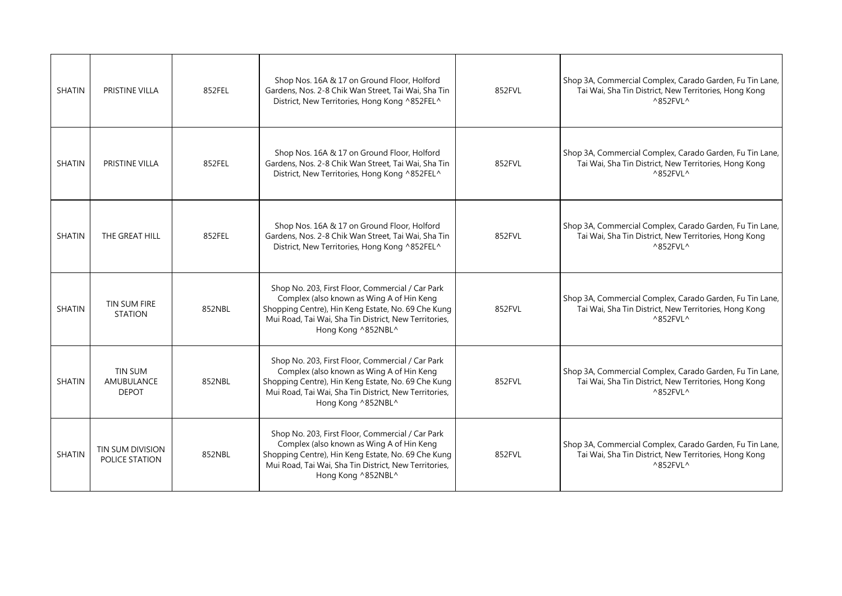| <b>SHATIN</b> | PRISTINE VILLA                                      | 852FEL | Shop Nos. 16A & 17 on Ground Floor, Holford<br>Gardens, Nos. 2-8 Chik Wan Street, Tai Wai, Sha Tin<br>District, New Territories, Hong Kong ^852FEL^                                                                                | 852FVL | Shop 3A, Commercial Complex, Carado Garden, Fu Tin Lane,<br>Tai Wai, Sha Tin District, New Territories, Hong Kong<br>$^{\wedge}852$ FVL $^{\wedge}$ |
|---------------|-----------------------------------------------------|--------|------------------------------------------------------------------------------------------------------------------------------------------------------------------------------------------------------------------------------------|--------|-----------------------------------------------------------------------------------------------------------------------------------------------------|
| <b>SHATIN</b> | PRISTINE VILLA                                      | 852FEL | Shop Nos. 16A & 17 on Ground Floor, Holford<br>Gardens, Nos. 2-8 Chik Wan Street, Tai Wai, Sha Tin<br>District, New Territories, Hong Kong ^852FEL^                                                                                | 852FVL | Shop 3A, Commercial Complex, Carado Garden, Fu Tin Lane,<br>Tai Wai, Sha Tin District, New Territories, Hong Kong<br>$^{\wedge}852$ FVL $^{\wedge}$ |
| <b>SHATIN</b> | THE GREAT HILL                                      | 852FEL | Shop Nos. 16A & 17 on Ground Floor, Holford<br>Gardens, Nos. 2-8 Chik Wan Street, Tai Wai, Sha Tin<br>District, New Territories, Hong Kong ^852FEL^                                                                                | 852FVL | Shop 3A, Commercial Complex, Carado Garden, Fu Tin Lane,<br>Tai Wai, Sha Tin District, New Territories, Hong Kong<br>$^{\wedge}852$ FVL $^{\wedge}$ |
| <b>SHATIN</b> | TIN SUM FIRE<br><b>STATION</b>                      | 852NBL | Shop No. 203, First Floor, Commercial / Car Park<br>Complex (also known as Wing A of Hin Keng<br>Shopping Centre), Hin Keng Estate, No. 69 Che Kung<br>Mui Road, Tai Wai, Sha Tin District, New Territories,<br>Hong Kong ^852NBL^ | 852FVL | Shop 3A, Commercial Complex, Carado Garden, Fu Tin Lane,<br>Tai Wai, Sha Tin District, New Territories, Hong Kong<br>$^{\wedge}852$ FVL $^{\wedge}$ |
| <b>SHATIN</b> | <b>TIN SUM</b><br><b>AMUBULANCE</b><br><b>DEPOT</b> | 852NBL | Shop No. 203, First Floor, Commercial / Car Park<br>Complex (also known as Wing A of Hin Keng<br>Shopping Centre), Hin Keng Estate, No. 69 Che Kung<br>Mui Road, Tai Wai, Sha Tin District, New Territories,<br>Hong Kong ^852NBL^ | 852FVL | Shop 3A, Commercial Complex, Carado Garden, Fu Tin Lane,<br>Tai Wai, Sha Tin District, New Territories, Hong Kong<br>^852FVL^                       |
| <b>SHATIN</b> | TIN SUM DIVISION<br>POLICE STATION                  | 852NBL | Shop No. 203, First Floor, Commercial / Car Park<br>Complex (also known as Wing A of Hin Keng<br>Shopping Centre), Hin Keng Estate, No. 69 Che Kung<br>Mui Road, Tai Wai, Sha Tin District, New Territories,<br>Hong Kong ^852NBL^ | 852FVL | Shop 3A, Commercial Complex, Carado Garden, Fu Tin Lane,<br>Tai Wai, Sha Tin District, New Territories, Hong Kong<br>^852FVL^                       |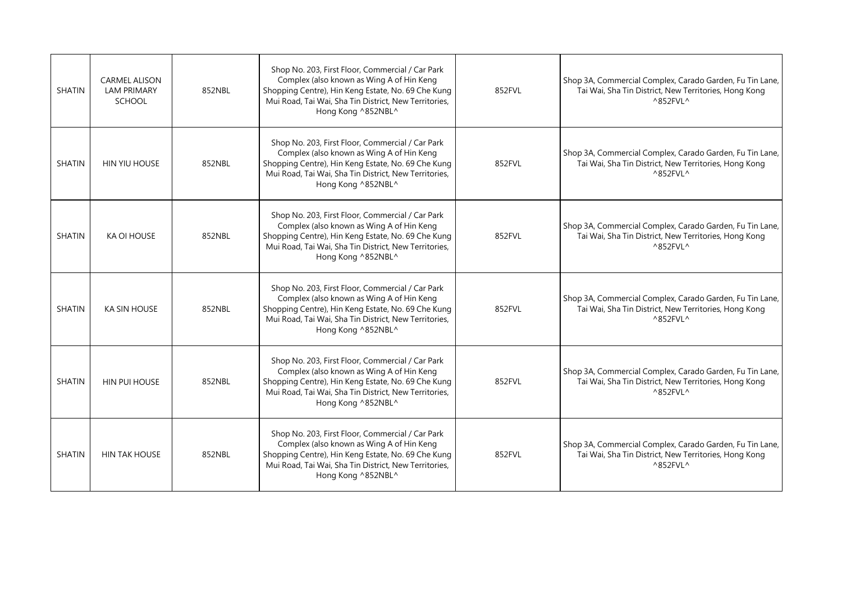| <b>SHATIN</b> | <b>CARMEL ALISON</b><br><b>LAM PRIMARY</b><br><b>SCHOOL</b> | 852NBL | Shop No. 203, First Floor, Commercial / Car Park<br>Complex (also known as Wing A of Hin Keng<br>Shopping Centre), Hin Keng Estate, No. 69 Che Kung<br>Mui Road, Tai Wai, Sha Tin District, New Territories,<br>Hong Kong ^852NBL^ | 852FVL | Shop 3A, Commercial Complex, Carado Garden, Fu Tin Lane,<br>Tai Wai, Sha Tin District, New Territories, Hong Kong<br>$^{\wedge}852$ FVL $^{\wedge}$ |
|---------------|-------------------------------------------------------------|--------|------------------------------------------------------------------------------------------------------------------------------------------------------------------------------------------------------------------------------------|--------|-----------------------------------------------------------------------------------------------------------------------------------------------------|
| <b>SHATIN</b> | HIN YIU HOUSE                                               | 852NBL | Shop No. 203, First Floor, Commercial / Car Park<br>Complex (also known as Wing A of Hin Keng<br>Shopping Centre), Hin Keng Estate, No. 69 Che Kung<br>Mui Road, Tai Wai, Sha Tin District, New Territories,<br>Hong Kong ^852NBL^ | 852FVL | Shop 3A, Commercial Complex, Carado Garden, Fu Tin Lane,<br>Tai Wai, Sha Tin District, New Territories, Hong Kong<br>$^{\wedge}852$ FVL $^{\wedge}$ |
| <b>SHATIN</b> | KA OI HOUSE                                                 | 852NBL | Shop No. 203, First Floor, Commercial / Car Park<br>Complex (also known as Wing A of Hin Keng<br>Shopping Centre), Hin Keng Estate, No. 69 Che Kung<br>Mui Road, Tai Wai, Sha Tin District, New Territories,<br>Hong Kong ^852NBL^ | 852FVL | Shop 3A, Commercial Complex, Carado Garden, Fu Tin Lane,<br>Tai Wai, Sha Tin District, New Territories, Hong Kong<br>$^{\wedge}852$ FVL $^{\wedge}$ |
| <b>SHATIN</b> | KA SIN HOUSE                                                | 852NBL | Shop No. 203, First Floor, Commercial / Car Park<br>Complex (also known as Wing A of Hin Keng<br>Shopping Centre), Hin Keng Estate, No. 69 Che Kung<br>Mui Road, Tai Wai, Sha Tin District, New Territories,<br>Hong Kong ^852NBL^ | 852FVL | Shop 3A, Commercial Complex, Carado Garden, Fu Tin Lane,<br>Tai Wai, Sha Tin District, New Territories, Hong Kong<br>$^{\wedge}852$ FVL $^{\wedge}$ |
| <b>SHATIN</b> | <b>HIN PUI HOUSE</b>                                        | 852NBL | Shop No. 203, First Floor, Commercial / Car Park<br>Complex (also known as Wing A of Hin Keng<br>Shopping Centre), Hin Keng Estate, No. 69 Che Kung<br>Mui Road, Tai Wai, Sha Tin District, New Territories,<br>Hong Kong ^852NBL^ | 852FVL | Shop 3A, Commercial Complex, Carado Garden, Fu Tin Lane,<br>Tai Wai, Sha Tin District, New Territories, Hong Kong<br>$^{\wedge}852$ FVL $^{\wedge}$ |
| <b>SHATIN</b> | <b>HIN TAK HOUSE</b>                                        | 852NBL | Shop No. 203, First Floor, Commercial / Car Park<br>Complex (also known as Wing A of Hin Keng<br>Shopping Centre), Hin Keng Estate, No. 69 Che Kung<br>Mui Road, Tai Wai, Sha Tin District, New Territories,<br>Hong Kong ^852NBL^ | 852FVL | Shop 3A, Commercial Complex, Carado Garden, Fu Tin Lane,<br>Tai Wai, Sha Tin District, New Territories, Hong Kong<br>^852FVL^                       |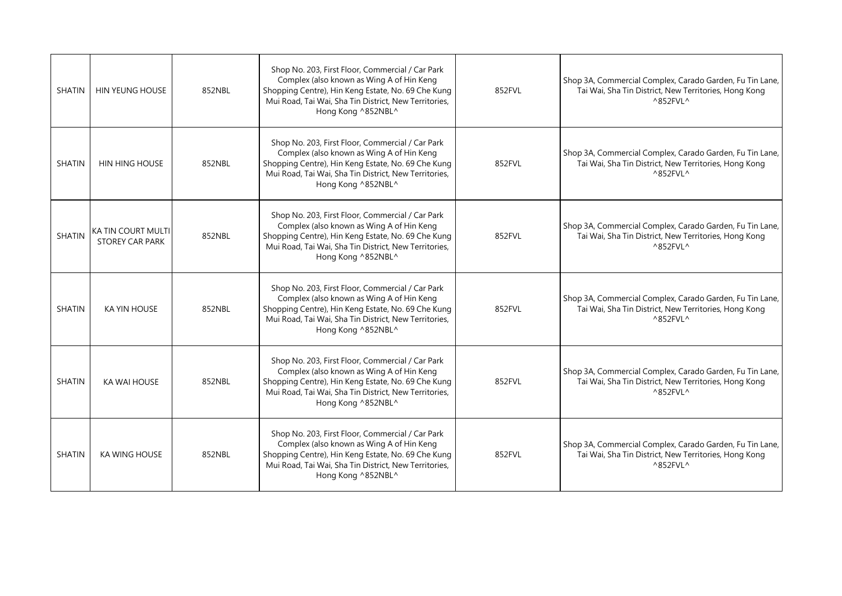| <b>SHATIN</b> | <b>HIN YEUNG HOUSE</b>                       | 852NBL | Shop No. 203, First Floor, Commercial / Car Park<br>Complex (also known as Wing A of Hin Keng<br>Shopping Centre), Hin Keng Estate, No. 69 Che Kung<br>Mui Road, Tai Wai, Sha Tin District, New Territories,<br>Hong Kong ^852NBL^ | 852FVL | Shop 3A, Commercial Complex, Carado Garden, Fu Tin Lane,<br>Tai Wai, Sha Tin District, New Territories, Hong Kong<br>$^{\wedge}852$ FVL $^{\wedge}$ |
|---------------|----------------------------------------------|--------|------------------------------------------------------------------------------------------------------------------------------------------------------------------------------------------------------------------------------------|--------|-----------------------------------------------------------------------------------------------------------------------------------------------------|
| <b>SHATIN</b> | HIN HING HOUSE                               | 852NBL | Shop No. 203, First Floor, Commercial / Car Park<br>Complex (also known as Wing A of Hin Keng<br>Shopping Centre), Hin Keng Estate, No. 69 Che Kung<br>Mui Road, Tai Wai, Sha Tin District, New Territories,<br>Hong Kong ^852NBL^ | 852FVL | Shop 3A, Commercial Complex, Carado Garden, Fu Tin Lane,<br>Tai Wai, Sha Tin District, New Territories, Hong Kong<br>$^{\wedge}852$ FVL $^{\wedge}$ |
| <b>SHATIN</b> | KA TIN COURT MULTI<br><b>STOREY CAR PARK</b> | 852NBL | Shop No. 203, First Floor, Commercial / Car Park<br>Complex (also known as Wing A of Hin Keng<br>Shopping Centre), Hin Keng Estate, No. 69 Che Kung<br>Mui Road, Tai Wai, Sha Tin District, New Territories,<br>Hong Kong ^852NBL^ | 852FVL | Shop 3A, Commercial Complex, Carado Garden, Fu Tin Lane,<br>Tai Wai, Sha Tin District, New Territories, Hong Kong<br>$^{\wedge}852$ FVL $^{\wedge}$ |
| <b>SHATIN</b> | <b>KA YIN HOUSE</b>                          | 852NBL | Shop No. 203, First Floor, Commercial / Car Park<br>Complex (also known as Wing A of Hin Keng<br>Shopping Centre), Hin Keng Estate, No. 69 Che Kung<br>Mui Road, Tai Wai, Sha Tin District, New Territories,<br>Hong Kong ^852NBL^ | 852FVL | Shop 3A, Commercial Complex, Carado Garden, Fu Tin Lane,<br>Tai Wai, Sha Tin District, New Territories, Hong Kong<br>$^{\wedge}852$ FVL $^{\wedge}$ |
| <b>SHATIN</b> | KA WAI HOUSE                                 | 852NBL | Shop No. 203, First Floor, Commercial / Car Park<br>Complex (also known as Wing A of Hin Keng<br>Shopping Centre), Hin Keng Estate, No. 69 Che Kung<br>Mui Road, Tai Wai, Sha Tin District, New Territories,<br>Hong Kong ^852NBL^ | 852FVL | Shop 3A, Commercial Complex, Carado Garden, Fu Tin Lane,<br>Tai Wai, Sha Tin District, New Territories, Hong Kong<br>^852FVL^                       |
| <b>SHATIN</b> | KA WING HOUSE                                | 852NBL | Shop No. 203, First Floor, Commercial / Car Park<br>Complex (also known as Wing A of Hin Keng<br>Shopping Centre), Hin Keng Estate, No. 69 Che Kung<br>Mui Road, Tai Wai, Sha Tin District, New Territories,<br>Hong Kong ^852NBL^ | 852FVL | Shop 3A, Commercial Complex, Carado Garden, Fu Tin Lane,<br>Tai Wai, Sha Tin District, New Territories, Hong Kong<br>^852FVL^                       |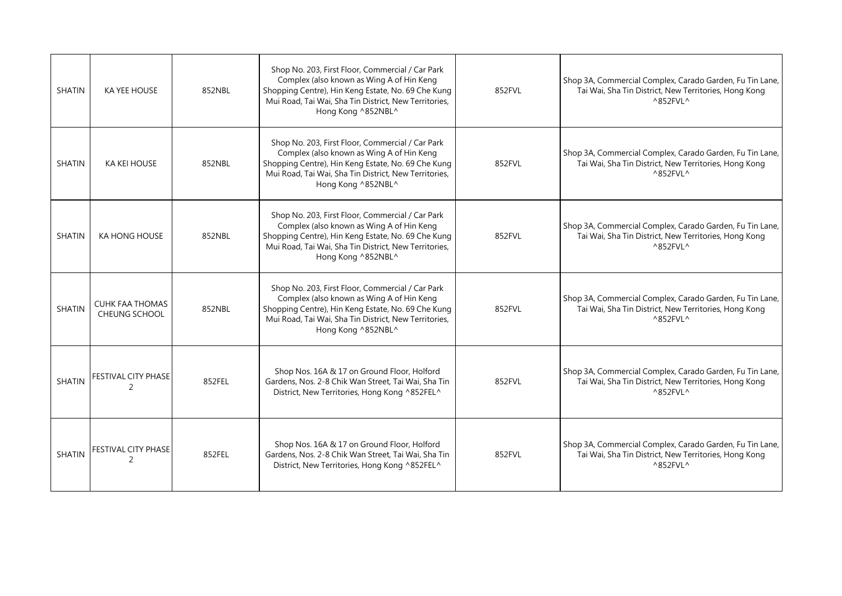| <b>SHATIN</b> | <b>KA YEE HOUSE</b>                            | 852NBL | Shop No. 203, First Floor, Commercial / Car Park<br>Complex (also known as Wing A of Hin Keng<br>Shopping Centre), Hin Keng Estate, No. 69 Che Kung<br>Mui Road, Tai Wai, Sha Tin District, New Territories,<br>Hong Kong ^852NBL^ | 852FVL | Shop 3A, Commercial Complex, Carado Garden, Fu Tin Lane,<br>Tai Wai, Sha Tin District, New Territories, Hong Kong<br>$^{\wedge}852$ FVL $^{\wedge}$ |
|---------------|------------------------------------------------|--------|------------------------------------------------------------------------------------------------------------------------------------------------------------------------------------------------------------------------------------|--------|-----------------------------------------------------------------------------------------------------------------------------------------------------|
| <b>SHATIN</b> | <b>KA KEI HOUSE</b>                            | 852NBL | Shop No. 203, First Floor, Commercial / Car Park<br>Complex (also known as Wing A of Hin Keng<br>Shopping Centre), Hin Keng Estate, No. 69 Che Kung<br>Mui Road, Tai Wai, Sha Tin District, New Territories,<br>Hong Kong ^852NBL^ | 852FVL | Shop 3A, Commercial Complex, Carado Garden, Fu Tin Lane,<br>Tai Wai, Sha Tin District, New Territories, Hong Kong<br>$^{\wedge}852$ FVL $^{\wedge}$ |
| <b>SHATIN</b> | KA HONG HOUSE                                  | 852NBL | Shop No. 203, First Floor, Commercial / Car Park<br>Complex (also known as Wing A of Hin Keng<br>Shopping Centre), Hin Keng Estate, No. 69 Che Kung<br>Mui Road, Tai Wai, Sha Tin District, New Territories,<br>Hong Kong ^852NBL^ | 852FVL | Shop 3A, Commercial Complex, Carado Garden, Fu Tin Lane,<br>Tai Wai, Sha Tin District, New Territories, Hong Kong<br>^852FVL^                       |
| <b>SHATIN</b> | <b>CUHK FAA THOMAS</b><br><b>CHEUNG SCHOOL</b> | 852NBL | Shop No. 203, First Floor, Commercial / Car Park<br>Complex (also known as Wing A of Hin Keng<br>Shopping Centre), Hin Keng Estate, No. 69 Che Kung<br>Mui Road, Tai Wai, Sha Tin District, New Territories,<br>Hong Kong ^852NBL^ | 852FVL | Shop 3A, Commercial Complex, Carado Garden, Fu Tin Lane,<br>Tai Wai, Sha Tin District, New Territories, Hong Kong<br>$^{\wedge}852$ FVL ^           |
| <b>SHATIN</b> | <b>FESTIVAL CITY PHASE</b><br>2                | 852FEL | Shop Nos. 16A & 17 on Ground Floor, Holford<br>Gardens, Nos. 2-8 Chik Wan Street, Tai Wai, Sha Tin<br>District, New Territories, Hong Kong ^852FEL^                                                                                | 852FVL | Shop 3A, Commercial Complex, Carado Garden, Fu Tin Lane,<br>Tai Wai, Sha Tin District, New Territories, Hong Kong<br>^852FVL^                       |
| <b>SHATIN</b> | FESTIVAL CITY PHASE<br>2                       | 852FEL | Shop Nos. 16A & 17 on Ground Floor, Holford<br>Gardens, Nos. 2-8 Chik Wan Street, Tai Wai, Sha Tin<br>District, New Territories, Hong Kong ^852FEL^                                                                                | 852FVL | Shop 3A, Commercial Complex, Carado Garden, Fu Tin Lane,<br>Tai Wai, Sha Tin District, New Territories, Hong Kong<br>^852FVL^                       |